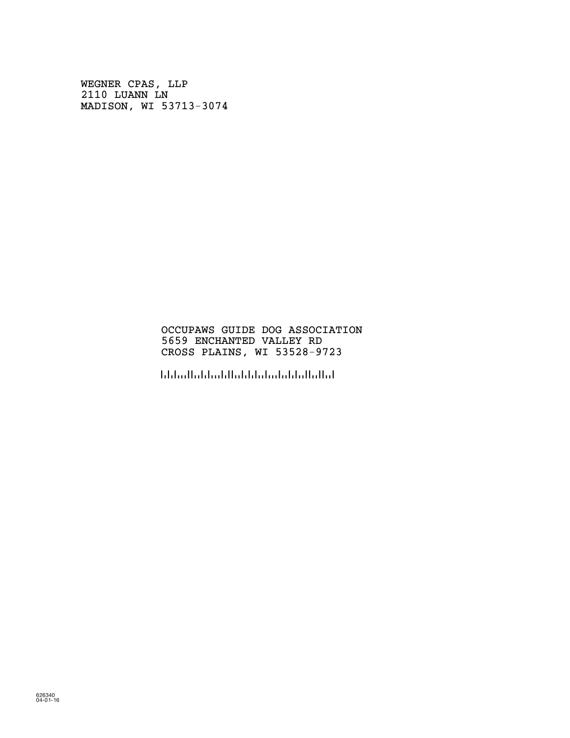WEGNER CPAS, LLP 2110 LUANN LN MADISON, WI 53713-3074

## OCCUPAWS GUIDE DOG ASSOCIATION 5659 ENCHANTED VALLEY RD CROSS PLAINS, WI 53528-9723

!5352897236!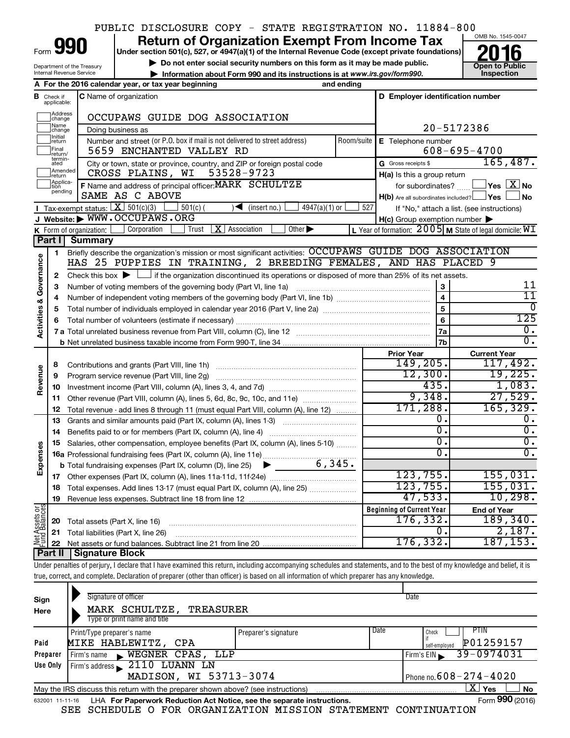#### OMB No. 1545-0047 Department of the Treasury Internal Revenue Service **Under section 501(c), 527, or 4947(a)(1) of the Internal Revenue Code (except private foundations)** ▶ Do not enter social security numbers on this form as it may be made public.<br>▶ Information about Form 990 and its instructions is at www.irs.gov/form990. Inspection **• Information about Form 990 and its instructions is at www.irs.gov/form990. and inspection** Form **990** Return of Organization Exempt From Income Tax <br>
Under section 501(c), 527, or 4947(a)(1) of the Internal Revenue Code (except private foundations)<br> **2016** PUBLIC DISCLOSURE COPY - STATE REGISTRATION NO. 11884-800

|                         |                              | A For the 2016 calendar year, or tax year beginning                                                                                         | and ending                                                       |                                                     |                                                             |  |  |  |  |  |  |
|-------------------------|------------------------------|---------------------------------------------------------------------------------------------------------------------------------------------|------------------------------------------------------------------|-----------------------------------------------------|-------------------------------------------------------------|--|--|--|--|--|--|
| в                       | Check if<br>applicable:      | <b>C</b> Name of organization                                                                                                               |                                                                  | D Employer identification number                    |                                                             |  |  |  |  |  |  |
|                         | Address<br>change            | OCCUPAWS GUIDE DOG ASSOCIATION                                                                                                              |                                                                  |                                                     |                                                             |  |  |  |  |  |  |
|                         | Name<br>change               | Doing business as                                                                                                                           |                                                                  | 20-5172386                                          |                                                             |  |  |  |  |  |  |
|                         | Initial<br>return            | Number and street (or P.O. box if mail is not delivered to street address)                                                                  | Room/suite                                                       | E Telephone number                                  |                                                             |  |  |  |  |  |  |
|                         | Final<br>return/             | 5659 ENCHANTED VALLEY RD                                                                                                                    |                                                                  |                                                     | $608 - 695 - 4700$                                          |  |  |  |  |  |  |
|                         | termin-<br>ated              | City or town, state or province, country, and ZIP or foreign postal code                                                                    |                                                                  | G Gross receipts \$                                 | 165, 487.                                                   |  |  |  |  |  |  |
|                         | Amended<br>return            | 53528-9723<br>CROSS PLAINS, WI                                                                                                              |                                                                  | H(a) Is this a group return                         |                                                             |  |  |  |  |  |  |
|                         | Applica-<br>ltion<br>pending | F Name and address of principal officer: MARK SCHULTZE                                                                                      |                                                                  | for subordinates?                                   | $\Box$ Yes $[\overline{\mathrm{X}}]$ No                     |  |  |  |  |  |  |
|                         |                              | SAME AS C ABOVE                                                                                                                             |                                                                  | $H(b)$ Are all subordinates included? $\Box$ Yes    | <b>No</b>                                                   |  |  |  |  |  |  |
|                         |                              | Tax-exempt status: $X \overline{3}$ 501(c)(3)<br>$501(c)$ (<br>4947(a)(1) or<br>$\sqrt{\frac{1}{1}}$ (insert no.)                           | 527                                                              |                                                     | If "No," attach a list. (see instructions)                  |  |  |  |  |  |  |
|                         |                              | J Website: WWW.OCCUPAWS.ORG                                                                                                                 |                                                                  | $H(c)$ Group exemption number $\blacktriangleright$ |                                                             |  |  |  |  |  |  |
|                         |                              | $X$ Association<br>Other $\blacktriangleright$<br>Corporation<br>Trust<br>K Form of organization:                                           |                                                                  |                                                     | L Year of formation: $2005$ M State of legal domicile: $WI$ |  |  |  |  |  |  |
|                         | Part I                       | Summary                                                                                                                                     |                                                                  |                                                     |                                                             |  |  |  |  |  |  |
|                         | 1                            | Briefly describe the organization's mission or most significant activities: OCCUPAWS GUIDE DOG ASSOCIATION                                  |                                                                  |                                                     |                                                             |  |  |  |  |  |  |
| Activities & Governance | $\mathbf{2}$                 | Check this box $\blacktriangleright$ $\Box$ if the organization discontinued its operations or disposed of more than 25% of its net assets. | HAS 25 PUPPIES IN TRAINING, 2 BREEDING FEMALES, AND HAS PLACED 9 |                                                     |                                                             |  |  |  |  |  |  |
|                         | 3                            | Number of voting members of the governing body (Part VI, line 1a)                                                                           |                                                                  | 3                                                   | 11                                                          |  |  |  |  |  |  |
|                         | 4                            |                                                                                                                                             |                                                                  | $\overline{4}$                                      | $\overline{11}$                                             |  |  |  |  |  |  |
|                         | 5                            |                                                                                                                                             | $\overline{5}$                                                   | $\Omega$                                            |                                                             |  |  |  |  |  |  |
|                         | 6                            |                                                                                                                                             | $6\phantom{a}$                                                   | 125                                                 |                                                             |  |  |  |  |  |  |
|                         |                              |                                                                                                                                             |                                                                  | 7a                                                  | 0.                                                          |  |  |  |  |  |  |
|                         |                              |                                                                                                                                             |                                                                  |                                                     |                                                             |  |  |  |  |  |  |
|                         |                              |                                                                                                                                             |                                                                  | <b>Prior Year</b>                                   | <b>Current Year</b>                                         |  |  |  |  |  |  |
|                         | 8                            | Contributions and grants (Part VIII, line 1h)                                                                                               |                                                                  | 149,205.                                            | 117,492.                                                    |  |  |  |  |  |  |
| Revenue                 | 9                            | Program service revenue (Part VIII, line 2g)                                                                                                |                                                                  | 12,300.                                             | 19,225.                                                     |  |  |  |  |  |  |
|                         | 10                           |                                                                                                                                             |                                                                  | 435.                                                | 1,083.                                                      |  |  |  |  |  |  |
|                         | 11                           | Other revenue (Part VIII, column (A), lines 5, 6d, 8c, 9c, 10c, and 11e)                                                                    |                                                                  | 9,348.                                              | 27,529.                                                     |  |  |  |  |  |  |
|                         | 12                           | Total revenue - add lines 8 through 11 (must equal Part VIII, column (A), line 12)                                                          |                                                                  | 171,288.                                            | 165, 329.                                                   |  |  |  |  |  |  |
|                         | 13                           | Grants and similar amounts paid (Part IX, column (A), lines 1-3)                                                                            |                                                                  | 0.                                                  | 0.                                                          |  |  |  |  |  |  |
|                         | 14                           |                                                                                                                                             |                                                                  | σ.                                                  | $\overline{0}$ .                                            |  |  |  |  |  |  |
|                         | 15                           | Salaries, other compensation, employee benefits (Part IX, column (A), lines 5-10)                                                           |                                                                  | О.                                                  | 0.                                                          |  |  |  |  |  |  |
| Expenses                |                              |                                                                                                                                             |                                                                  | σ.                                                  | $\overline{0}$ .                                            |  |  |  |  |  |  |
|                         |                              |                                                                                                                                             |                                                                  |                                                     |                                                             |  |  |  |  |  |  |
|                         |                              |                                                                                                                                             |                                                                  | 123, 755.                                           | 155,031.                                                    |  |  |  |  |  |  |
|                         | 18                           | Total expenses. Add lines 13-17 (must equal Part IX, column (A), line 25)                                                                   |                                                                  | 123,755.                                            | 155,031.                                                    |  |  |  |  |  |  |
|                         | 19                           |                                                                                                                                             |                                                                  | 47,533.                                             | 10,298.                                                     |  |  |  |  |  |  |
| <b>beg</b>              |                              |                                                                                                                                             |                                                                  | <b>Beginning of Current Year</b>                    | <b>End of Year</b>                                          |  |  |  |  |  |  |
| Assets                  | 20                           | Total assets (Part X, line 16)                                                                                                              |                                                                  | 176,332.<br>0.                                      | 189, 340.<br>2,187.                                         |  |  |  |  |  |  |
| per<br>Pund             | 21                           | Total liabilities (Part X, line 26)                                                                                                         |                                                                  | 176, 332.                                           | 187, 153.                                                   |  |  |  |  |  |  |
|                         | 22                           | Part II   Signature Block                                                                                                                   |                                                                  |                                                     |                                                             |  |  |  |  |  |  |
|                         |                              |                                                                                                                                             |                                                                  |                                                     |                                                             |  |  |  |  |  |  |

Under penalties of perjury, I declare that I have examined this return, including accompanying schedules and statements, and to the best of my knowledge and belief, it is true, correct, and complete. Declaration of preparer (other than officer) is based on all information of which preparer has any knowledge.

| Sign<br>Here | Signature of officer<br>MARK SCHULTZE,<br>TREASURER<br>Type or print name and title                                |                      |      | Date                                        |  |  |  |  |  |  |
|--------------|--------------------------------------------------------------------------------------------------------------------|----------------------|------|---------------------------------------------|--|--|--|--|--|--|
| Paid         | Print/Type preparer's name<br>MIKE HABLEWITZ, CPA                                                                  | Preparer's signature | Date | PTIN<br>Check<br>P01259157<br>self-emploved |  |  |  |  |  |  |
| Preparer     | WEGNER CPAS, LLP<br>Firm's name                                                                                    |                      |      | 39-0974031<br>Firm's EIN                    |  |  |  |  |  |  |
| Use Only     | Firm's address 2110 LUANN LN                                                                                       |                      |      |                                             |  |  |  |  |  |  |
|              | MADISON, WI 53713-3074<br>Phone no. $608 - 274 - 4020$                                                             |                      |      |                                             |  |  |  |  |  |  |
|              | $\mathbf{X}$ Yes<br><b>No</b><br>May the IRS discuss this return with the preparer shown above? (see instructions) |                      |      |                                             |  |  |  |  |  |  |
|              | Form 990 (2016)<br>LHA For Paperwork Reduction Act Notice, see the separate instructions.<br>632001 11-11-16       |                      |      |                                             |  |  |  |  |  |  |

SEE SCHEDULE O FOR ORGANIZATION MISSION STATEMENT CONTINUATION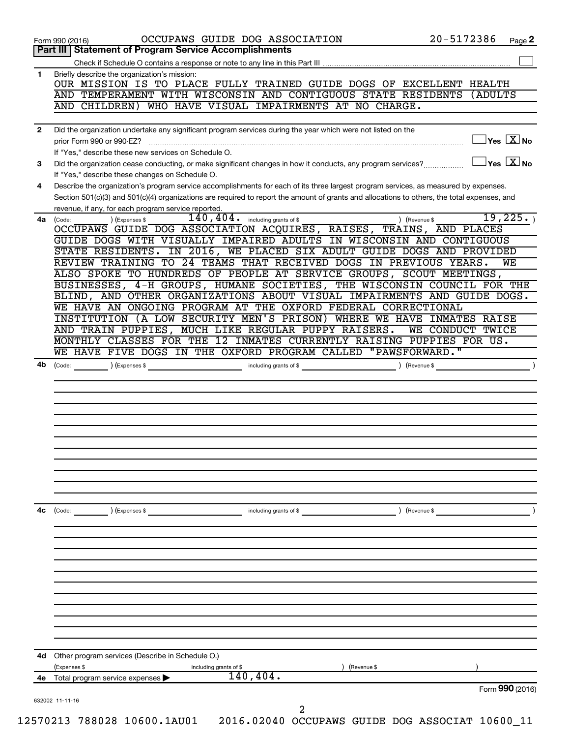| Part III   Statement of Program Service Accomplishments<br>Briefly describe the organization's mission:<br>$\mathbf{1}$<br>OUR MISSION IS TO PLACE FULLY TRAINED GUIDE DOGS OF EXCELLENT HEALTH<br>AND TEMPERAMENT WITH WISCONSIN AND CONTIGUOUS STATE RESIDENTS<br>AND CHILDREN) WHO HAVE VISUAL IMPAIRMENTS AT NO CHARGE. | (ADULTS                                          |
|-----------------------------------------------------------------------------------------------------------------------------------------------------------------------------------------------------------------------------------------------------------------------------------------------------------------------------|--------------------------------------------------|
|                                                                                                                                                                                                                                                                                                                             |                                                  |
|                                                                                                                                                                                                                                                                                                                             |                                                  |
|                                                                                                                                                                                                                                                                                                                             |                                                  |
|                                                                                                                                                                                                                                                                                                                             |                                                  |
|                                                                                                                                                                                                                                                                                                                             |                                                  |
|                                                                                                                                                                                                                                                                                                                             |                                                  |
| Did the organization undertake any significant program services during the year which were not listed on the<br>$\mathbf{2}$<br>prior Form 990 or 990-EZ?                                                                                                                                                                   | $\sqrt{\mathsf{Yes}\ \mathbf{X}}$ No             |
| If "Yes," describe these new services on Schedule O.                                                                                                                                                                                                                                                                        |                                                  |
| Did the organization cease conducting, or make significant changes in how it conducts, any program services?<br>3                                                                                                                                                                                                           | $\sqrt{}$ Yes $\sqrt{}$ $\overline{\text{X}}$ No |
| If "Yes," describe these changes on Schedule O.                                                                                                                                                                                                                                                                             |                                                  |
| Describe the organization's program service accomplishments for each of its three largest program services, as measured by expenses.<br>4                                                                                                                                                                                   |                                                  |
| Section 501(c)(3) and 501(c)(4) organizations are required to report the amount of grants and allocations to others, the total expenses, and<br>revenue, if any, for each program service reported.                                                                                                                         |                                                  |
| $140, 404$ . including grants of \$<br>) (Revenue \$<br>4a<br>(Code:<br>(Expenses \$                                                                                                                                                                                                                                        | 19,225.                                          |
| OCCUPAWS GUIDE DOG ASSOCIATION ACQUIRES, RAISES, TRAINS, AND PLACES                                                                                                                                                                                                                                                         |                                                  |
| GUIDE DOGS WITH VISUALLY IMPAIRED ADULTS IN WISCONSIN AND CONTIGUOUS                                                                                                                                                                                                                                                        |                                                  |
| STATE RESIDENTS. IN 2016, WE PLACED SIX ADULT GUIDE DOGS AND PROVIDED                                                                                                                                                                                                                                                       |                                                  |
| REVIEW TRAINING TO 24 TEAMS THAT RECEIVED DOGS IN PREVIOUS YEARS.                                                                                                                                                                                                                                                           | WЕ                                               |
| ALSO SPOKE TO HUNDREDS OF PEOPLE AT SERVICE GROUPS, SCOUT MEETINGS,<br>BUSINESSES, 4-H GROUPS, HUMANE SOCIETIES, THE WISCONSIN COUNCIL FOR THE                                                                                                                                                                              |                                                  |
| BLIND, AND OTHER ORGANIZATIONS ABOUT VISUAL IMPAIRMENTS AND GUIDE DOGS.                                                                                                                                                                                                                                                     |                                                  |
| WE HAVE AN ONGOING PROGRAM AT THE OXFORD FEDERAL CORRECTIONAL                                                                                                                                                                                                                                                               |                                                  |
| INSTITUTION (A LOW SECURITY MEN'S PRISON) WHERE WE HAVE INMATES RAISE                                                                                                                                                                                                                                                       |                                                  |
| AND TRAIN PUPPIES, MUCH LIKE REGULAR PUPPY RAISERS.<br>WE CONDUCT TWICE                                                                                                                                                                                                                                                     |                                                  |
| MONTHLY CLASSES FOR THE 12 INMATES CURRENTLY RAISING PUPPIES FOR US.                                                                                                                                                                                                                                                        |                                                  |
| WE HAVE FIVE DOGS IN THE OXFORD PROGRAM CALLED "PAWSFORWARD."                                                                                                                                                                                                                                                               |                                                  |
| 4b<br>(Code:<br>(Expenses \$<br>including grants of \$<br>) (Revenue \$                                                                                                                                                                                                                                                     |                                                  |
|                                                                                                                                                                                                                                                                                                                             |                                                  |
|                                                                                                                                                                                                                                                                                                                             |                                                  |
|                                                                                                                                                                                                                                                                                                                             |                                                  |
|                                                                                                                                                                                                                                                                                                                             |                                                  |
|                                                                                                                                                                                                                                                                                                                             |                                                  |
|                                                                                                                                                                                                                                                                                                                             |                                                  |
|                                                                                                                                                                                                                                                                                                                             |                                                  |
|                                                                                                                                                                                                                                                                                                                             |                                                  |
|                                                                                                                                                                                                                                                                                                                             |                                                  |
| ) (Revenue \$<br>4с<br>(Code:<br>) (Expenses \$<br>including grants of \$                                                                                                                                                                                                                                                   |                                                  |
|                                                                                                                                                                                                                                                                                                                             |                                                  |
|                                                                                                                                                                                                                                                                                                                             |                                                  |
|                                                                                                                                                                                                                                                                                                                             |                                                  |
|                                                                                                                                                                                                                                                                                                                             |                                                  |
|                                                                                                                                                                                                                                                                                                                             |                                                  |
|                                                                                                                                                                                                                                                                                                                             |                                                  |
|                                                                                                                                                                                                                                                                                                                             |                                                  |
|                                                                                                                                                                                                                                                                                                                             |                                                  |
| Other program services (Describe in Schedule O.)<br>4d                                                                                                                                                                                                                                                                      |                                                  |
| (Expenses \$<br>including grants of \$<br>(Revenue \$<br>140, 404.<br>Total program service expenses<br>4е                                                                                                                                                                                                                  |                                                  |
|                                                                                                                                                                                                                                                                                                                             | Form 990 (2016)                                  |
| 632002 11-11-16<br>2                                                                                                                                                                                                                                                                                                        |                                                  |
| 12570213 788028 10600.1AU01  2016.02040 OCCUPAWS GUIDE DOG ASSOCIAT 10600_11                                                                                                                                                                                                                                                |                                                  |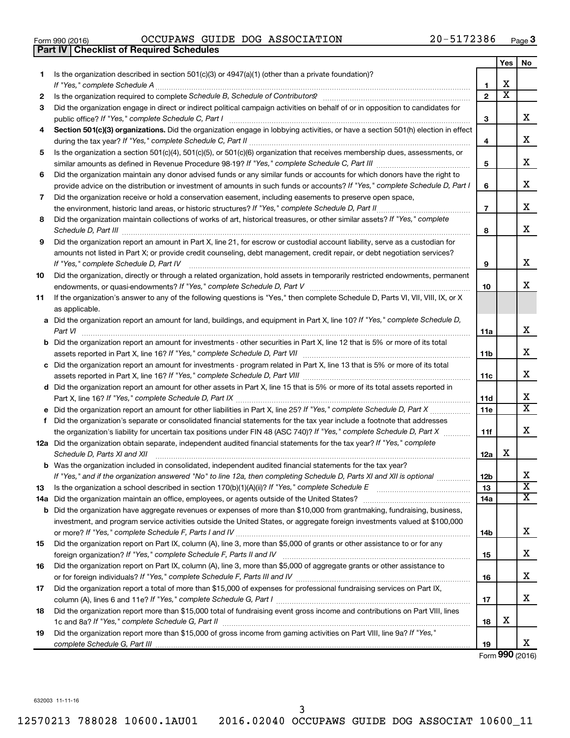| Form 990 (2016) |  |  |
|-----------------|--|--|

|     | <b>Checklist of Required Schedules</b><br><b>Part IV</b>                                                                                           |                 |                         |                              |
|-----|----------------------------------------------------------------------------------------------------------------------------------------------------|-----------------|-------------------------|------------------------------|
|     |                                                                                                                                                    |                 | <b>Yes</b>              | No.                          |
| 1   | Is the organization described in section $501(c)(3)$ or $4947(a)(1)$ (other than a private foundation)?                                            |                 |                         |                              |
|     |                                                                                                                                                    | 1               | X                       |                              |
| 2   |                                                                                                                                                    | $\mathbf{2}$    | $\overline{\mathbf{X}}$ |                              |
| 3   | Did the organization engage in direct or indirect political campaign activities on behalf of or in opposition to candidates for                    |                 |                         |                              |
|     |                                                                                                                                                    | 3               |                         | x                            |
| 4   | Section 501(c)(3) organizations. Did the organization engage in lobbying activities, or have a section 501(h) election in effect                   |                 |                         |                              |
|     |                                                                                                                                                    | 4               |                         | х                            |
| 5   | Is the organization a section 501(c)(4), 501(c)(5), or 501(c)(6) organization that receives membership dues, assessments, or                       |                 |                         |                              |
|     |                                                                                                                                                    | 5               |                         | х                            |
| 6   | Did the organization maintain any donor advised funds or any similar funds or accounts for which donors have the right to                          |                 |                         |                              |
|     | provide advice on the distribution or investment of amounts in such funds or accounts? If "Yes," complete Schedule D, Part I                       | 6               |                         | x                            |
| 7   | Did the organization receive or hold a conservation easement, including easements to preserve open space,                                          |                 |                         |                              |
|     |                                                                                                                                                    | $\overline{7}$  |                         | х                            |
| 8   | Did the organization maintain collections of works of art, historical treasures, or other similar assets? If "Yes," complete                       |                 |                         |                              |
|     | Schedule D, Part III <b>Marting Commission Commission</b> Commission Commission Commission Commission Commission                                   | 8               |                         | х                            |
| 9   | Did the organization report an amount in Part X, line 21, for escrow or custodial account liability, serve as a custodian for                      |                 |                         |                              |
|     | amounts not listed in Part X; or provide credit counseling, debt management, credit repair, or debt negotiation services?                          |                 |                         |                              |
|     | If "Yes," complete Schedule D, Part IV                                                                                                             | 9               |                         | x                            |
| 10  | Did the organization, directly or through a related organization, hold assets in temporarily restricted endowments, permanent                      |                 |                         |                              |
|     |                                                                                                                                                    | 10              |                         | x                            |
| 11  | If the organization's answer to any of the following questions is "Yes," then complete Schedule D, Parts VI, VII, VIII, IX, or X                   |                 |                         |                              |
|     | as applicable.                                                                                                                                     |                 |                         |                              |
|     | a Did the organization report an amount for land, buildings, and equipment in Part X, line 10? If "Yes," complete Schedule D,                      |                 |                         |                              |
|     |                                                                                                                                                    | 11a             |                         | х                            |
|     | <b>b</b> Did the organization report an amount for investments - other securities in Part X, line 12 that is 5% or more of its total               |                 |                         |                              |
|     |                                                                                                                                                    | 11b             |                         | х                            |
|     | c Did the organization report an amount for investments - program related in Part X, line 13 that is 5% or more of its total                       |                 |                         |                              |
|     |                                                                                                                                                    | 11с             |                         | х                            |
|     | d Did the organization report an amount for other assets in Part X, line 15 that is 5% or more of its total assets reported in                     |                 |                         |                              |
|     |                                                                                                                                                    | 11d             |                         | х<br>$\overline{\mathtt{x}}$ |
|     |                                                                                                                                                    | 11 <sub>c</sub> |                         |                              |
|     | f Did the organization's separate or consolidated financial statements for the tax year include a footnote that addresses                          |                 |                         | х                            |
|     | the organization's liability for uncertain tax positions under FIN 48 (ASC 740)? If "Yes," complete Schedule D, Part X                             | 11f             |                         |                              |
|     | 12a Did the organization obtain separate, independent audited financial statements for the tax year? If "Yes," complete                            |                 | x                       |                              |
|     | Schedule D, Parts XI and XII<br><b>b</b> Was the organization included in consolidated, independent audited financial statements for the tax year? | 12a             |                         |                              |
|     | If "Yes," and if the organization answered "No" to line 12a, then completing Schedule D, Parts XI and XII is optional                              | 12 <sub>b</sub> |                         | х                            |
| 13  |                                                                                                                                                    | 13              |                         | $\overline{\textbf{x}}$      |
| 14a |                                                                                                                                                    | 14a             |                         | $\overline{\text{X}}$        |
| b   | Did the organization have aggregate revenues or expenses of more than \$10,000 from grantmaking, fundraising, business,                            |                 |                         |                              |
|     | investment, and program service activities outside the United States, or aggregate foreign investments valued at \$100,000                         |                 |                         |                              |
|     |                                                                                                                                                    | 14b             |                         | х                            |
| 15  | Did the organization report on Part IX, column (A), line 3, more than \$5,000 of grants or other assistance to or for any                          |                 |                         |                              |
|     |                                                                                                                                                    | 15              |                         | х                            |
| 16  | Did the organization report on Part IX, column (A), line 3, more than \$5,000 of aggregate grants or other assistance to                           |                 |                         |                              |
|     |                                                                                                                                                    | 16              |                         | х                            |
| 17  | Did the organization report a total of more than \$15,000 of expenses for professional fundraising services on Part IX,                            |                 |                         |                              |
|     |                                                                                                                                                    | 17              |                         | x                            |
| 18  | Did the organization report more than \$15,000 total of fundraising event gross income and contributions on Part VIII, lines                       |                 |                         |                              |
|     |                                                                                                                                                    | 18              | х                       |                              |
| 19  | Did the organization report more than \$15,000 of gross income from gaming activities on Part VIII, line 9a? If "Yes,"                             |                 |                         |                              |
|     |                                                                                                                                                    | 19              |                         | X                            |

Form (2016) **990**

632003 11-11-16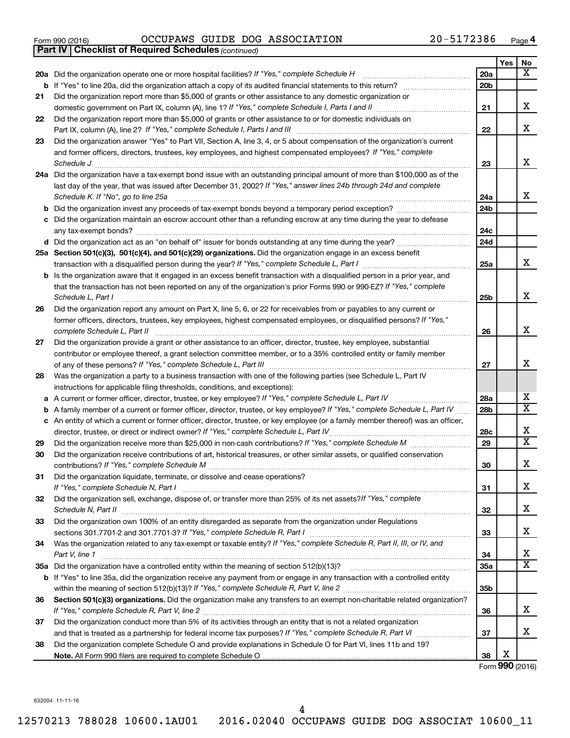|  | Form 990 (2016) |
|--|-----------------|
|  |                 |

*(continued)* **Part IV Checklist of Required Schedules**

|    |                                                                                                                                                                                                                                       |                 | Yes | No                      |
|----|---------------------------------------------------------------------------------------------------------------------------------------------------------------------------------------------------------------------------------------|-----------------|-----|-------------------------|
|    | 20a Did the organization operate one or more hospital facilities? If "Yes," complete Schedule H                                                                                                                                       | 20a             |     | X                       |
|    |                                                                                                                                                                                                                                       | 20 <sub>b</sub> |     |                         |
| 21 | Did the organization report more than \$5,000 of grants or other assistance to any domestic organization or                                                                                                                           |                 |     |                         |
|    |                                                                                                                                                                                                                                       | 21              |     | х                       |
| 22 | Did the organization report more than \$5,000 of grants or other assistance to or for domestic individuals on                                                                                                                         |                 |     | x                       |
| 23 | Did the organization answer "Yes" to Part VII, Section A, line 3, 4, or 5 about compensation of the organization's current                                                                                                            | 22              |     |                         |
|    | and former officers, directors, trustees, key employees, and highest compensated employees? If "Yes," complete                                                                                                                        |                 |     |                         |
|    | Schedule J                                                                                                                                                                                                                            | 23              |     | x                       |
|    | 24a Did the organization have a tax-exempt bond issue with an outstanding principal amount of more than \$100,000 as of the                                                                                                           |                 |     |                         |
|    | last day of the year, that was issued after December 31, 2002? If "Yes," answer lines 24b through 24d and complete                                                                                                                    |                 |     |                         |
|    | Schedule K. If "No", go to line 25a                                                                                                                                                                                                   | 24a             |     | x                       |
| b  |                                                                                                                                                                                                                                       | 24 <sub>b</sub> |     |                         |
|    | Did the organization maintain an escrow account other than a refunding escrow at any time during the year to defease                                                                                                                  |                 |     |                         |
|    |                                                                                                                                                                                                                                       | 24c             |     |                         |
|    |                                                                                                                                                                                                                                       | 24d             |     |                         |
|    | 25a Section 501(c)(3), 501(c)(4), and 501(c)(29) organizations. Did the organization engage in an excess benefit                                                                                                                      |                 |     |                         |
|    |                                                                                                                                                                                                                                       | 25a             |     | x                       |
|    | <b>b</b> Is the organization aware that it engaged in an excess benefit transaction with a disqualified person in a prior year, and                                                                                                   |                 |     |                         |
|    | that the transaction has not been reported on any of the organization's prior Forms 990 or 990-EZ? If "Yes," complete                                                                                                                 |                 |     |                         |
|    | Schedule L, Part I                                                                                                                                                                                                                    | 25b             |     | X                       |
| 26 | Did the organization report any amount on Part X, line 5, 6, or 22 for receivables from or payables to any current or                                                                                                                 |                 |     |                         |
|    | former officers, directors, trustees, key employees, highest compensated employees, or disqualified persons? If "Yes,"                                                                                                                |                 |     |                         |
|    | complete Schedule L, Part II                                                                                                                                                                                                          | 26              |     | X                       |
| 27 | Did the organization provide a grant or other assistance to an officer, director, trustee, key employee, substantial                                                                                                                  |                 |     |                         |
|    | contributor or employee thereof, a grant selection committee member, or to a 35% controlled entity or family member                                                                                                                   |                 |     |                         |
|    |                                                                                                                                                                                                                                       | 27              |     | x                       |
| 28 | Was the organization a party to a business transaction with one of the following parties (see Schedule L, Part IV                                                                                                                     |                 |     |                         |
|    | instructions for applicable filing thresholds, conditions, and exceptions):                                                                                                                                                           | 28a             |     | х                       |
| а  | A current or former officer, director, trustee, or key employee? If "Yes," complete Schedule L, Part IV<br>A family member of a current or former officer, director, trustee, or key employee? If "Yes," complete Schedule L, Part IV | 28b             |     | $\overline{\mathbf{X}}$ |
| b  | c An entity of which a current or former officer, director, trustee, or key employee (or a family member thereof) was an officer,                                                                                                     |                 |     |                         |
|    | director, trustee, or direct or indirect owner? If "Yes," complete Schedule L, Part IV.                                                                                                                                               | 28c             |     | х                       |
| 29 |                                                                                                                                                                                                                                       | 29              |     | $\overline{\textbf{x}}$ |
| 30 | Did the organization receive contributions of art, historical treasures, or other similar assets, or qualified conservation                                                                                                           |                 |     |                         |
|    |                                                                                                                                                                                                                                       | 30              |     | x                       |
| 31 | Did the organization liquidate, terminate, or dissolve and cease operations?                                                                                                                                                          |                 |     |                         |
|    |                                                                                                                                                                                                                                       | 31              |     | х                       |
| 32 | Did the organization sell, exchange, dispose of, or transfer more than 25% of its net assets? If "Yes," complete                                                                                                                      |                 |     |                         |
|    |                                                                                                                                                                                                                                       | 32              |     | х                       |
| 33 | Did the organization own 100% of an entity disregarded as separate from the organization under Regulations                                                                                                                            |                 |     |                         |
|    |                                                                                                                                                                                                                                       | 33              |     | х                       |
| 34 | Was the organization related to any tax-exempt or taxable entity? If "Yes," complete Schedule R, Part II, III, or IV, and                                                                                                             |                 |     |                         |
|    | Part V, line 1                                                                                                                                                                                                                        | 34              |     | x                       |
|    |                                                                                                                                                                                                                                       | 35a             |     | $\overline{\texttt{x}}$ |
|    | b If "Yes" to line 35a, did the organization receive any payment from or engage in any transaction with a controlled entity                                                                                                           |                 |     |                         |
|    |                                                                                                                                                                                                                                       | 35b             |     |                         |
| 36 | Section 501(c)(3) organizations. Did the organization make any transfers to an exempt non-charitable related organization?                                                                                                            |                 |     |                         |
|    |                                                                                                                                                                                                                                       | 36              |     | x                       |
| 37 | Did the organization conduct more than 5% of its activities through an entity that is not a related organization                                                                                                                      |                 |     | x                       |
|    |                                                                                                                                                                                                                                       | 37              |     |                         |
| 38 | Did the organization complete Schedule O and provide explanations in Schedule O for Part VI, lines 11b and 19?                                                                                                                        | 38              | Х   |                         |
|    |                                                                                                                                                                                                                                       |                 |     |                         |

Form (2016) **990**

632004 11-11-16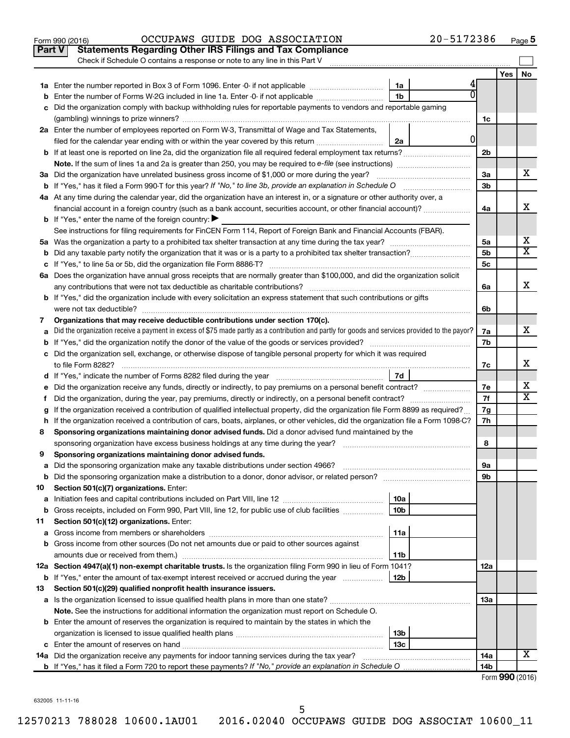| <b>Statements Regarding Other IRS Filings and Tax Compliance</b><br><b>Part V</b><br>Check if Schedule O contains a response or note to any line in this Part V<br>No<br>Yes<br>1a<br>1 <sub>b</sub><br><b>b</b> Enter the number of Forms W-2G included in line 1a. Enter -0- if not applicable <i>manumumumum</i><br>c Did the organization comply with backup withholding rules for reportable payments to vendors and reportable gaming<br>1c<br>2a Enter the number of employees reported on Form W-3, Transmittal of Wage and Tax Statements,<br>01<br>filed for the calendar year ending with or within the year covered by this return<br>2a<br>2 <sub>b</sub><br><b>Note.</b> If the sum of lines 1a and 2a is greater than 250, you may be required to e-file (see instructions)<br>x<br>3a<br>3a Did the organization have unrelated business gross income of \$1,000 or more during the year?<br>3 <sub>b</sub><br><b>b</b> If "Yes," has it filed a Form 990-T for this year? If "No," to line 3b, provide an explanation in Schedule O<br>4a At any time during the calendar year, did the organization have an interest in, or a signature or other authority over, a<br>х<br>financial account in a foreign country (such as a bank account, securities account, or other financial account)?<br>4a<br><b>b</b> If "Yes," enter the name of the foreign country: $\blacktriangleright$<br>See instructions for filing requirements for FinCEN Form 114, Report of Foreign Bank and Financial Accounts (FBAR).<br>х<br>5a<br>$\overline{\mathtt{x}}$<br>5 <sub>b</sub><br>5c<br>6a Does the organization have annual gross receipts that are normally greater than \$100,000, and did the organization solicit<br>x<br>any contributions that were not tax deductible as charitable contributions?<br>6a<br><b>b</b> If "Yes," did the organization include with every solicitation an express statement that such contributions or gifts<br>were not tax deductible?<br>6b<br>Organizations that may receive deductible contributions under section 170(c).<br>7<br>x<br>Did the organization receive a payment in excess of \$75 made partly as a contribution and partly for goods and services provided to the payor?<br>7a<br>a<br>7b<br>c Did the organization sell, exchange, or otherwise dispose of tangible personal property for which it was required<br>х<br>to file Form 8282?<br>7c<br>7d<br>d If "Yes," indicate the number of Forms 8282 filed during the year manufactured in the settle surface of Forms and The United States (States Infermation of the United States Infermation of the United States Infermation of<br>х<br>7е<br>e Did the organization receive any funds, directly or indirectly, to pay premiums on a personal benefit contract?<br>$\overline{\mathtt{x}}$<br>7f<br>Did the organization, during the year, pay premiums, directly or indirectly, on a personal benefit contract?<br>t.<br>If the organization received a contribution of qualified intellectual property, did the organization file Form 8899 as required?<br>7g<br>g<br>7h<br>h If the organization received a contribution of cars, boats, airplanes, or other vehicles, did the organization file a Form 1098-C?<br>Sponsoring organizations maintaining donor advised funds. Did a donor advised fund maintained by the<br>8<br>sponsoring organization have excess business holdings at any time during the year?<br>8<br>Sponsoring organizations maintaining donor advised funds.<br>9<br>Did the sponsoring organization make any taxable distributions under section 4966?<br>9а<br>а<br>$\mathcal{L} = \{1, 2, \ldots, 2, \ldots, 2, \ldots, 2, \ldots, 2, \ldots, 2, \ldots, 2, \ldots, 2, \ldots, 2, \ldots, 2, \ldots, 2, \ldots, 2, \ldots, 2, \ldots, 2, \ldots, 2, \ldots, 2, \ldots, 2, \ldots, 2, \ldots, 2, \ldots, 2, \ldots, 2, \ldots, 2, \ldots, 2, \ldots, 2, \ldots, 2, \ldots, 2, \ldots, 2, \ldots, 2, \ldots, 2, \ldots, 2, \ldots$<br>Did the sponsoring organization make a distribution to a donor, donor advisor, or related person?<br>9b<br>b<br>Section 501(c)(7) organizations. Enter:<br>10<br>10a<br>а<br>Gross receipts, included on Form 990, Part VIII, line 12, for public use of club facilities<br>10 <sub>b</sub><br>b<br>Section 501(c)(12) organizations. Enter:<br>11<br>11a<br>а<br>b Gross income from other sources (Do not net amounts due or paid to other sources against<br>11b<br>12a Section 4947(a)(1) non-exempt charitable trusts. Is the organization filing Form 990 in lieu of Form 1041?<br>12a<br><b>b</b> If "Yes," enter the amount of tax-exempt interest received or accrued during the year<br>12b<br>Section 501(c)(29) qualified nonprofit health insurance issuers.<br>13<br>a Is the organization licensed to issue qualified health plans in more than one state?<br>13a<br><b>Note.</b> See the instructions for additional information the organization must report on Schedule O.<br><b>b</b> Enter the amount of reserves the organization is required to maintain by the states in which the<br>13 <sub>b</sub><br>13с<br>X<br>14a<br><b>14a</b> Did the organization receive any payments for indoor tanning services during the tax year? | 20-5172386<br>OCCUPAWS GUIDE DOG ASSOCIATION<br>Form 990 (2016) |  | Page 5 |
|-------------------------------------------------------------------------------------------------------------------------------------------------------------------------------------------------------------------------------------------------------------------------------------------------------------------------------------------------------------------------------------------------------------------------------------------------------------------------------------------------------------------------------------------------------------------------------------------------------------------------------------------------------------------------------------------------------------------------------------------------------------------------------------------------------------------------------------------------------------------------------------------------------------------------------------------------------------------------------------------------------------------------------------------------------------------------------------------------------------------------------------------------------------------------------------------------------------------------------------------------------------------------------------------------------------------------------------------------------------------------------------------------------------------------------------------------------------------------------------------------------------------------------------------------------------------------------------------------------------------------------------------------------------------------------------------------------------------------------------------------------------------------------------------------------------------------------------------------------------------------------------------------------------------------------------------------------------------------------------------------------------------------------------------------------------------------------------------------------------------------------------------------------------------------------------------------------------------------------------------------------------------------------------------------------------------------------------------------------------------------------------------------------------------------------------------------------------------------------------------------------------------------------------------------------------------------------------------------------------------------------------------------------------------------------------------------------------------------------------------------------------------------------------------------------------------------------------------------------------------------------------------------------------------------------------------------------------------------------------------------------------------------------------------------------------------------------------------------------------------------------------------------------------------------------------------------------------------------------------------------------------------------------------------------------------------------------------------------------------------------------------------------------------------------------------------------------------------------------------------------------------------------------------------------------------------------------------------------------------------------------------------------------------------------------------------------------------------------------------------------------------------------------------------------------------------------------------------------------------------------------------------------------------------------------------------------------------------------------------------------------------------------------------------------------------------------------------------------------------------------------------------------------------------------------------------------------------------------------------------------------------------------------------------------------------------------------------------------------------------------------------------------------------------------------------------------------------------------------------------------------------------------------------------------------------------------------------------------------------------------------------------------------------------------------------------------------------------------------------------------------------------------------------------------------------------------------------------------------------------------------------------------------------------------------------------------------------------------------------------------------------------------------------------------------------------------------------------------------------------------------------------------------------------------------------------------------------------------------------------------------|-----------------------------------------------------------------|--|--------|
|                                                                                                                                                                                                                                                                                                                                                                                                                                                                                                                                                                                                                                                                                                                                                                                                                                                                                                                                                                                                                                                                                                                                                                                                                                                                                                                                                                                                                                                                                                                                                                                                                                                                                                                                                                                                                                                                                                                                                                                                                                                                                                                                                                                                                                                                                                                                                                                                                                                                                                                                                                                                                                                                                                                                                                                                                                                                                                                                                                                                                                                                                                                                                                                                                                                                                                                                                                                                                                                                                                                                                                                                                                                                                                                                                                                                                                                                                                                                                                                                                                                                                                                                                                                                                                                                                                                                                                                                                                                                                                                                                                                                                                                                                                                                                                                                                                                                                                                                                                                                                                                                                                                                                                                                                                                       |                                                                 |  |        |
|                                                                                                                                                                                                                                                                                                                                                                                                                                                                                                                                                                                                                                                                                                                                                                                                                                                                                                                                                                                                                                                                                                                                                                                                                                                                                                                                                                                                                                                                                                                                                                                                                                                                                                                                                                                                                                                                                                                                                                                                                                                                                                                                                                                                                                                                                                                                                                                                                                                                                                                                                                                                                                                                                                                                                                                                                                                                                                                                                                                                                                                                                                                                                                                                                                                                                                                                                                                                                                                                                                                                                                                                                                                                                                                                                                                                                                                                                                                                                                                                                                                                                                                                                                                                                                                                                                                                                                                                                                                                                                                                                                                                                                                                                                                                                                                                                                                                                                                                                                                                                                                                                                                                                                                                                                                       |                                                                 |  |        |
|                                                                                                                                                                                                                                                                                                                                                                                                                                                                                                                                                                                                                                                                                                                                                                                                                                                                                                                                                                                                                                                                                                                                                                                                                                                                                                                                                                                                                                                                                                                                                                                                                                                                                                                                                                                                                                                                                                                                                                                                                                                                                                                                                                                                                                                                                                                                                                                                                                                                                                                                                                                                                                                                                                                                                                                                                                                                                                                                                                                                                                                                                                                                                                                                                                                                                                                                                                                                                                                                                                                                                                                                                                                                                                                                                                                                                                                                                                                                                                                                                                                                                                                                                                                                                                                                                                                                                                                                                                                                                                                                                                                                                                                                                                                                                                                                                                                                                                                                                                                                                                                                                                                                                                                                                                                       |                                                                 |  |        |
|                                                                                                                                                                                                                                                                                                                                                                                                                                                                                                                                                                                                                                                                                                                                                                                                                                                                                                                                                                                                                                                                                                                                                                                                                                                                                                                                                                                                                                                                                                                                                                                                                                                                                                                                                                                                                                                                                                                                                                                                                                                                                                                                                                                                                                                                                                                                                                                                                                                                                                                                                                                                                                                                                                                                                                                                                                                                                                                                                                                                                                                                                                                                                                                                                                                                                                                                                                                                                                                                                                                                                                                                                                                                                                                                                                                                                                                                                                                                                                                                                                                                                                                                                                                                                                                                                                                                                                                                                                                                                                                                                                                                                                                                                                                                                                                                                                                                                                                                                                                                                                                                                                                                                                                                                                                       |                                                                 |  |        |
|                                                                                                                                                                                                                                                                                                                                                                                                                                                                                                                                                                                                                                                                                                                                                                                                                                                                                                                                                                                                                                                                                                                                                                                                                                                                                                                                                                                                                                                                                                                                                                                                                                                                                                                                                                                                                                                                                                                                                                                                                                                                                                                                                                                                                                                                                                                                                                                                                                                                                                                                                                                                                                                                                                                                                                                                                                                                                                                                                                                                                                                                                                                                                                                                                                                                                                                                                                                                                                                                                                                                                                                                                                                                                                                                                                                                                                                                                                                                                                                                                                                                                                                                                                                                                                                                                                                                                                                                                                                                                                                                                                                                                                                                                                                                                                                                                                                                                                                                                                                                                                                                                                                                                                                                                                                       |                                                                 |  |        |
|                                                                                                                                                                                                                                                                                                                                                                                                                                                                                                                                                                                                                                                                                                                                                                                                                                                                                                                                                                                                                                                                                                                                                                                                                                                                                                                                                                                                                                                                                                                                                                                                                                                                                                                                                                                                                                                                                                                                                                                                                                                                                                                                                                                                                                                                                                                                                                                                                                                                                                                                                                                                                                                                                                                                                                                                                                                                                                                                                                                                                                                                                                                                                                                                                                                                                                                                                                                                                                                                                                                                                                                                                                                                                                                                                                                                                                                                                                                                                                                                                                                                                                                                                                                                                                                                                                                                                                                                                                                                                                                                                                                                                                                                                                                                                                                                                                                                                                                                                                                                                                                                                                                                                                                                                                                       |                                                                 |  |        |
|                                                                                                                                                                                                                                                                                                                                                                                                                                                                                                                                                                                                                                                                                                                                                                                                                                                                                                                                                                                                                                                                                                                                                                                                                                                                                                                                                                                                                                                                                                                                                                                                                                                                                                                                                                                                                                                                                                                                                                                                                                                                                                                                                                                                                                                                                                                                                                                                                                                                                                                                                                                                                                                                                                                                                                                                                                                                                                                                                                                                                                                                                                                                                                                                                                                                                                                                                                                                                                                                                                                                                                                                                                                                                                                                                                                                                                                                                                                                                                                                                                                                                                                                                                                                                                                                                                                                                                                                                                                                                                                                                                                                                                                                                                                                                                                                                                                                                                                                                                                                                                                                                                                                                                                                                                                       |                                                                 |  |        |
|                                                                                                                                                                                                                                                                                                                                                                                                                                                                                                                                                                                                                                                                                                                                                                                                                                                                                                                                                                                                                                                                                                                                                                                                                                                                                                                                                                                                                                                                                                                                                                                                                                                                                                                                                                                                                                                                                                                                                                                                                                                                                                                                                                                                                                                                                                                                                                                                                                                                                                                                                                                                                                                                                                                                                                                                                                                                                                                                                                                                                                                                                                                                                                                                                                                                                                                                                                                                                                                                                                                                                                                                                                                                                                                                                                                                                                                                                                                                                                                                                                                                                                                                                                                                                                                                                                                                                                                                                                                                                                                                                                                                                                                                                                                                                                                                                                                                                                                                                                                                                                                                                                                                                                                                                                                       |                                                                 |  |        |
|                                                                                                                                                                                                                                                                                                                                                                                                                                                                                                                                                                                                                                                                                                                                                                                                                                                                                                                                                                                                                                                                                                                                                                                                                                                                                                                                                                                                                                                                                                                                                                                                                                                                                                                                                                                                                                                                                                                                                                                                                                                                                                                                                                                                                                                                                                                                                                                                                                                                                                                                                                                                                                                                                                                                                                                                                                                                                                                                                                                                                                                                                                                                                                                                                                                                                                                                                                                                                                                                                                                                                                                                                                                                                                                                                                                                                                                                                                                                                                                                                                                                                                                                                                                                                                                                                                                                                                                                                                                                                                                                                                                                                                                                                                                                                                                                                                                                                                                                                                                                                                                                                                                                                                                                                                                       |                                                                 |  |        |
|                                                                                                                                                                                                                                                                                                                                                                                                                                                                                                                                                                                                                                                                                                                                                                                                                                                                                                                                                                                                                                                                                                                                                                                                                                                                                                                                                                                                                                                                                                                                                                                                                                                                                                                                                                                                                                                                                                                                                                                                                                                                                                                                                                                                                                                                                                                                                                                                                                                                                                                                                                                                                                                                                                                                                                                                                                                                                                                                                                                                                                                                                                                                                                                                                                                                                                                                                                                                                                                                                                                                                                                                                                                                                                                                                                                                                                                                                                                                                                                                                                                                                                                                                                                                                                                                                                                                                                                                                                                                                                                                                                                                                                                                                                                                                                                                                                                                                                                                                                                                                                                                                                                                                                                                                                                       |                                                                 |  |        |
|                                                                                                                                                                                                                                                                                                                                                                                                                                                                                                                                                                                                                                                                                                                                                                                                                                                                                                                                                                                                                                                                                                                                                                                                                                                                                                                                                                                                                                                                                                                                                                                                                                                                                                                                                                                                                                                                                                                                                                                                                                                                                                                                                                                                                                                                                                                                                                                                                                                                                                                                                                                                                                                                                                                                                                                                                                                                                                                                                                                                                                                                                                                                                                                                                                                                                                                                                                                                                                                                                                                                                                                                                                                                                                                                                                                                                                                                                                                                                                                                                                                                                                                                                                                                                                                                                                                                                                                                                                                                                                                                                                                                                                                                                                                                                                                                                                                                                                                                                                                                                                                                                                                                                                                                                                                       |                                                                 |  |        |
|                                                                                                                                                                                                                                                                                                                                                                                                                                                                                                                                                                                                                                                                                                                                                                                                                                                                                                                                                                                                                                                                                                                                                                                                                                                                                                                                                                                                                                                                                                                                                                                                                                                                                                                                                                                                                                                                                                                                                                                                                                                                                                                                                                                                                                                                                                                                                                                                                                                                                                                                                                                                                                                                                                                                                                                                                                                                                                                                                                                                                                                                                                                                                                                                                                                                                                                                                                                                                                                                                                                                                                                                                                                                                                                                                                                                                                                                                                                                                                                                                                                                                                                                                                                                                                                                                                                                                                                                                                                                                                                                                                                                                                                                                                                                                                                                                                                                                                                                                                                                                                                                                                                                                                                                                                                       |                                                                 |  |        |
|                                                                                                                                                                                                                                                                                                                                                                                                                                                                                                                                                                                                                                                                                                                                                                                                                                                                                                                                                                                                                                                                                                                                                                                                                                                                                                                                                                                                                                                                                                                                                                                                                                                                                                                                                                                                                                                                                                                                                                                                                                                                                                                                                                                                                                                                                                                                                                                                                                                                                                                                                                                                                                                                                                                                                                                                                                                                                                                                                                                                                                                                                                                                                                                                                                                                                                                                                                                                                                                                                                                                                                                                                                                                                                                                                                                                                                                                                                                                                                                                                                                                                                                                                                                                                                                                                                                                                                                                                                                                                                                                                                                                                                                                                                                                                                                                                                                                                                                                                                                                                                                                                                                                                                                                                                                       |                                                                 |  |        |
|                                                                                                                                                                                                                                                                                                                                                                                                                                                                                                                                                                                                                                                                                                                                                                                                                                                                                                                                                                                                                                                                                                                                                                                                                                                                                                                                                                                                                                                                                                                                                                                                                                                                                                                                                                                                                                                                                                                                                                                                                                                                                                                                                                                                                                                                                                                                                                                                                                                                                                                                                                                                                                                                                                                                                                                                                                                                                                                                                                                                                                                                                                                                                                                                                                                                                                                                                                                                                                                                                                                                                                                                                                                                                                                                                                                                                                                                                                                                                                                                                                                                                                                                                                                                                                                                                                                                                                                                                                                                                                                                                                                                                                                                                                                                                                                                                                                                                                                                                                                                                                                                                                                                                                                                                                                       |                                                                 |  |        |
|                                                                                                                                                                                                                                                                                                                                                                                                                                                                                                                                                                                                                                                                                                                                                                                                                                                                                                                                                                                                                                                                                                                                                                                                                                                                                                                                                                                                                                                                                                                                                                                                                                                                                                                                                                                                                                                                                                                                                                                                                                                                                                                                                                                                                                                                                                                                                                                                                                                                                                                                                                                                                                                                                                                                                                                                                                                                                                                                                                                                                                                                                                                                                                                                                                                                                                                                                                                                                                                                                                                                                                                                                                                                                                                                                                                                                                                                                                                                                                                                                                                                                                                                                                                                                                                                                                                                                                                                                                                                                                                                                                                                                                                                                                                                                                                                                                                                                                                                                                                                                                                                                                                                                                                                                                                       |                                                                 |  |        |
|                                                                                                                                                                                                                                                                                                                                                                                                                                                                                                                                                                                                                                                                                                                                                                                                                                                                                                                                                                                                                                                                                                                                                                                                                                                                                                                                                                                                                                                                                                                                                                                                                                                                                                                                                                                                                                                                                                                                                                                                                                                                                                                                                                                                                                                                                                                                                                                                                                                                                                                                                                                                                                                                                                                                                                                                                                                                                                                                                                                                                                                                                                                                                                                                                                                                                                                                                                                                                                                                                                                                                                                                                                                                                                                                                                                                                                                                                                                                                                                                                                                                                                                                                                                                                                                                                                                                                                                                                                                                                                                                                                                                                                                                                                                                                                                                                                                                                                                                                                                                                                                                                                                                                                                                                                                       |                                                                 |  |        |
|                                                                                                                                                                                                                                                                                                                                                                                                                                                                                                                                                                                                                                                                                                                                                                                                                                                                                                                                                                                                                                                                                                                                                                                                                                                                                                                                                                                                                                                                                                                                                                                                                                                                                                                                                                                                                                                                                                                                                                                                                                                                                                                                                                                                                                                                                                                                                                                                                                                                                                                                                                                                                                                                                                                                                                                                                                                                                                                                                                                                                                                                                                                                                                                                                                                                                                                                                                                                                                                                                                                                                                                                                                                                                                                                                                                                                                                                                                                                                                                                                                                                                                                                                                                                                                                                                                                                                                                                                                                                                                                                                                                                                                                                                                                                                                                                                                                                                                                                                                                                                                                                                                                                                                                                                                                       |                                                                 |  |        |
|                                                                                                                                                                                                                                                                                                                                                                                                                                                                                                                                                                                                                                                                                                                                                                                                                                                                                                                                                                                                                                                                                                                                                                                                                                                                                                                                                                                                                                                                                                                                                                                                                                                                                                                                                                                                                                                                                                                                                                                                                                                                                                                                                                                                                                                                                                                                                                                                                                                                                                                                                                                                                                                                                                                                                                                                                                                                                                                                                                                                                                                                                                                                                                                                                                                                                                                                                                                                                                                                                                                                                                                                                                                                                                                                                                                                                                                                                                                                                                                                                                                                                                                                                                                                                                                                                                                                                                                                                                                                                                                                                                                                                                                                                                                                                                                                                                                                                                                                                                                                                                                                                                                                                                                                                                                       |                                                                 |  |        |
|                                                                                                                                                                                                                                                                                                                                                                                                                                                                                                                                                                                                                                                                                                                                                                                                                                                                                                                                                                                                                                                                                                                                                                                                                                                                                                                                                                                                                                                                                                                                                                                                                                                                                                                                                                                                                                                                                                                                                                                                                                                                                                                                                                                                                                                                                                                                                                                                                                                                                                                                                                                                                                                                                                                                                                                                                                                                                                                                                                                                                                                                                                                                                                                                                                                                                                                                                                                                                                                                                                                                                                                                                                                                                                                                                                                                                                                                                                                                                                                                                                                                                                                                                                                                                                                                                                                                                                                                                                                                                                                                                                                                                                                                                                                                                                                                                                                                                                                                                                                                                                                                                                                                                                                                                                                       |                                                                 |  |        |
|                                                                                                                                                                                                                                                                                                                                                                                                                                                                                                                                                                                                                                                                                                                                                                                                                                                                                                                                                                                                                                                                                                                                                                                                                                                                                                                                                                                                                                                                                                                                                                                                                                                                                                                                                                                                                                                                                                                                                                                                                                                                                                                                                                                                                                                                                                                                                                                                                                                                                                                                                                                                                                                                                                                                                                                                                                                                                                                                                                                                                                                                                                                                                                                                                                                                                                                                                                                                                                                                                                                                                                                                                                                                                                                                                                                                                                                                                                                                                                                                                                                                                                                                                                                                                                                                                                                                                                                                                                                                                                                                                                                                                                                                                                                                                                                                                                                                                                                                                                                                                                                                                                                                                                                                                                                       |                                                                 |  |        |
|                                                                                                                                                                                                                                                                                                                                                                                                                                                                                                                                                                                                                                                                                                                                                                                                                                                                                                                                                                                                                                                                                                                                                                                                                                                                                                                                                                                                                                                                                                                                                                                                                                                                                                                                                                                                                                                                                                                                                                                                                                                                                                                                                                                                                                                                                                                                                                                                                                                                                                                                                                                                                                                                                                                                                                                                                                                                                                                                                                                                                                                                                                                                                                                                                                                                                                                                                                                                                                                                                                                                                                                                                                                                                                                                                                                                                                                                                                                                                                                                                                                                                                                                                                                                                                                                                                                                                                                                                                                                                                                                                                                                                                                                                                                                                                                                                                                                                                                                                                                                                                                                                                                                                                                                                                                       |                                                                 |  |        |
|                                                                                                                                                                                                                                                                                                                                                                                                                                                                                                                                                                                                                                                                                                                                                                                                                                                                                                                                                                                                                                                                                                                                                                                                                                                                                                                                                                                                                                                                                                                                                                                                                                                                                                                                                                                                                                                                                                                                                                                                                                                                                                                                                                                                                                                                                                                                                                                                                                                                                                                                                                                                                                                                                                                                                                                                                                                                                                                                                                                                                                                                                                                                                                                                                                                                                                                                                                                                                                                                                                                                                                                                                                                                                                                                                                                                                                                                                                                                                                                                                                                                                                                                                                                                                                                                                                                                                                                                                                                                                                                                                                                                                                                                                                                                                                                                                                                                                                                                                                                                                                                                                                                                                                                                                                                       |                                                                 |  |        |
|                                                                                                                                                                                                                                                                                                                                                                                                                                                                                                                                                                                                                                                                                                                                                                                                                                                                                                                                                                                                                                                                                                                                                                                                                                                                                                                                                                                                                                                                                                                                                                                                                                                                                                                                                                                                                                                                                                                                                                                                                                                                                                                                                                                                                                                                                                                                                                                                                                                                                                                                                                                                                                                                                                                                                                                                                                                                                                                                                                                                                                                                                                                                                                                                                                                                                                                                                                                                                                                                                                                                                                                                                                                                                                                                                                                                                                                                                                                                                                                                                                                                                                                                                                                                                                                                                                                                                                                                                                                                                                                                                                                                                                                                                                                                                                                                                                                                                                                                                                                                                                                                                                                                                                                                                                                       |                                                                 |  |        |
|                                                                                                                                                                                                                                                                                                                                                                                                                                                                                                                                                                                                                                                                                                                                                                                                                                                                                                                                                                                                                                                                                                                                                                                                                                                                                                                                                                                                                                                                                                                                                                                                                                                                                                                                                                                                                                                                                                                                                                                                                                                                                                                                                                                                                                                                                                                                                                                                                                                                                                                                                                                                                                                                                                                                                                                                                                                                                                                                                                                                                                                                                                                                                                                                                                                                                                                                                                                                                                                                                                                                                                                                                                                                                                                                                                                                                                                                                                                                                                                                                                                                                                                                                                                                                                                                                                                                                                                                                                                                                                                                                                                                                                                                                                                                                                                                                                                                                                                                                                                                                                                                                                                                                                                                                                                       |                                                                 |  |        |
|                                                                                                                                                                                                                                                                                                                                                                                                                                                                                                                                                                                                                                                                                                                                                                                                                                                                                                                                                                                                                                                                                                                                                                                                                                                                                                                                                                                                                                                                                                                                                                                                                                                                                                                                                                                                                                                                                                                                                                                                                                                                                                                                                                                                                                                                                                                                                                                                                                                                                                                                                                                                                                                                                                                                                                                                                                                                                                                                                                                                                                                                                                                                                                                                                                                                                                                                                                                                                                                                                                                                                                                                                                                                                                                                                                                                                                                                                                                                                                                                                                                                                                                                                                                                                                                                                                                                                                                                                                                                                                                                                                                                                                                                                                                                                                                                                                                                                                                                                                                                                                                                                                                                                                                                                                                       |                                                                 |  |        |
|                                                                                                                                                                                                                                                                                                                                                                                                                                                                                                                                                                                                                                                                                                                                                                                                                                                                                                                                                                                                                                                                                                                                                                                                                                                                                                                                                                                                                                                                                                                                                                                                                                                                                                                                                                                                                                                                                                                                                                                                                                                                                                                                                                                                                                                                                                                                                                                                                                                                                                                                                                                                                                                                                                                                                                                                                                                                                                                                                                                                                                                                                                                                                                                                                                                                                                                                                                                                                                                                                                                                                                                                                                                                                                                                                                                                                                                                                                                                                                                                                                                                                                                                                                                                                                                                                                                                                                                                                                                                                                                                                                                                                                                                                                                                                                                                                                                                                                                                                                                                                                                                                                                                                                                                                                                       |                                                                 |  |        |
|                                                                                                                                                                                                                                                                                                                                                                                                                                                                                                                                                                                                                                                                                                                                                                                                                                                                                                                                                                                                                                                                                                                                                                                                                                                                                                                                                                                                                                                                                                                                                                                                                                                                                                                                                                                                                                                                                                                                                                                                                                                                                                                                                                                                                                                                                                                                                                                                                                                                                                                                                                                                                                                                                                                                                                                                                                                                                                                                                                                                                                                                                                                                                                                                                                                                                                                                                                                                                                                                                                                                                                                                                                                                                                                                                                                                                                                                                                                                                                                                                                                                                                                                                                                                                                                                                                                                                                                                                                                                                                                                                                                                                                                                                                                                                                                                                                                                                                                                                                                                                                                                                                                                                                                                                                                       |                                                                 |  |        |
|                                                                                                                                                                                                                                                                                                                                                                                                                                                                                                                                                                                                                                                                                                                                                                                                                                                                                                                                                                                                                                                                                                                                                                                                                                                                                                                                                                                                                                                                                                                                                                                                                                                                                                                                                                                                                                                                                                                                                                                                                                                                                                                                                                                                                                                                                                                                                                                                                                                                                                                                                                                                                                                                                                                                                                                                                                                                                                                                                                                                                                                                                                                                                                                                                                                                                                                                                                                                                                                                                                                                                                                                                                                                                                                                                                                                                                                                                                                                                                                                                                                                                                                                                                                                                                                                                                                                                                                                                                                                                                                                                                                                                                                                                                                                                                                                                                                                                                                                                                                                                                                                                                                                                                                                                                                       |                                                                 |  |        |
|                                                                                                                                                                                                                                                                                                                                                                                                                                                                                                                                                                                                                                                                                                                                                                                                                                                                                                                                                                                                                                                                                                                                                                                                                                                                                                                                                                                                                                                                                                                                                                                                                                                                                                                                                                                                                                                                                                                                                                                                                                                                                                                                                                                                                                                                                                                                                                                                                                                                                                                                                                                                                                                                                                                                                                                                                                                                                                                                                                                                                                                                                                                                                                                                                                                                                                                                                                                                                                                                                                                                                                                                                                                                                                                                                                                                                                                                                                                                                                                                                                                                                                                                                                                                                                                                                                                                                                                                                                                                                                                                                                                                                                                                                                                                                                                                                                                                                                                                                                                                                                                                                                                                                                                                                                                       |                                                                 |  |        |
|                                                                                                                                                                                                                                                                                                                                                                                                                                                                                                                                                                                                                                                                                                                                                                                                                                                                                                                                                                                                                                                                                                                                                                                                                                                                                                                                                                                                                                                                                                                                                                                                                                                                                                                                                                                                                                                                                                                                                                                                                                                                                                                                                                                                                                                                                                                                                                                                                                                                                                                                                                                                                                                                                                                                                                                                                                                                                                                                                                                                                                                                                                                                                                                                                                                                                                                                                                                                                                                                                                                                                                                                                                                                                                                                                                                                                                                                                                                                                                                                                                                                                                                                                                                                                                                                                                                                                                                                                                                                                                                                                                                                                                                                                                                                                                                                                                                                                                                                                                                                                                                                                                                                                                                                                                                       |                                                                 |  |        |
|                                                                                                                                                                                                                                                                                                                                                                                                                                                                                                                                                                                                                                                                                                                                                                                                                                                                                                                                                                                                                                                                                                                                                                                                                                                                                                                                                                                                                                                                                                                                                                                                                                                                                                                                                                                                                                                                                                                                                                                                                                                                                                                                                                                                                                                                                                                                                                                                                                                                                                                                                                                                                                                                                                                                                                                                                                                                                                                                                                                                                                                                                                                                                                                                                                                                                                                                                                                                                                                                                                                                                                                                                                                                                                                                                                                                                                                                                                                                                                                                                                                                                                                                                                                                                                                                                                                                                                                                                                                                                                                                                                                                                                                                                                                                                                                                                                                                                                                                                                                                                                                                                                                                                                                                                                                       |                                                                 |  |        |
|                                                                                                                                                                                                                                                                                                                                                                                                                                                                                                                                                                                                                                                                                                                                                                                                                                                                                                                                                                                                                                                                                                                                                                                                                                                                                                                                                                                                                                                                                                                                                                                                                                                                                                                                                                                                                                                                                                                                                                                                                                                                                                                                                                                                                                                                                                                                                                                                                                                                                                                                                                                                                                                                                                                                                                                                                                                                                                                                                                                                                                                                                                                                                                                                                                                                                                                                                                                                                                                                                                                                                                                                                                                                                                                                                                                                                                                                                                                                                                                                                                                                                                                                                                                                                                                                                                                                                                                                                                                                                                                                                                                                                                                                                                                                                                                                                                                                                                                                                                                                                                                                                                                                                                                                                                                       |                                                                 |  |        |
|                                                                                                                                                                                                                                                                                                                                                                                                                                                                                                                                                                                                                                                                                                                                                                                                                                                                                                                                                                                                                                                                                                                                                                                                                                                                                                                                                                                                                                                                                                                                                                                                                                                                                                                                                                                                                                                                                                                                                                                                                                                                                                                                                                                                                                                                                                                                                                                                                                                                                                                                                                                                                                                                                                                                                                                                                                                                                                                                                                                                                                                                                                                                                                                                                                                                                                                                                                                                                                                                                                                                                                                                                                                                                                                                                                                                                                                                                                                                                                                                                                                                                                                                                                                                                                                                                                                                                                                                                                                                                                                                                                                                                                                                                                                                                                                                                                                                                                                                                                                                                                                                                                                                                                                                                                                       |                                                                 |  |        |
|                                                                                                                                                                                                                                                                                                                                                                                                                                                                                                                                                                                                                                                                                                                                                                                                                                                                                                                                                                                                                                                                                                                                                                                                                                                                                                                                                                                                                                                                                                                                                                                                                                                                                                                                                                                                                                                                                                                                                                                                                                                                                                                                                                                                                                                                                                                                                                                                                                                                                                                                                                                                                                                                                                                                                                                                                                                                                                                                                                                                                                                                                                                                                                                                                                                                                                                                                                                                                                                                                                                                                                                                                                                                                                                                                                                                                                                                                                                                                                                                                                                                                                                                                                                                                                                                                                                                                                                                                                                                                                                                                                                                                                                                                                                                                                                                                                                                                                                                                                                                                                                                                                                                                                                                                                                       |                                                                 |  |        |
|                                                                                                                                                                                                                                                                                                                                                                                                                                                                                                                                                                                                                                                                                                                                                                                                                                                                                                                                                                                                                                                                                                                                                                                                                                                                                                                                                                                                                                                                                                                                                                                                                                                                                                                                                                                                                                                                                                                                                                                                                                                                                                                                                                                                                                                                                                                                                                                                                                                                                                                                                                                                                                                                                                                                                                                                                                                                                                                                                                                                                                                                                                                                                                                                                                                                                                                                                                                                                                                                                                                                                                                                                                                                                                                                                                                                                                                                                                                                                                                                                                                                                                                                                                                                                                                                                                                                                                                                                                                                                                                                                                                                                                                                                                                                                                                                                                                                                                                                                                                                                                                                                                                                                                                                                                                       |                                                                 |  |        |
|                                                                                                                                                                                                                                                                                                                                                                                                                                                                                                                                                                                                                                                                                                                                                                                                                                                                                                                                                                                                                                                                                                                                                                                                                                                                                                                                                                                                                                                                                                                                                                                                                                                                                                                                                                                                                                                                                                                                                                                                                                                                                                                                                                                                                                                                                                                                                                                                                                                                                                                                                                                                                                                                                                                                                                                                                                                                                                                                                                                                                                                                                                                                                                                                                                                                                                                                                                                                                                                                                                                                                                                                                                                                                                                                                                                                                                                                                                                                                                                                                                                                                                                                                                                                                                                                                                                                                                                                                                                                                                                                                                                                                                                                                                                                                                                                                                                                                                                                                                                                                                                                                                                                                                                                                                                       |                                                                 |  |        |
|                                                                                                                                                                                                                                                                                                                                                                                                                                                                                                                                                                                                                                                                                                                                                                                                                                                                                                                                                                                                                                                                                                                                                                                                                                                                                                                                                                                                                                                                                                                                                                                                                                                                                                                                                                                                                                                                                                                                                                                                                                                                                                                                                                                                                                                                                                                                                                                                                                                                                                                                                                                                                                                                                                                                                                                                                                                                                                                                                                                                                                                                                                                                                                                                                                                                                                                                                                                                                                                                                                                                                                                                                                                                                                                                                                                                                                                                                                                                                                                                                                                                                                                                                                                                                                                                                                                                                                                                                                                                                                                                                                                                                                                                                                                                                                                                                                                                                                                                                                                                                                                                                                                                                                                                                                                       |                                                                 |  |        |
|                                                                                                                                                                                                                                                                                                                                                                                                                                                                                                                                                                                                                                                                                                                                                                                                                                                                                                                                                                                                                                                                                                                                                                                                                                                                                                                                                                                                                                                                                                                                                                                                                                                                                                                                                                                                                                                                                                                                                                                                                                                                                                                                                                                                                                                                                                                                                                                                                                                                                                                                                                                                                                                                                                                                                                                                                                                                                                                                                                                                                                                                                                                                                                                                                                                                                                                                                                                                                                                                                                                                                                                                                                                                                                                                                                                                                                                                                                                                                                                                                                                                                                                                                                                                                                                                                                                                                                                                                                                                                                                                                                                                                                                                                                                                                                                                                                                                                                                                                                                                                                                                                                                                                                                                                                                       |                                                                 |  |        |
|                                                                                                                                                                                                                                                                                                                                                                                                                                                                                                                                                                                                                                                                                                                                                                                                                                                                                                                                                                                                                                                                                                                                                                                                                                                                                                                                                                                                                                                                                                                                                                                                                                                                                                                                                                                                                                                                                                                                                                                                                                                                                                                                                                                                                                                                                                                                                                                                                                                                                                                                                                                                                                                                                                                                                                                                                                                                                                                                                                                                                                                                                                                                                                                                                                                                                                                                                                                                                                                                                                                                                                                                                                                                                                                                                                                                                                                                                                                                                                                                                                                                                                                                                                                                                                                                                                                                                                                                                                                                                                                                                                                                                                                                                                                                                                                                                                                                                                                                                                                                                                                                                                                                                                                                                                                       |                                                                 |  |        |
|                                                                                                                                                                                                                                                                                                                                                                                                                                                                                                                                                                                                                                                                                                                                                                                                                                                                                                                                                                                                                                                                                                                                                                                                                                                                                                                                                                                                                                                                                                                                                                                                                                                                                                                                                                                                                                                                                                                                                                                                                                                                                                                                                                                                                                                                                                                                                                                                                                                                                                                                                                                                                                                                                                                                                                                                                                                                                                                                                                                                                                                                                                                                                                                                                                                                                                                                                                                                                                                                                                                                                                                                                                                                                                                                                                                                                                                                                                                                                                                                                                                                                                                                                                                                                                                                                                                                                                                                                                                                                                                                                                                                                                                                                                                                                                                                                                                                                                                                                                                                                                                                                                                                                                                                                                                       |                                                                 |  |        |
|                                                                                                                                                                                                                                                                                                                                                                                                                                                                                                                                                                                                                                                                                                                                                                                                                                                                                                                                                                                                                                                                                                                                                                                                                                                                                                                                                                                                                                                                                                                                                                                                                                                                                                                                                                                                                                                                                                                                                                                                                                                                                                                                                                                                                                                                                                                                                                                                                                                                                                                                                                                                                                                                                                                                                                                                                                                                                                                                                                                                                                                                                                                                                                                                                                                                                                                                                                                                                                                                                                                                                                                                                                                                                                                                                                                                                                                                                                                                                                                                                                                                                                                                                                                                                                                                                                                                                                                                                                                                                                                                                                                                                                                                                                                                                                                                                                                                                                                                                                                                                                                                                                                                                                                                                                                       |                                                                 |  |        |
|                                                                                                                                                                                                                                                                                                                                                                                                                                                                                                                                                                                                                                                                                                                                                                                                                                                                                                                                                                                                                                                                                                                                                                                                                                                                                                                                                                                                                                                                                                                                                                                                                                                                                                                                                                                                                                                                                                                                                                                                                                                                                                                                                                                                                                                                                                                                                                                                                                                                                                                                                                                                                                                                                                                                                                                                                                                                                                                                                                                                                                                                                                                                                                                                                                                                                                                                                                                                                                                                                                                                                                                                                                                                                                                                                                                                                                                                                                                                                                                                                                                                                                                                                                                                                                                                                                                                                                                                                                                                                                                                                                                                                                                                                                                                                                                                                                                                                                                                                                                                                                                                                                                                                                                                                                                       |                                                                 |  |        |
|                                                                                                                                                                                                                                                                                                                                                                                                                                                                                                                                                                                                                                                                                                                                                                                                                                                                                                                                                                                                                                                                                                                                                                                                                                                                                                                                                                                                                                                                                                                                                                                                                                                                                                                                                                                                                                                                                                                                                                                                                                                                                                                                                                                                                                                                                                                                                                                                                                                                                                                                                                                                                                                                                                                                                                                                                                                                                                                                                                                                                                                                                                                                                                                                                                                                                                                                                                                                                                                                                                                                                                                                                                                                                                                                                                                                                                                                                                                                                                                                                                                                                                                                                                                                                                                                                                                                                                                                                                                                                                                                                                                                                                                                                                                                                                                                                                                                                                                                                                                                                                                                                                                                                                                                                                                       |                                                                 |  |        |
|                                                                                                                                                                                                                                                                                                                                                                                                                                                                                                                                                                                                                                                                                                                                                                                                                                                                                                                                                                                                                                                                                                                                                                                                                                                                                                                                                                                                                                                                                                                                                                                                                                                                                                                                                                                                                                                                                                                                                                                                                                                                                                                                                                                                                                                                                                                                                                                                                                                                                                                                                                                                                                                                                                                                                                                                                                                                                                                                                                                                                                                                                                                                                                                                                                                                                                                                                                                                                                                                                                                                                                                                                                                                                                                                                                                                                                                                                                                                                                                                                                                                                                                                                                                                                                                                                                                                                                                                                                                                                                                                                                                                                                                                                                                                                                                                                                                                                                                                                                                                                                                                                                                                                                                                                                                       |                                                                 |  |        |
|                                                                                                                                                                                                                                                                                                                                                                                                                                                                                                                                                                                                                                                                                                                                                                                                                                                                                                                                                                                                                                                                                                                                                                                                                                                                                                                                                                                                                                                                                                                                                                                                                                                                                                                                                                                                                                                                                                                                                                                                                                                                                                                                                                                                                                                                                                                                                                                                                                                                                                                                                                                                                                                                                                                                                                                                                                                                                                                                                                                                                                                                                                                                                                                                                                                                                                                                                                                                                                                                                                                                                                                                                                                                                                                                                                                                                                                                                                                                                                                                                                                                                                                                                                                                                                                                                                                                                                                                                                                                                                                                                                                                                                                                                                                                                                                                                                                                                                                                                                                                                                                                                                                                                                                                                                                       |                                                                 |  |        |
|                                                                                                                                                                                                                                                                                                                                                                                                                                                                                                                                                                                                                                                                                                                                                                                                                                                                                                                                                                                                                                                                                                                                                                                                                                                                                                                                                                                                                                                                                                                                                                                                                                                                                                                                                                                                                                                                                                                                                                                                                                                                                                                                                                                                                                                                                                                                                                                                                                                                                                                                                                                                                                                                                                                                                                                                                                                                                                                                                                                                                                                                                                                                                                                                                                                                                                                                                                                                                                                                                                                                                                                                                                                                                                                                                                                                                                                                                                                                                                                                                                                                                                                                                                                                                                                                                                                                                                                                                                                                                                                                                                                                                                                                                                                                                                                                                                                                                                                                                                                                                                                                                                                                                                                                                                                       |                                                                 |  |        |
|                                                                                                                                                                                                                                                                                                                                                                                                                                                                                                                                                                                                                                                                                                                                                                                                                                                                                                                                                                                                                                                                                                                                                                                                                                                                                                                                                                                                                                                                                                                                                                                                                                                                                                                                                                                                                                                                                                                                                                                                                                                                                                                                                                                                                                                                                                                                                                                                                                                                                                                                                                                                                                                                                                                                                                                                                                                                                                                                                                                                                                                                                                                                                                                                                                                                                                                                                                                                                                                                                                                                                                                                                                                                                                                                                                                                                                                                                                                                                                                                                                                                                                                                                                                                                                                                                                                                                                                                                                                                                                                                                                                                                                                                                                                                                                                                                                                                                                                                                                                                                                                                                                                                                                                                                                                       |                                                                 |  |        |
|                                                                                                                                                                                                                                                                                                                                                                                                                                                                                                                                                                                                                                                                                                                                                                                                                                                                                                                                                                                                                                                                                                                                                                                                                                                                                                                                                                                                                                                                                                                                                                                                                                                                                                                                                                                                                                                                                                                                                                                                                                                                                                                                                                                                                                                                                                                                                                                                                                                                                                                                                                                                                                                                                                                                                                                                                                                                                                                                                                                                                                                                                                                                                                                                                                                                                                                                                                                                                                                                                                                                                                                                                                                                                                                                                                                                                                                                                                                                                                                                                                                                                                                                                                                                                                                                                                                                                                                                                                                                                                                                                                                                                                                                                                                                                                                                                                                                                                                                                                                                                                                                                                                                                                                                                                                       |                                                                 |  |        |
|                                                                                                                                                                                                                                                                                                                                                                                                                                                                                                                                                                                                                                                                                                                                                                                                                                                                                                                                                                                                                                                                                                                                                                                                                                                                                                                                                                                                                                                                                                                                                                                                                                                                                                                                                                                                                                                                                                                                                                                                                                                                                                                                                                                                                                                                                                                                                                                                                                                                                                                                                                                                                                                                                                                                                                                                                                                                                                                                                                                                                                                                                                                                                                                                                                                                                                                                                                                                                                                                                                                                                                                                                                                                                                                                                                                                                                                                                                                                                                                                                                                                                                                                                                                                                                                                                                                                                                                                                                                                                                                                                                                                                                                                                                                                                                                                                                                                                                                                                                                                                                                                                                                                                                                                                                                       |                                                                 |  |        |
|                                                                                                                                                                                                                                                                                                                                                                                                                                                                                                                                                                                                                                                                                                                                                                                                                                                                                                                                                                                                                                                                                                                                                                                                                                                                                                                                                                                                                                                                                                                                                                                                                                                                                                                                                                                                                                                                                                                                                                                                                                                                                                                                                                                                                                                                                                                                                                                                                                                                                                                                                                                                                                                                                                                                                                                                                                                                                                                                                                                                                                                                                                                                                                                                                                                                                                                                                                                                                                                                                                                                                                                                                                                                                                                                                                                                                                                                                                                                                                                                                                                                                                                                                                                                                                                                                                                                                                                                                                                                                                                                                                                                                                                                                                                                                                                                                                                                                                                                                                                                                                                                                                                                                                                                                                                       |                                                                 |  |        |
|                                                                                                                                                                                                                                                                                                                                                                                                                                                                                                                                                                                                                                                                                                                                                                                                                                                                                                                                                                                                                                                                                                                                                                                                                                                                                                                                                                                                                                                                                                                                                                                                                                                                                                                                                                                                                                                                                                                                                                                                                                                                                                                                                                                                                                                                                                                                                                                                                                                                                                                                                                                                                                                                                                                                                                                                                                                                                                                                                                                                                                                                                                                                                                                                                                                                                                                                                                                                                                                                                                                                                                                                                                                                                                                                                                                                                                                                                                                                                                                                                                                                                                                                                                                                                                                                                                                                                                                                                                                                                                                                                                                                                                                                                                                                                                                                                                                                                                                                                                                                                                                                                                                                                                                                                                                       |                                                                 |  |        |
|                                                                                                                                                                                                                                                                                                                                                                                                                                                                                                                                                                                                                                                                                                                                                                                                                                                                                                                                                                                                                                                                                                                                                                                                                                                                                                                                                                                                                                                                                                                                                                                                                                                                                                                                                                                                                                                                                                                                                                                                                                                                                                                                                                                                                                                                                                                                                                                                                                                                                                                                                                                                                                                                                                                                                                                                                                                                                                                                                                                                                                                                                                                                                                                                                                                                                                                                                                                                                                                                                                                                                                                                                                                                                                                                                                                                                                                                                                                                                                                                                                                                                                                                                                                                                                                                                                                                                                                                                                                                                                                                                                                                                                                                                                                                                                                                                                                                                                                                                                                                                                                                                                                                                                                                                                                       |                                                                 |  |        |
|                                                                                                                                                                                                                                                                                                                                                                                                                                                                                                                                                                                                                                                                                                                                                                                                                                                                                                                                                                                                                                                                                                                                                                                                                                                                                                                                                                                                                                                                                                                                                                                                                                                                                                                                                                                                                                                                                                                                                                                                                                                                                                                                                                                                                                                                                                                                                                                                                                                                                                                                                                                                                                                                                                                                                                                                                                                                                                                                                                                                                                                                                                                                                                                                                                                                                                                                                                                                                                                                                                                                                                                                                                                                                                                                                                                                                                                                                                                                                                                                                                                                                                                                                                                                                                                                                                                                                                                                                                                                                                                                                                                                                                                                                                                                                                                                                                                                                                                                                                                                                                                                                                                                                                                                                                                       |                                                                 |  |        |
|                                                                                                                                                                                                                                                                                                                                                                                                                                                                                                                                                                                                                                                                                                                                                                                                                                                                                                                                                                                                                                                                                                                                                                                                                                                                                                                                                                                                                                                                                                                                                                                                                                                                                                                                                                                                                                                                                                                                                                                                                                                                                                                                                                                                                                                                                                                                                                                                                                                                                                                                                                                                                                                                                                                                                                                                                                                                                                                                                                                                                                                                                                                                                                                                                                                                                                                                                                                                                                                                                                                                                                                                                                                                                                                                                                                                                                                                                                                                                                                                                                                                                                                                                                                                                                                                                                                                                                                                                                                                                                                                                                                                                                                                                                                                                                                                                                                                                                                                                                                                                                                                                                                                                                                                                                                       |                                                                 |  |        |
|                                                                                                                                                                                                                                                                                                                                                                                                                                                                                                                                                                                                                                                                                                                                                                                                                                                                                                                                                                                                                                                                                                                                                                                                                                                                                                                                                                                                                                                                                                                                                                                                                                                                                                                                                                                                                                                                                                                                                                                                                                                                                                                                                                                                                                                                                                                                                                                                                                                                                                                                                                                                                                                                                                                                                                                                                                                                                                                                                                                                                                                                                                                                                                                                                                                                                                                                                                                                                                                                                                                                                                                                                                                                                                                                                                                                                                                                                                                                                                                                                                                                                                                                                                                                                                                                                                                                                                                                                                                                                                                                                                                                                                                                                                                                                                                                                                                                                                                                                                                                                                                                                                                                                                                                                                                       |                                                                 |  |        |
| 14b<br>Form 990 (2016)                                                                                                                                                                                                                                                                                                                                                                                                                                                                                                                                                                                                                                                                                                                                                                                                                                                                                                                                                                                                                                                                                                                                                                                                                                                                                                                                                                                                                                                                                                                                                                                                                                                                                                                                                                                                                                                                                                                                                                                                                                                                                                                                                                                                                                                                                                                                                                                                                                                                                                                                                                                                                                                                                                                                                                                                                                                                                                                                                                                                                                                                                                                                                                                                                                                                                                                                                                                                                                                                                                                                                                                                                                                                                                                                                                                                                                                                                                                                                                                                                                                                                                                                                                                                                                                                                                                                                                                                                                                                                                                                                                                                                                                                                                                                                                                                                                                                                                                                                                                                                                                                                                                                                                                                                                |                                                                 |  |        |

632005 11-11-16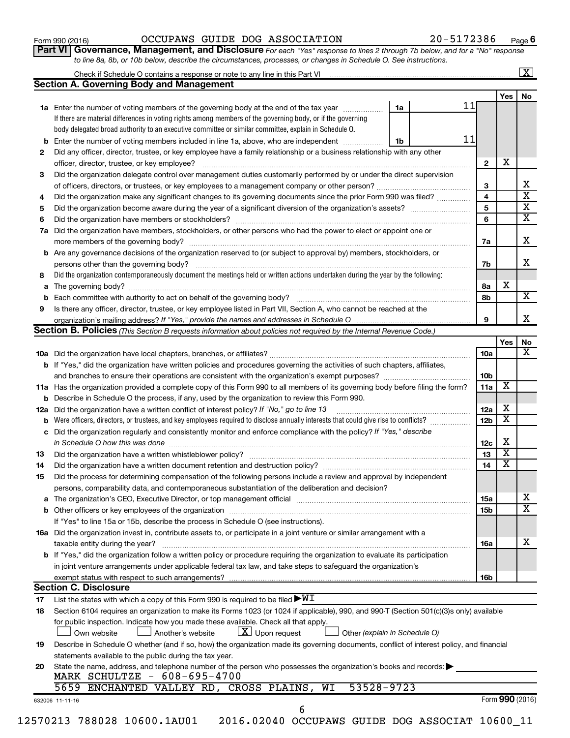**Part VI** Governance, Management, and Disclosure For each "Yes" response to lines 2 through 7b below, and for a "No" response *to line 8a, 8b, or 10b below, describe the circumstances, processes, or changes in Schedule O. See instructions.*

|     | <b>Section A. Governing Body and Management</b>                                                                                                 |                               |                         |                              |  |  |  |
|-----|-------------------------------------------------------------------------------------------------------------------------------------------------|-------------------------------|-------------------------|------------------------------|--|--|--|
|     |                                                                                                                                                 |                               |                         | Yes                          |  |  |  |
|     | 1a Enter the number of voting members of the governing body at the end of the tax year                                                          | 1a                            | 11                      |                              |  |  |  |
|     | If there are material differences in voting rights among members of the governing body, or if the governing                                     |                               |                         |                              |  |  |  |
|     | body delegated broad authority to an executive committee or similar committee, explain in Schedule O.                                           |                               |                         |                              |  |  |  |
|     | <b>b</b> Enter the number of voting members included in line 1a, above, who are independent <i>manameron</i>                                    | 1b                            | 11                      |                              |  |  |  |
| 2   | Did any officer, director, trustee, or key employee have a family relationship or a business relationship with any other                        |                               |                         |                              |  |  |  |
|     | officer, director, trustee, or key employee?                                                                                                    |                               | $\overline{2}$          | х                            |  |  |  |
| 3   | Did the organization delegate control over management duties customarily performed by or under the direct supervision                           |                               |                         |                              |  |  |  |
|     |                                                                                                                                                 |                               | 3                       |                              |  |  |  |
| 4   | Did the organization make any significant changes to its governing documents since the prior Form 990 was filed?                                |                               | 4                       |                              |  |  |  |
| 5   |                                                                                                                                                 |                               | $\overline{\mathbf{5}}$ |                              |  |  |  |
| 6   |                                                                                                                                                 |                               | 6                       |                              |  |  |  |
| 7a  | Did the organization have members, stockholders, or other persons who had the power to elect or appoint one or                                  |                               |                         |                              |  |  |  |
|     |                                                                                                                                                 |                               | 7a                      |                              |  |  |  |
|     | <b>b</b> Are any governance decisions of the organization reserved to (or subject to approval by) members, stockholders, or                     |                               |                         |                              |  |  |  |
|     | persons other than the governing body?                                                                                                          |                               | 7b                      |                              |  |  |  |
| 8   | Did the organization contemporaneously document the meetings held or written actions undertaken during the year by the following:               |                               |                         |                              |  |  |  |
|     |                                                                                                                                                 |                               | 8a                      | х                            |  |  |  |
| b   |                                                                                                                                                 |                               | 8b                      |                              |  |  |  |
| 9   | Is there any officer, director, trustee, or key employee listed in Part VII, Section A, who cannot be reached at the                            |                               |                         |                              |  |  |  |
|     |                                                                                                                                                 |                               | 9                       |                              |  |  |  |
|     | Section B. Policies (This Section B requests information about policies not required by the Internal Revenue Code.)                             |                               |                         |                              |  |  |  |
|     |                                                                                                                                                 |                               |                         | Yes                          |  |  |  |
|     |                                                                                                                                                 |                               | 10a                     |                              |  |  |  |
|     |                                                                                                                                                 |                               |                         |                              |  |  |  |
|     | <b>b</b> If "Yes," did the organization have written policies and procedures governing the activities of such chapters, affiliates,             |                               |                         |                              |  |  |  |
|     |                                                                                                                                                 |                               | 10 <sub>b</sub>         | X                            |  |  |  |
|     | 11a Has the organization provided a complete copy of this Form 990 to all members of its governing body before filing the form?                 |                               | 11a                     |                              |  |  |  |
|     | <b>b</b> Describe in Schedule O the process, if any, used by the organization to review this Form 990.                                          |                               |                         |                              |  |  |  |
| 12a | Did the organization have a written conflict of interest policy? If "No," go to line 13                                                         |                               | 12a                     | x<br>$\overline{\textbf{x}}$ |  |  |  |
| b   | Were officers, directors, or trustees, and key employees required to disclose annually interests that could give rise to conflicts?             |                               | 12 <sub>b</sub>         |                              |  |  |  |
|     | c Did the organization regularly and consistently monitor and enforce compliance with the policy? If "Yes," describe                            |                               |                         |                              |  |  |  |
|     | in Schedule O how this was done manufactured and continuum and contact the way to the set of the set of the schedule O how this was done        |                               | 12c                     | х                            |  |  |  |
| 13  |                                                                                                                                                 |                               | 13                      | $\overline{\textbf{x}}$      |  |  |  |
| 14  | Did the organization have a written document retention and destruction policy? [11] manufaction manufaction in                                  |                               | 14                      | $\overline{\textbf{x}}$      |  |  |  |
| 15  | Did the process for determining compensation of the following persons include a review and approval by independent                              |                               |                         |                              |  |  |  |
|     | persons, comparability data, and contemporaneous substantiation of the deliberation and decision?                                               |                               |                         |                              |  |  |  |
|     |                                                                                                                                                 |                               | 15a                     |                              |  |  |  |
|     |                                                                                                                                                 |                               | 15b                     |                              |  |  |  |
|     | If "Yes" to line 15a or 15b, describe the process in Schedule O (see instructions).                                                             |                               |                         |                              |  |  |  |
|     | 16a Did the organization invest in, contribute assets to, or participate in a joint venture or similar arrangement with a                       |                               |                         |                              |  |  |  |
|     | taxable entity during the year?                                                                                                                 |                               | 16a                     |                              |  |  |  |
|     | <b>b</b> If "Yes," did the organization follow a written policy or procedure requiring the organization to evaluate its participation           |                               |                         |                              |  |  |  |
|     | in joint venture arrangements under applicable federal tax law, and take steps to safeguard the organization's                                  |                               |                         |                              |  |  |  |
|     | exempt status with respect to such arrangements?                                                                                                |                               | 16b                     |                              |  |  |  |
|     | <b>Section C. Disclosure</b>                                                                                                                    |                               |                         |                              |  |  |  |
| 17  | List the states with which a copy of this Form 990 is required to be filed $\blacktriangleright\texttt{WI}$                                     |                               |                         |                              |  |  |  |
| 18  | Section 6104 requires an organization to make its Forms 1023 (or 1024 if applicable), 990, and 990-T (Section 501(c)(3)s only) available        |                               |                         |                              |  |  |  |
|     | for public inspection. Indicate how you made these available. Check all that apply.                                                             |                               |                         |                              |  |  |  |
|     | $\lfloor x \rfloor$ Upon request<br>Own website<br>Another's website                                                                            | Other (explain in Schedule O) |                         |                              |  |  |  |
| 19  | Describe in Schedule O whether (and if so, how) the organization made its governing documents, conflict of interest policy, and financial       |                               |                         |                              |  |  |  |
|     | statements available to the public during the tax year.                                                                                         |                               |                         |                              |  |  |  |
|     |                                                                                                                                                 |                               |                         |                              |  |  |  |
| 20  |                                                                                                                                                 |                               |                         |                              |  |  |  |
|     | State the name, address, and telephone number of the person who possesses the organization's books and records:<br>MARK SCHULTZE - 608-695-4700 |                               |                         |                              |  |  |  |
|     | 5659 ENCHANTED VALLEY RD, CROSS PLAINS, WI                                                                                                      | 53528-9723                    |                         |                              |  |  |  |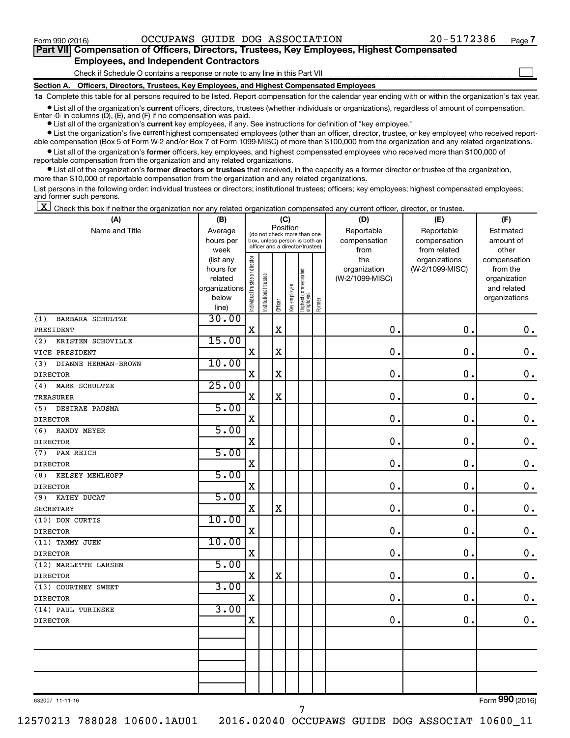$\Box$ 

| Part VII Compensation of Officers, Directors, Trustees, Key Employees, Highest Compensated |
|--------------------------------------------------------------------------------------------|
| <b>Employees, and Independent Contractors</b>                                              |

Check if Schedule O contains a response or note to any line in this Part VII

**Section A. Officers, Directors, Trustees, Key Employees, and Highest Compensated Employees**

**1a**  Complete this table for all persons required to be listed. Report compensation for the calendar year ending with or within the organization's tax year.

**•** List all of the organization's current officers, directors, trustees (whether individuals or organizations), regardless of amount of compensation. Enter -0- in columns  $(D)$ ,  $(E)$ , and  $(F)$  if no compensation was paid.

**•** List all of the organization's **current** key employees, if any. See instructions for definition of "key employee."

**•** List the organization's five current highest compensated employees (other than an officer, director, trustee, or key employee) who received reportable compensation (Box 5 of Form W-2 and/or Box 7 of Form 1099-MISC) of more than \$100,000 from the organization and any related organizations.

**•** List all of the organization's former officers, key employees, and highest compensated employees who received more than \$100,000 of reportable compensation from the organization and any related organizations.

**•** List all of the organization's former directors or trustees that received, in the capacity as a former director or trustee of the organization, more than \$10,000 of reportable compensation from the organization and any related organizations.

List persons in the following order: individual trustees or directors; institutional trustees; officers; key employees; highest compensated employees; and former such persons.

 $\boxed{\textbf{X}}$  Check this box if neither the organization nor any related organization compensated any current officer, director, or trustee.

| (A)                        | (B)            |                                |                                                                                                 |             | (C)          |                                 |        | (D)             | (E)             | (F)           |
|----------------------------|----------------|--------------------------------|-------------------------------------------------------------------------------------------------|-------------|--------------|---------------------------------|--------|-----------------|-----------------|---------------|
| Name and Title             | Average        |                                |                                                                                                 |             | Position     |                                 |        | Reportable      | Reportable      | Estimated     |
|                            | hours per      |                                | (do not check more than one<br>box, unless person is both an<br>officer and a director/trustee) |             |              |                                 |        | compensation    | compensation    | amount of     |
|                            | week           |                                |                                                                                                 |             |              |                                 |        | from            | from related    | other         |
|                            | (list any      |                                |                                                                                                 |             |              |                                 |        | the             | organizations   | compensation  |
|                            | hours for      |                                |                                                                                                 |             |              |                                 |        | organization    | (W-2/1099-MISC) | from the      |
|                            | related        |                                |                                                                                                 |             |              |                                 |        | (W-2/1099-MISC) |                 | organization  |
|                            | organizations  |                                |                                                                                                 |             |              |                                 |        |                 |                 | and related   |
|                            | below<br>line) | Individual trustee or director | Institutional trustee                                                                           | Officer     | Key employee | Highest compensated<br>employee | Former |                 |                 | organizations |
| BARBARA SCHULTZE<br>(1)    | 30.00          |                                |                                                                                                 |             |              |                                 |        |                 |                 |               |
| PRESIDENT                  |                | $\mathbf X$                    |                                                                                                 | $\mathbf X$ |              |                                 |        | $\mathbf 0$     | $\mathbf 0$ .   | $\mathbf 0$ . |
| (2)                        | 15.00          |                                |                                                                                                 |             |              |                                 |        |                 |                 |               |
| KRISTEN SCHOVILLE          |                | $\mathbf X$                    |                                                                                                 |             |              |                                 |        | $\mathbf 0$     | $\mathbf 0$ .   |               |
| VICE PRESIDENT             |                |                                |                                                                                                 | $\mathbf X$ |              |                                 |        |                 |                 | $\mathbf 0$ . |
| DIANNE HERMAN-BROWN<br>(3) | 10.00          |                                |                                                                                                 |             |              |                                 |        |                 |                 |               |
| <b>DIRECTOR</b>            |                | $\mathbf X$                    |                                                                                                 | $\mathbf X$ |              |                                 |        | $\mathbf 0$ .   | $\mathbf 0$ .   | $\mathbf 0$ . |
| MARK SCHULTZE<br>(4)       | 25.00          |                                |                                                                                                 |             |              |                                 |        |                 |                 |               |
| <b>TREASURER</b>           |                | $\mathbf X$                    |                                                                                                 | $\mathbf X$ |              |                                 |        | 0.              | $\mathbf 0$ .   | $\mathbf 0$ . |
| DESIRAE PAUSMA<br>(5)      | 5.00           |                                |                                                                                                 |             |              |                                 |        |                 |                 |               |
| <b>DIRECTOR</b>            |                | $\mathbf X$                    |                                                                                                 |             |              |                                 |        | 0.              | $\mathbf 0$ .   | $\mathbf 0$ . |
| (6)<br><b>RANDY MEYER</b>  | 5.00           |                                |                                                                                                 |             |              |                                 |        |                 |                 |               |
| <b>DIRECTOR</b>            |                | $\mathbf X$                    |                                                                                                 |             |              |                                 |        | 0.              | 0.              | $\mathbf 0$ . |
| PAM REICH<br>(7)           | 5.00           |                                |                                                                                                 |             |              |                                 |        |                 |                 |               |
| <b>DIRECTOR</b>            |                | $\mathbf X$                    |                                                                                                 |             |              |                                 |        | $\mathbf 0$ .   | $\mathbf 0$ .   | $\mathbf 0$ . |
| KELSEY MEHLHOFF<br>(8)     | 5.00           |                                |                                                                                                 |             |              |                                 |        |                 |                 |               |
| <b>DIRECTOR</b>            |                | $\mathbf X$                    |                                                                                                 |             |              |                                 |        | 0.              | 0.              | $\mathbf 0$ . |
| KATHY DUCAT<br>(9)         | 5.00           |                                |                                                                                                 |             |              |                                 |        |                 |                 |               |
| <b>SECRETARY</b>           |                | $\mathbf X$                    |                                                                                                 | $\mathbf X$ |              |                                 |        | 0.              | $\mathbf{0}$ .  | $\mathbf 0$ . |
| (10) DON CURTIS            | 10.00          |                                |                                                                                                 |             |              |                                 |        |                 |                 |               |
| <b>DIRECTOR</b>            |                | $\rm X$                        |                                                                                                 |             |              |                                 |        | $\mathbf 0$     | $\mathbf 0$ .   | 0.            |
| (11) TAMMY JUEN            | 10.00          |                                |                                                                                                 |             |              |                                 |        |                 |                 |               |
| <b>DIRECTOR</b>            |                | $\mathbf X$                    |                                                                                                 |             |              |                                 |        | $\mathbf 0$ .   | $\mathbf 0$ .   | $\mathbf 0$ . |
| (12) MARLETTE LARSEN       | 5.00           |                                |                                                                                                 |             |              |                                 |        |                 |                 |               |
| <b>DIRECTOR</b>            |                | $\mathbf X$                    |                                                                                                 | $\mathbf X$ |              |                                 |        | $\mathbf 0$ .   | $\mathbf 0$ .   | $\mathbf 0$ . |
| (13) COURTNEY SWEET        | 3.00           |                                |                                                                                                 |             |              |                                 |        |                 |                 |               |
| <b>DIRECTOR</b>            |                | $\mathbf X$                    |                                                                                                 |             |              |                                 |        | $\mathbf{0}$ .  | $\mathbf 0$ .   | $\mathbf 0$ . |
| (14) PAUL TURINSKE         | 3.00           |                                |                                                                                                 |             |              |                                 |        |                 |                 |               |
| <b>DIRECTOR</b>            |                | X                              |                                                                                                 |             |              |                                 |        | 0               | $\mathbf 0$ .   | 0.            |
|                            |                |                                |                                                                                                 |             |              |                                 |        |                 |                 |               |
|                            |                |                                |                                                                                                 |             |              |                                 |        |                 |                 |               |
|                            |                |                                |                                                                                                 |             |              |                                 |        |                 |                 |               |
|                            |                |                                |                                                                                                 |             |              |                                 |        |                 |                 |               |
|                            |                |                                |                                                                                                 |             |              |                                 |        |                 |                 |               |
|                            |                |                                |                                                                                                 |             |              |                                 |        |                 |                 |               |

632007 11-11-16

Form (2016) **990**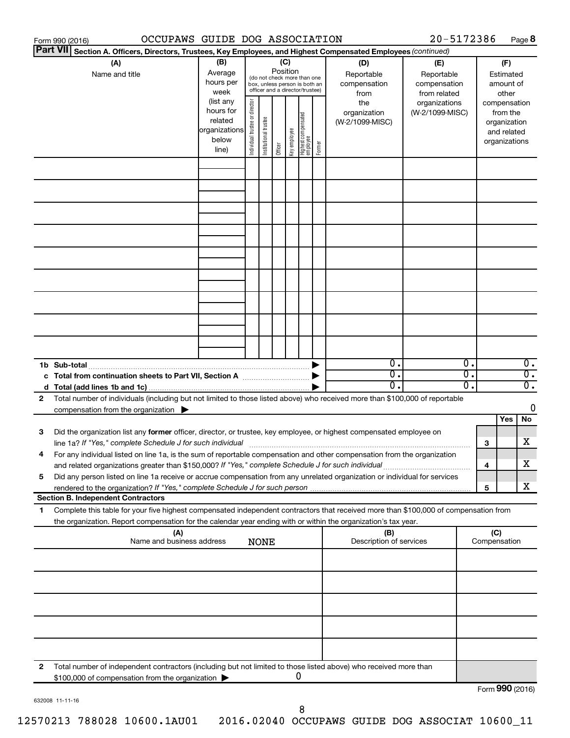|                                                                                                                           | 20-5172386<br>OCCUPAWS GUIDE DOG ASSOCIATION<br>Form 990 (2016)                                                                      |               |                                |                       |          |              |                                                              |        |                         |                 |     | Page 8          |              |                  |
|---------------------------------------------------------------------------------------------------------------------------|--------------------------------------------------------------------------------------------------------------------------------------|---------------|--------------------------------|-----------------------|----------|--------------|--------------------------------------------------------------|--------|-------------------------|-----------------|-----|-----------------|--------------|------------------|
| <b>Part VII</b><br>Section A. Officers, Directors, Trustees, Key Employees, and Highest Compensated Employees (continued) |                                                                                                                                      |               |                                |                       |          |              |                                                              |        |                         |                 |     |                 |              |                  |
|                                                                                                                           | (B)<br>(A)<br>(C)<br>(D)<br>(E)                                                                                                      |               |                                |                       |          |              |                                                              |        |                         |                 | (F) |                 |              |                  |
|                                                                                                                           | Name and title                                                                                                                       | Average       |                                |                       | Position |              |                                                              |        | Reportable              | Reportable      |     |                 | Estimated    |                  |
|                                                                                                                           |                                                                                                                                      | hours per     |                                |                       |          |              | (do not check more than one<br>box, unless person is both an |        | compensation            | compensation    |     |                 | amount of    |                  |
|                                                                                                                           |                                                                                                                                      | week          |                                |                       |          |              | officer and a director/trustee)                              |        | from                    | from related    |     |                 | other        |                  |
|                                                                                                                           |                                                                                                                                      | (list any     |                                |                       |          |              |                                                              |        | the                     | organizations   |     | compensation    |              |                  |
|                                                                                                                           |                                                                                                                                      | hours for     |                                |                       |          |              |                                                              |        | organization            | (W-2/1099-MISC) |     |                 | from the     |                  |
|                                                                                                                           |                                                                                                                                      | related       | Individual trustee or director | Institutional trustee |          |              |                                                              |        | (W-2/1099-MISC)         |                 |     |                 | organization |                  |
|                                                                                                                           |                                                                                                                                      | organizations |                                |                       |          | Key employee |                                                              |        |                         |                 |     |                 | and related  |                  |
|                                                                                                                           |                                                                                                                                      | below         |                                |                       |          |              |                                                              | Former |                         |                 |     | organizations   |              |                  |
|                                                                                                                           |                                                                                                                                      | line)         |                                |                       | Officer  |              | Highest compensated<br>  employee                            |        |                         |                 |     |                 |              |                  |
|                                                                                                                           |                                                                                                                                      |               |                                |                       |          |              |                                                              |        |                         |                 |     |                 |              |                  |
|                                                                                                                           |                                                                                                                                      |               |                                |                       |          |              |                                                              |        |                         |                 |     |                 |              |                  |
|                                                                                                                           |                                                                                                                                      |               |                                |                       |          |              |                                                              |        |                         |                 |     |                 |              |                  |
|                                                                                                                           |                                                                                                                                      |               |                                |                       |          |              |                                                              |        |                         |                 |     |                 |              |                  |
|                                                                                                                           |                                                                                                                                      |               |                                |                       |          |              |                                                              |        |                         |                 |     |                 |              |                  |
|                                                                                                                           |                                                                                                                                      |               |                                |                       |          |              |                                                              |        |                         |                 |     |                 |              |                  |
|                                                                                                                           |                                                                                                                                      |               |                                |                       |          |              |                                                              |        |                         |                 |     |                 |              |                  |
|                                                                                                                           |                                                                                                                                      |               |                                |                       |          |              |                                                              |        |                         |                 |     |                 |              |                  |
|                                                                                                                           |                                                                                                                                      |               |                                |                       |          |              |                                                              |        |                         |                 |     |                 |              |                  |
|                                                                                                                           |                                                                                                                                      |               |                                |                       |          |              |                                                              |        |                         |                 |     |                 |              |                  |
|                                                                                                                           |                                                                                                                                      |               |                                |                       |          |              |                                                              |        |                         |                 |     |                 |              |                  |
|                                                                                                                           |                                                                                                                                      |               |                                |                       |          |              |                                                              |        |                         |                 |     |                 |              |                  |
|                                                                                                                           |                                                                                                                                      |               |                                |                       |          |              |                                                              |        |                         |                 |     |                 |              |                  |
|                                                                                                                           |                                                                                                                                      |               |                                |                       |          |              |                                                              |        |                         |                 |     |                 |              |                  |
|                                                                                                                           |                                                                                                                                      |               |                                |                       |          |              |                                                              |        |                         |                 |     |                 |              |                  |
|                                                                                                                           |                                                                                                                                      |               |                                |                       |          |              |                                                              |        |                         |                 |     |                 |              |                  |
|                                                                                                                           |                                                                                                                                      |               |                                |                       |          |              |                                                              |        |                         |                 |     |                 |              |                  |
|                                                                                                                           |                                                                                                                                      |               |                                |                       |          |              |                                                              |        |                         |                 |     |                 |              |                  |
|                                                                                                                           |                                                                                                                                      |               |                                |                       |          |              |                                                              |        |                         |                 |     |                 |              |                  |
|                                                                                                                           | 1b Sub-total                                                                                                                         |               |                                |                       |          |              |                                                              |        | $0$ .                   |                 | 0.  |                 |              | $\overline{0}$ . |
|                                                                                                                           | c Total from continuation sheets to Part VII, Section A manufactured by                                                              |               |                                |                       |          |              |                                                              |        | $\overline{0}$ .        |                 | σ.  |                 |              | $\overline{0}$ . |
|                                                                                                                           |                                                                                                                                      |               |                                |                       |          |              |                                                              |        | 0.                      |                 | О.  |                 |              | $\overline{0}$ . |
| 2                                                                                                                         | Total number of individuals (including but not limited to those listed above) who received more than \$100,000 of reportable         |               |                                |                       |          |              |                                                              |        |                         |                 |     |                 |              |                  |
|                                                                                                                           | compensation from the organization $\blacktriangleright$                                                                             |               |                                |                       |          |              |                                                              |        |                         |                 |     |                 |              | 0                |
|                                                                                                                           |                                                                                                                                      |               |                                |                       |          |              |                                                              |        |                         |                 |     |                 | Yes          | No               |
| 3                                                                                                                         | Did the organization list any former officer, director, or trustee, key employee, or highest compensated employee on                 |               |                                |                       |          |              |                                                              |        |                         |                 |     |                 |              |                  |
|                                                                                                                           | line 1a? If "Yes," complete Schedule J for such individual manufactured content to the set of the set of the s                       |               |                                |                       |          |              |                                                              |        |                         |                 |     | 3               |              | х                |
|                                                                                                                           | For any individual listed on line 1a, is the sum of reportable compensation and other compensation from the organization             |               |                                |                       |          |              |                                                              |        |                         |                 |     |                 |              |                  |
|                                                                                                                           | and related organizations greater than \$150,000? If "Yes," complete Schedule J for such individual                                  |               |                                |                       |          |              |                                                              |        |                         |                 |     | 4               |              | х                |
| 5                                                                                                                         | Did any person listed on line 1a receive or accrue compensation from any unrelated organization or individual for services           |               |                                |                       |          |              |                                                              |        |                         |                 |     |                 |              |                  |
|                                                                                                                           |                                                                                                                                      |               |                                |                       |          |              |                                                              |        |                         |                 |     | 5               |              | х                |
|                                                                                                                           | <b>Section B. Independent Contractors</b>                                                                                            |               |                                |                       |          |              |                                                              |        |                         |                 |     |                 |              |                  |
| 1.                                                                                                                        | Complete this table for your five highest compensated independent contractors that received more than \$100,000 of compensation from |               |                                |                       |          |              |                                                              |        |                         |                 |     |                 |              |                  |
|                                                                                                                           | the organization. Report compensation for the calendar year ending with or within the organization's tax year.                       |               |                                |                       |          |              |                                                              |        |                         |                 |     |                 |              |                  |
|                                                                                                                           | (A)                                                                                                                                  |               |                                |                       |          |              |                                                              |        | (B)                     |                 |     | (C)             |              |                  |
|                                                                                                                           | Name and business address                                                                                                            |               |                                | <b>NONE</b>           |          |              |                                                              |        | Description of services |                 |     | Compensation    |              |                  |
|                                                                                                                           |                                                                                                                                      |               |                                |                       |          |              |                                                              |        |                         |                 |     |                 |              |                  |
|                                                                                                                           |                                                                                                                                      |               |                                |                       |          |              |                                                              |        |                         |                 |     |                 |              |                  |
|                                                                                                                           |                                                                                                                                      |               |                                |                       |          |              |                                                              |        |                         |                 |     |                 |              |                  |
|                                                                                                                           |                                                                                                                                      |               |                                |                       |          |              |                                                              |        |                         |                 |     |                 |              |                  |
|                                                                                                                           |                                                                                                                                      |               |                                |                       |          |              |                                                              |        |                         |                 |     |                 |              |                  |
|                                                                                                                           |                                                                                                                                      |               |                                |                       |          |              |                                                              |        |                         |                 |     |                 |              |                  |
|                                                                                                                           |                                                                                                                                      |               |                                |                       |          |              |                                                              |        |                         |                 |     |                 |              |                  |
|                                                                                                                           |                                                                                                                                      |               |                                |                       |          |              |                                                              |        |                         |                 |     |                 |              |                  |
|                                                                                                                           |                                                                                                                                      |               |                                |                       |          |              |                                                              |        |                         |                 |     |                 |              |                  |
|                                                                                                                           |                                                                                                                                      |               |                                |                       |          |              |                                                              |        |                         |                 |     |                 |              |                  |
|                                                                                                                           |                                                                                                                                      |               |                                |                       |          |              |                                                              |        |                         |                 |     |                 |              |                  |
| 2                                                                                                                         | Total number of independent contractors (including but not limited to those listed above) who received more than                     |               |                                |                       |          |              |                                                              |        |                         |                 |     |                 |              |                  |
|                                                                                                                           | \$100,000 of compensation from the organization                                                                                      |               |                                |                       |          |              | 0                                                            |        |                         |                 |     |                 |              |                  |
|                                                                                                                           |                                                                                                                                      |               |                                |                       |          |              |                                                              |        |                         |                 |     | Form 990 (2016) |              |                  |

632008 11-11-16

8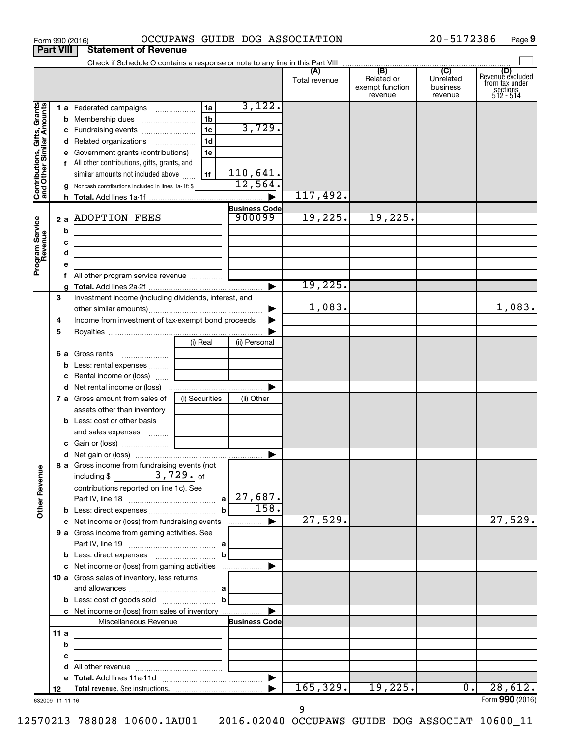|                                                           | <b>Part VIII</b> | <b>Statement of Revenue</b>                                                                                             |                                         |                      |               |                                          |                                  |                                                             |
|-----------------------------------------------------------|------------------|-------------------------------------------------------------------------------------------------------------------------|-----------------------------------------|----------------------|---------------|------------------------------------------|----------------------------------|-------------------------------------------------------------|
|                                                           |                  |                                                                                                                         |                                         |                      |               |                                          |                                  | (D)                                                         |
|                                                           |                  |                                                                                                                         |                                         |                      | Total revenue | Related or<br>exempt function<br>revenue | Unrelated<br>business<br>revenue | Revenue excluded<br>from tax under<br>sections<br>512 - 514 |
|                                                           |                  | 1 a Federated campaigns                                                                                                 | 1a                                      | 3,122.               |               |                                          |                                  |                                                             |
| Contributions, Gifts, Grants<br>and Other Similar Amounts |                  |                                                                                                                         | 1 <sub>b</sub>                          |                      |               |                                          |                                  |                                                             |
|                                                           |                  | c Fundraising events                                                                                                    | 1 <sub>c</sub>                          | 3,729.               |               |                                          |                                  |                                                             |
|                                                           |                  | d Related organizations                                                                                                 | 1 <sub>d</sub>                          |                      |               |                                          |                                  |                                                             |
|                                                           |                  | Government grants (contributions)                                                                                       | 1e                                      |                      |               |                                          |                                  |                                                             |
|                                                           |                  | f All other contributions, gifts, grants, and                                                                           |                                         |                      |               |                                          |                                  |                                                             |
|                                                           |                  | similar amounts not included above                                                                                      | 1f                                      | 110,641.             |               |                                          |                                  |                                                             |
|                                                           |                  | Noncash contributions included in lines 1a-1f: \$                                                                       |                                         | 12,564.              |               |                                          |                                  |                                                             |
|                                                           |                  |                                                                                                                         |                                         |                      | 117,492.      |                                          |                                  |                                                             |
|                                                           |                  |                                                                                                                         |                                         | <b>Business Code</b> |               |                                          |                                  |                                                             |
|                                                           |                  | 2 a ADOPTION FEES                                                                                                       |                                         | 900099               | 19,225.       | 19,225.                                  |                                  |                                                             |
|                                                           | b                |                                                                                                                         |                                         |                      |               |                                          |                                  |                                                             |
|                                                           | c                | the control of the control of the control of the control of the control of                                              |                                         |                      |               |                                          |                                  |                                                             |
|                                                           | d                | the control of the control of the control of the control of the control of                                              |                                         |                      |               |                                          |                                  |                                                             |
| Program Service<br>Revenue                                | е                |                                                                                                                         |                                         |                      |               |                                          |                                  |                                                             |
|                                                           | f.               |                                                                                                                         |                                         |                      |               |                                          |                                  |                                                             |
|                                                           |                  |                                                                                                                         |                                         |                      | 19,225.       |                                          |                                  |                                                             |
|                                                           | 3                | Investment income (including dividends, interest, and                                                                   |                                         |                      |               |                                          |                                  |                                                             |
|                                                           |                  |                                                                                                                         |                                         |                      | 1,083.        |                                          |                                  | 1,083.                                                      |
|                                                           | 4                | Income from investment of tax-exempt bond proceeds                                                                      |                                         |                      |               |                                          |                                  |                                                             |
|                                                           | 5                |                                                                                                                         |                                         |                      |               |                                          |                                  |                                                             |
|                                                           |                  |                                                                                                                         | (i) Real                                | (ii) Personal        |               |                                          |                                  |                                                             |
|                                                           |                  | <b>6 a</b> Gross rents                                                                                                  |                                         |                      |               |                                          |                                  |                                                             |
|                                                           | b                | Less: rental expenses                                                                                                   |                                         |                      |               |                                          |                                  |                                                             |
|                                                           | c                | Rental income or (loss)                                                                                                 |                                         |                      |               |                                          |                                  |                                                             |
|                                                           |                  |                                                                                                                         |                                         |                      |               |                                          |                                  |                                                             |
|                                                           |                  | 7 a Gross amount from sales of                                                                                          | (i) Securities                          | (ii) Other           |               |                                          |                                  |                                                             |
|                                                           |                  | assets other than inventory                                                                                             |                                         |                      |               |                                          |                                  |                                                             |
|                                                           |                  | <b>b</b> Less: cost or other basis                                                                                      |                                         |                      |               |                                          |                                  |                                                             |
|                                                           |                  | and sales expenses                                                                                                      |                                         |                      |               |                                          |                                  |                                                             |
|                                                           |                  |                                                                                                                         |                                         |                      |               |                                          |                                  |                                                             |
|                                                           |                  |                                                                                                                         |                                         |                      |               |                                          |                                  |                                                             |
| <b>Other Revenue</b>                                      |                  | 8 a Gross income from fundraising events (not<br>$3,729.$ of<br>including \$<br>contributions reported on line 1c). See |                                         |                      |               |                                          |                                  |                                                             |
|                                                           |                  |                                                                                                                         |                                         | 27,687.              |               |                                          |                                  |                                                             |
|                                                           |                  | <b>b</b> Less: direct expenses                                                                                          | $\mathbf b$                             | 158.                 |               |                                          |                                  |                                                             |
|                                                           |                  | c Net income or (loss) from fundraising events                                                                          |                                         | ▶<br>.               | 27,529.       |                                          |                                  | 27,529.                                                     |
|                                                           |                  | 9 a Gross income from gaming activities. See                                                                            |                                         |                      |               |                                          |                                  |                                                             |
|                                                           |                  |                                                                                                                         |                                         |                      |               |                                          |                                  |                                                             |
|                                                           |                  |                                                                                                                         | b                                       |                      |               |                                          |                                  |                                                             |
|                                                           |                  | c Net income or (loss) from gaming activities                                                                           |                                         |                      |               |                                          |                                  |                                                             |
|                                                           |                  | 10 a Gross sales of inventory, less returns                                                                             |                                         |                      |               |                                          |                                  |                                                             |
|                                                           |                  |                                                                                                                         |                                         |                      |               |                                          |                                  |                                                             |
|                                                           |                  |                                                                                                                         | $\mathbf b$                             |                      |               |                                          |                                  |                                                             |
|                                                           |                  | c Net income or (loss) from sales of inventory                                                                          |                                         |                      |               |                                          |                                  |                                                             |
|                                                           |                  | Miscellaneous Revenue                                                                                                   |                                         | <b>Business Code</b> |               |                                          |                                  |                                                             |
|                                                           | 11a              | the control of the control of the control of the control of                                                             |                                         |                      |               |                                          |                                  |                                                             |
|                                                           | b                |                                                                                                                         |                                         |                      |               |                                          |                                  |                                                             |
|                                                           | с                |                                                                                                                         | <u> 1989 - Johann Barbara, martin a</u> |                      |               |                                          |                                  |                                                             |
|                                                           | d                |                                                                                                                         |                                         |                      |               |                                          |                                  |                                                             |
|                                                           | е                |                                                                                                                         |                                         |                      |               |                                          |                                  |                                                             |
|                                                           | 12               |                                                                                                                         |                                         |                      | 165, 329.     | 19,225.                                  | $\overline{\bullet}$             | 28,612.                                                     |
|                                                           | 632009 11-11-16  |                                                                                                                         |                                         |                      |               |                                          |                                  | Form 990 (2016)                                             |

Form 990 (2016) OCCUPAWS GUIDE DOG ASSOCIATION 20-5172386 Page

20-5172386 Page 9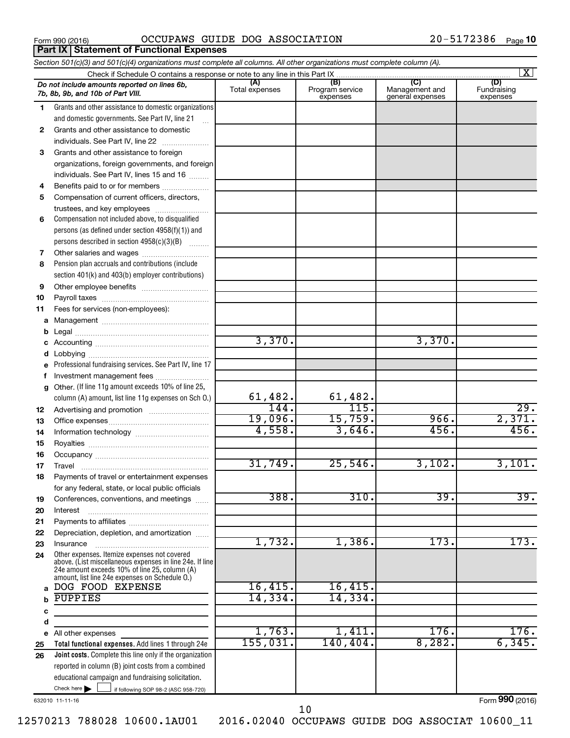**Part IX Statement of Functional Expenses** 

Form 990 (2016)  $OCCUPANS$   $GUIDE$   $DOG$   $ASSOCIATION$   $20-5172386$   $Page$ 

|    | Section 501(c)(3) and 501(c)(4) organizations must complete all columns. All other organizations must complete column (A).                                                                                  |                        |                             |                                    |                         |
|----|-------------------------------------------------------------------------------------------------------------------------------------------------------------------------------------------------------------|------------------------|-----------------------------|------------------------------------|-------------------------|
|    | Check if Schedule O contains a response or note to any line in this Part IX                                                                                                                                 | (A)                    | (B)                         | (C)                                | $\mathbf{X}$<br>(D)     |
|    | Do not include amounts reported on lines 6b,<br>7b, 8b, 9b, and 10b of Part VIII.                                                                                                                           | Total expenses         | Program service<br>expenses | Management and<br>general expenses | Fundraising<br>expenses |
| 1  | Grants and other assistance to domestic organizations                                                                                                                                                       |                        |                             |                                    |                         |
|    | and domestic governments. See Part IV, line 21                                                                                                                                                              |                        |                             |                                    |                         |
| 2  | Grants and other assistance to domestic                                                                                                                                                                     |                        |                             |                                    |                         |
|    | individuals. See Part IV, line 22<br>$\overline{\phantom{a}}$                                                                                                                                               |                        |                             |                                    |                         |
| 3  | Grants and other assistance to foreign                                                                                                                                                                      |                        |                             |                                    |                         |
|    | organizations, foreign governments, and foreign                                                                                                                                                             |                        |                             |                                    |                         |
|    | individuals. See Part IV, lines 15 and 16                                                                                                                                                                   |                        |                             |                                    |                         |
| 4  | Benefits paid to or for members                                                                                                                                                                             |                        |                             |                                    |                         |
| 5  | Compensation of current officers, directors,                                                                                                                                                                |                        |                             |                                    |                         |
|    | trustees, and key employees                                                                                                                                                                                 |                        |                             |                                    |                         |
| 6  | Compensation not included above, to disqualified                                                                                                                                                            |                        |                             |                                    |                         |
|    | persons (as defined under section 4958(f)(1)) and                                                                                                                                                           |                        |                             |                                    |                         |
|    | persons described in section 4958(c)(3)(B)                                                                                                                                                                  |                        |                             |                                    |                         |
| 7  |                                                                                                                                                                                                             |                        |                             |                                    |                         |
| 8  | Pension plan accruals and contributions (include                                                                                                                                                            |                        |                             |                                    |                         |
|    | section 401(k) and 403(b) employer contributions)                                                                                                                                                           |                        |                             |                                    |                         |
| 9  |                                                                                                                                                                                                             |                        |                             |                                    |                         |
| 10 |                                                                                                                                                                                                             |                        |                             |                                    |                         |
| 11 | Fees for services (non-employees):                                                                                                                                                                          |                        |                             |                                    |                         |
| а  |                                                                                                                                                                                                             |                        |                             |                                    |                         |
| b  |                                                                                                                                                                                                             | 3,370.                 |                             | 3,370.                             |                         |
| с  |                                                                                                                                                                                                             |                        |                             |                                    |                         |
| d  | Professional fundraising services. See Part IV, line 17                                                                                                                                                     |                        |                             |                                    |                         |
| f  | Investment management fees                                                                                                                                                                                  |                        |                             |                                    |                         |
| g  | Other. (If line 11g amount exceeds 10% of line 25,                                                                                                                                                          |                        |                             |                                    |                         |
|    | column (A) amount, list line 11g expenses on Sch 0.)                                                                                                                                                        |                        | 61,482.                     |                                    |                         |
| 12 |                                                                                                                                                                                                             | $\frac{61,482.}{144.}$ | 115.                        |                                    | 29.                     |
| 13 |                                                                                                                                                                                                             | 19,096.                | 15,759.                     | 966.                               | 2,371.                  |
| 14 |                                                                                                                                                                                                             | 4,558.                 | 3,646.                      | 456.                               | 456.                    |
| 15 |                                                                                                                                                                                                             |                        |                             |                                    |                         |
| 16 |                                                                                                                                                                                                             |                        |                             |                                    |                         |
| 17 |                                                                                                                                                                                                             | 31,749.                | 25,546.                     | 3,102.                             | 3,101.                  |
| 18 | Payments of travel or entertainment expenses                                                                                                                                                                |                        |                             |                                    |                         |
|    | for any federal, state, or local public officials                                                                                                                                                           |                        |                             |                                    |                         |
| 19 | Conferences, conventions, and meetings                                                                                                                                                                      | 388.                   | 310.                        | 39.                                | 39.                     |
| 20 | Interest                                                                                                                                                                                                    |                        |                             |                                    |                         |
| 21 |                                                                                                                                                                                                             |                        |                             |                                    |                         |
| 22 | Depreciation, depletion, and amortization                                                                                                                                                                   |                        |                             |                                    |                         |
| 23 | Insurance                                                                                                                                                                                                   | 1,732.                 | 1,386.                      | 173.                               | 173.                    |
| 24 | Other expenses. Itemize expenses not covered<br>above. (List miscellaneous expenses in line 24e. If line<br>24e amount exceeds 10% of line 25, column (A)<br>amount, list line 24e expenses on Schedule O.) |                        |                             |                                    |                         |
| a  | DOG FOOD EXPENSE                                                                                                                                                                                            | 16,415.                | 16,415.                     |                                    |                         |
|    | <b>PUPPIES</b>                                                                                                                                                                                              | 14,334.                | 14,334.                     |                                    |                         |
| с  |                                                                                                                                                                                                             |                        |                             |                                    |                         |
| d  |                                                                                                                                                                                                             |                        |                             |                                    |                         |
|    | e All other expenses                                                                                                                                                                                        | 1,763.                 | 1,411.                      | 176.                               | 176.                    |
| 25 | Total functional expenses. Add lines 1 through 24e                                                                                                                                                          | 155,031.               | 140, 404.                   | 8,282.                             | 6,345.                  |
| 26 | Joint costs. Complete this line only if the organization                                                                                                                                                    |                        |                             |                                    |                         |
|    | reported in column (B) joint costs from a combined                                                                                                                                                          |                        |                             |                                    |                         |
|    | educational campaign and fundraising solicitation.                                                                                                                                                          |                        |                             |                                    |                         |
|    | Check here $\blacktriangleright$<br>if following SOP 98-2 (ASC 958-720)                                                                                                                                     |                        |                             |                                    |                         |

632010 11-11-16

Form (2016) **990**

12570213 788028 10600.1AU01 2016.02040 OCCUPAWS GUIDE DOG ASSOCIAT 10600\_11

10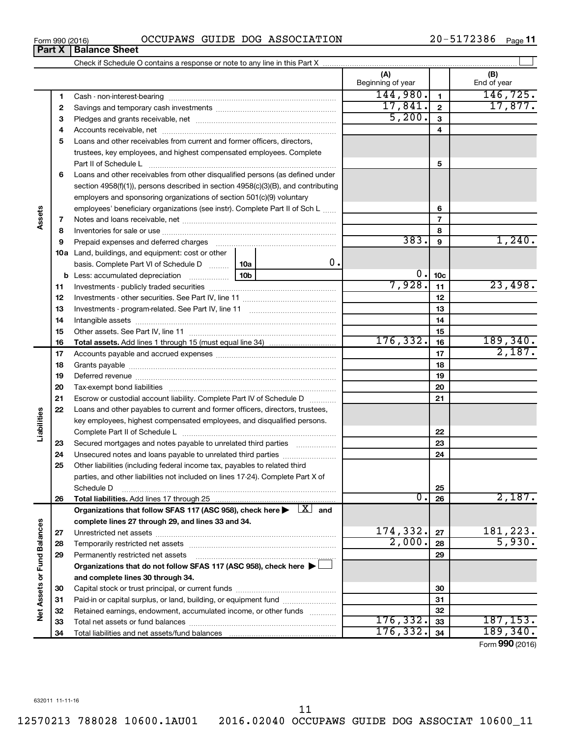12570213 788028 10600.1AU01 2016.02040 OCCUPAWS GUIDE DOG ASSOCIAT 10600\_11

Form 990 (2016)  $OCCUPANS$   $GUIDE$   $DOG$   $ASSOCIATION$   $20-5172386$   $Page$ **Part X Balance Sheet**

20-5172386 Page 11

|                             |    |                                                                                                                           | (A)<br>Beginning of year |                          | (B)<br>End of year              |
|-----------------------------|----|---------------------------------------------------------------------------------------------------------------------------|--------------------------|--------------------------|---------------------------------|
|                             | 1  |                                                                                                                           | 144,980.                 | $\blacksquare$           | 146, 725.                       |
|                             | 2  |                                                                                                                           | 17,841.                  | $\mathbf{2}$             | 17,877.                         |
|                             | З  |                                                                                                                           | 5,200.                   | 3                        |                                 |
|                             | 4  |                                                                                                                           |                          | 4                        |                                 |
|                             | 5  | Loans and other receivables from current and former officers, directors,                                                  |                          |                          |                                 |
|                             |    | trustees, key employees, and highest compensated employees. Complete                                                      |                          |                          |                                 |
|                             |    | Part II of Schedule Latin and Communication of Schedule Latin and Communication of Schedule Latin and Schedule            |                          | 5                        |                                 |
|                             | 6  | Loans and other receivables from other disqualified persons (as defined under                                             |                          |                          |                                 |
|                             |    | section 4958(f)(1)), persons described in section 4958(c)(3)(B), and contributing                                         |                          |                          |                                 |
| Assets                      |    | employers and sponsoring organizations of section 501(c)(9) voluntary                                                     |                          |                          |                                 |
|                             |    | employees' beneficiary organizations (see instr). Complete Part II of Sch L                                               |                          | 6                        |                                 |
|                             | 7  |                                                                                                                           |                          | $\overline{\phantom{a}}$ |                                 |
|                             | 8  |                                                                                                                           |                          | 8                        |                                 |
|                             | 9  | Prepaid expenses and deferred charges [11] [11] prepaid expenses and deferred charges [11] [11] minimum materials         | 383.                     | 9                        | 1,240.                          |
|                             |    | 10a Land, buildings, and equipment: cost or other                                                                         |                          |                          |                                 |
|                             |    | 0.<br>basis. Complete Part VI of Schedule D<br>10a                                                                        |                          |                          |                                 |
|                             |    | 10 <sub>b</sub><br><b>b</b> Less: accumulated depreciation <i></i>                                                        | 0.                       | 10 <sub>c</sub>          |                                 |
|                             | 11 |                                                                                                                           | 7,928.                   | 11                       | 23,498.                         |
|                             | 12 |                                                                                                                           |                          | 12                       |                                 |
|                             | 13 |                                                                                                                           |                          | 13                       |                                 |
|                             | 14 |                                                                                                                           |                          | 14                       |                                 |
|                             | 15 |                                                                                                                           |                          | 15                       |                                 |
|                             | 16 |                                                                                                                           | 176, 332.                | 16                       | 189,340.                        |
|                             | 17 |                                                                                                                           |                          | 17                       | 2,187.                          |
|                             | 18 |                                                                                                                           |                          | 18                       |                                 |
|                             | 19 |                                                                                                                           |                          | 19                       |                                 |
|                             | 20 |                                                                                                                           |                          | 20                       |                                 |
|                             | 21 | Escrow or custodial account liability. Complete Part IV of Schedule D                                                     |                          | 21                       |                                 |
|                             | 22 | Loans and other payables to current and former officers, directors, trustees,                                             |                          |                          |                                 |
| Liabilities                 |    | key employees, highest compensated employees, and disqualified persons.                                                   |                          |                          |                                 |
|                             |    |                                                                                                                           |                          | 22                       |                                 |
|                             | 23 | Secured mortgages and notes payable to unrelated third parties                                                            |                          | 23                       |                                 |
|                             | 24 |                                                                                                                           |                          | 24                       |                                 |
|                             | 25 | Other liabilities (including federal income tax, payables to related third                                                |                          |                          |                                 |
|                             |    | parties, and other liabilities not included on lines 17-24). Complete Part X of                                           |                          |                          |                                 |
|                             |    | Schedule D                                                                                                                |                          | 25                       |                                 |
|                             | 26 |                                                                                                                           | о.                       | 26                       | 2,187.                          |
|                             |    | Organizations that follow SFAS 117 (ASC 958), check here $\blacktriangleright \begin{array}{c} \boxed{X} \end{array}$ and |                          |                          |                                 |
|                             |    | complete lines 27 through 29, and lines 33 and 34.                                                                        |                          |                          |                                 |
|                             | 27 |                                                                                                                           | 174,332.                 | 27                       | 181,223.                        |
|                             | 28 |                                                                                                                           | 2,000.                   | 28                       | 5,930.                          |
|                             | 29 | Permanently restricted net assets                                                                                         |                          | 29                       |                                 |
|                             |    | Organizations that do not follow SFAS 117 (ASC 958), check here ▶                                                         |                          |                          |                                 |
|                             |    | and complete lines 30 through 34.                                                                                         |                          |                          |                                 |
|                             | 30 |                                                                                                                           |                          | 30                       |                                 |
|                             | 31 | Paid-in or capital surplus, or land, building, or equipment fund                                                          |                          | 31                       |                                 |
| Net Assets or Fund Balances | 32 | Retained earnings, endowment, accumulated income, or other funds                                                          |                          | 32                       |                                 |
|                             | 33 |                                                                                                                           | 176, 332.                | 33                       | 187, 153.                       |
|                             | 34 |                                                                                                                           | 176, 332.                | 34                       | 189, 340.<br>$000 \text{ days}$ |

Form (2016) **990**

11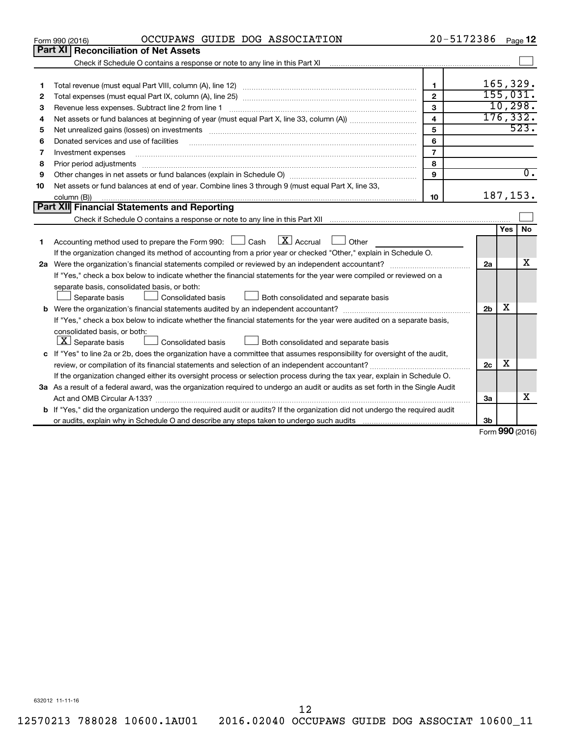|    | OCCUPAWS GUIDE DOG ASSOCIATION<br>Form 990 (2016)                                                                                                                                                                              | 20-5172386     |                |     | Page 12           |
|----|--------------------------------------------------------------------------------------------------------------------------------------------------------------------------------------------------------------------------------|----------------|----------------|-----|-------------------|
|    | Part XI Reconciliation of Net Assets                                                                                                                                                                                           |                |                |     |                   |
|    | Check if Schedule O contains a response or note to any line in this Part XI [11] [11] [11] Check if Schedule O contains a response or note to any line in this Part XI                                                         |                |                |     |                   |
|    |                                                                                                                                                                                                                                |                |                |     |                   |
| 1  |                                                                                                                                                                                                                                | 1              |                |     | 165,329.          |
| 2  |                                                                                                                                                                                                                                | $\overline{2}$ |                |     | 155,031.          |
| 3  |                                                                                                                                                                                                                                | 3              |                |     | 10, 298.          |
| 4  |                                                                                                                                                                                                                                | 4              |                |     | 176, 332.         |
| 5  | Net unrealized gains (losses) on investments [111] matter in the contract of the contract of the contract of the contract of the contract of the contract of the contract of the contract of the contract of the contract of t | 5              |                |     | 523.              |
| 6  | Donated services and use of facilities                                                                                                                                                                                         | 6              |                |     |                   |
| 7  | Investment expenses                                                                                                                                                                                                            | $\overline{7}$ |                |     |                   |
| 8  | Prior period adjustments                                                                                                                                                                                                       | 8              |                |     |                   |
| 9  |                                                                                                                                                                                                                                | 9              |                |     | $\overline{0}$ .  |
| 10 | Net assets or fund balances at end of year. Combine lines 3 through 9 (must equal Part X, line 33,                                                                                                                             |                |                |     |                   |
|    | column (B))                                                                                                                                                                                                                    | 10             |                |     | 187,153.          |
|    | Part XII Financial Statements and Reporting                                                                                                                                                                                    |                |                |     |                   |
|    |                                                                                                                                                                                                                                |                |                |     |                   |
|    |                                                                                                                                                                                                                                |                |                | Yes | <b>No</b>         |
| 1  | $\lfloor x \rfloor$ Accrual<br>Accounting method used to prepare the Form 990: [130] Cash<br>Other                                                                                                                             |                |                |     |                   |
|    | If the organization changed its method of accounting from a prior year or checked "Other," explain in Schedule O.                                                                                                              |                |                |     | x                 |
|    |                                                                                                                                                                                                                                |                | 2a             |     |                   |
|    | If "Yes," check a box below to indicate whether the financial statements for the year were compiled or reviewed on a                                                                                                           |                |                |     |                   |
|    | separate basis, consolidated basis, or both:                                                                                                                                                                                   |                |                |     |                   |
|    | Separate basis<br>Consolidated basis<br>Both consolidated and separate basis                                                                                                                                                   |                | 2 <sub>b</sub> | х   |                   |
|    |                                                                                                                                                                                                                                |                |                |     |                   |
|    | If "Yes," check a box below to indicate whether the financial statements for the year were audited on a separate basis,<br>consolidated basis, or both:                                                                        |                |                |     |                   |
|    | $ \mathbf{X} $ Separate basis<br>Both consolidated and separate basis<br>Consolidated basis                                                                                                                                    |                |                |     |                   |
|    |                                                                                                                                                                                                                                |                |                |     |                   |
|    | c If "Yes" to line 2a or 2b, does the organization have a committee that assumes responsibility for oversight of the audit,                                                                                                    |                | 2c             | х   |                   |
|    | review, or compilation of its financial statements and selection of an independent accountant?<br>If the organization changed either its oversight process or selection process during the tax year, explain in Schedule O.    |                |                |     |                   |
|    | 3a As a result of a federal award, was the organization required to undergo an audit or audits as set forth in the Single Audit                                                                                                |                |                |     |                   |
|    |                                                                                                                                                                                                                                |                | 3a             |     | x                 |
|    | <b>b</b> If "Yes," did the organization undergo the required audit or audits? If the organization did not undergo the required audit                                                                                           |                |                |     |                   |
|    |                                                                                                                                                                                                                                |                | 3b             |     |                   |
|    |                                                                                                                                                                                                                                |                |                |     | $Form$ 990 (2016) |

Form (2016) **990**

632012 11-11-16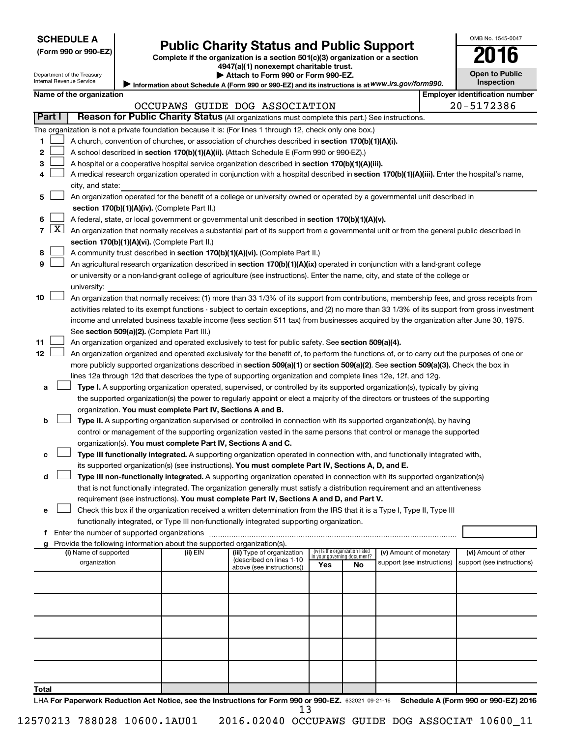| <b>SCHEDULE A</b> |  |
|-------------------|--|
|-------------------|--|

Department of the Treasury Internal Revenue Service

**Total**

## **Public Charity Status and Public Support**

**(Form 990 or 990-EZ) Complete if the organization is a section 501(c)(3) organization or a section**

**4947(a)(1) nonexempt charitable trust. | Attach to Form 990 or Form 990-EZ.** 

| <b>Open to Public</b><br>Inspection |  |
|-------------------------------------|--|

OMB No. 1545-0047

Information about Schedule A (Form 990 or 990-EZ) and its instructions is at WWW.irs.gov/form990.

|        |                     | Name of the organization                                                                                                                      |          |                                |                                 |                                   |                            |  | <b>Employer identification number</b> |  |
|--------|---------------------|-----------------------------------------------------------------------------------------------------------------------------------------------|----------|--------------------------------|---------------------------------|-----------------------------------|----------------------------|--|---------------------------------------|--|
|        |                     |                                                                                                                                               |          | OCCUPAWS GUIDE DOG ASSOCIATION |                                 |                                   |                            |  | 20-5172386                            |  |
| Part I |                     | Reason for Public Charity Status (All organizations must complete this part.) See instructions.                                               |          |                                |                                 |                                   |                            |  |                                       |  |
|        |                     | The organization is not a private foundation because it is: (For lines 1 through 12, check only one box.)                                     |          |                                |                                 |                                   |                            |  |                                       |  |
| 1      |                     | A church, convention of churches, or association of churches described in section 170(b)(1)(A)(i).                                            |          |                                |                                 |                                   |                            |  |                                       |  |
| 2      |                     | A school described in section 170(b)(1)(A)(ii). (Attach Schedule E (Form 990 or 990-EZ).)                                                     |          |                                |                                 |                                   |                            |  |                                       |  |
| з      |                     | A hospital or a cooperative hospital service organization described in section 170(b)(1)(A)(iii).                                             |          |                                |                                 |                                   |                            |  |                                       |  |
|        |                     | A medical research organization operated in conjunction with a hospital described in section 170(b)(1)(A)(iii). Enter the hospital's name,    |          |                                |                                 |                                   |                            |  |                                       |  |
|        |                     | city, and state:                                                                                                                              |          |                                |                                 |                                   |                            |  |                                       |  |
| 5      |                     | An organization operated for the benefit of a college or university owned or operated by a governmental unit described in                     |          |                                |                                 |                                   |                            |  |                                       |  |
|        |                     | section 170(b)(1)(A)(iv). (Complete Part II.)                                                                                                 |          |                                |                                 |                                   |                            |  |                                       |  |
|        |                     | A federal, state, or local government or governmental unit described in section 170(b)(1)(A)(v).                                              |          |                                |                                 |                                   |                            |  |                                       |  |
| 7      | $\lfloor x \rfloor$ | An organization that normally receives a substantial part of its support from a governmental unit or from the general public described in     |          |                                |                                 |                                   |                            |  |                                       |  |
|        |                     | section 170(b)(1)(A)(vi). (Complete Part II.)                                                                                                 |          |                                |                                 |                                   |                            |  |                                       |  |
| 8      |                     | A community trust described in section 170(b)(1)(A)(vi). (Complete Part II.)                                                                  |          |                                |                                 |                                   |                            |  |                                       |  |
| 9      |                     | An agricultural research organization described in section 170(b)(1)(A)(ix) operated in conjunction with a land-grant college                 |          |                                |                                 |                                   |                            |  |                                       |  |
|        |                     | or university or a non-land-grant college of agriculture (see instructions). Enter the name, city, and state of the college or                |          |                                |                                 |                                   |                            |  |                                       |  |
|        |                     | university:                                                                                                                                   |          |                                |                                 |                                   |                            |  |                                       |  |
| 10     |                     | An organization that normally receives: (1) more than 33 1/3% of its support from contributions, membership fees, and gross receipts from     |          |                                |                                 |                                   |                            |  |                                       |  |
|        |                     | activities related to its exempt functions - subject to certain exceptions, and (2) no more than 33 1/3% of its support from gross investment |          |                                |                                 |                                   |                            |  |                                       |  |
|        |                     | income and unrelated business taxable income (less section 511 tax) from businesses acquired by the organization after June 30, 1975.         |          |                                |                                 |                                   |                            |  |                                       |  |
|        |                     | See section 509(a)(2). (Complete Part III.)                                                                                                   |          |                                |                                 |                                   |                            |  |                                       |  |
| 11     |                     | An organization organized and operated exclusively to test for public safety. See section 509(a)(4).                                          |          |                                |                                 |                                   |                            |  |                                       |  |
| 12     |                     | An organization organized and operated exclusively for the benefit of, to perform the functions of, or to carry out the purposes of one or    |          |                                |                                 |                                   |                            |  |                                       |  |
|        |                     | more publicly supported organizations described in section 509(a)(1) or section 509(a)(2). See section 509(a)(3). Check the box in            |          |                                |                                 |                                   |                            |  |                                       |  |
|        |                     | lines 12a through 12d that describes the type of supporting organization and complete lines 12e, 12f, and 12g.                                |          |                                |                                 |                                   |                            |  |                                       |  |
| а      |                     | Type I. A supporting organization operated, supervised, or controlled by its supported organization(s), typically by giving                   |          |                                |                                 |                                   |                            |  |                                       |  |
|        |                     | the supported organization(s) the power to regularly appoint or elect a majority of the directors or trustees of the supporting               |          |                                |                                 |                                   |                            |  |                                       |  |
|        |                     | organization. You must complete Part IV, Sections A and B.                                                                                    |          |                                |                                 |                                   |                            |  |                                       |  |
| b      |                     | Type II. A supporting organization supervised or controlled in connection with its supported organization(s), by having                       |          |                                |                                 |                                   |                            |  |                                       |  |
|        |                     | control or management of the supporting organization vested in the same persons that control or manage the supported                          |          |                                |                                 |                                   |                            |  |                                       |  |
|        |                     | organization(s). You must complete Part IV, Sections A and C.                                                                                 |          |                                |                                 |                                   |                            |  |                                       |  |
| с      |                     | Type III functionally integrated. A supporting organization operated in connection with, and functionally integrated with,                    |          |                                |                                 |                                   |                            |  |                                       |  |
|        |                     | its supported organization(s) (see instructions). You must complete Part IV, Sections A, D, and E.                                            |          |                                |                                 |                                   |                            |  |                                       |  |
| d      |                     | Type III non-functionally integrated. A supporting organization operated in connection with its supported organization(s)                     |          |                                |                                 |                                   |                            |  |                                       |  |
|        |                     | that is not functionally integrated. The organization generally must satisfy a distribution requirement and an attentiveness                  |          |                                |                                 |                                   |                            |  |                                       |  |
|        |                     | requirement (see instructions). You must complete Part IV, Sections A and D, and Part V.                                                      |          |                                |                                 |                                   |                            |  |                                       |  |
| е      |                     | Check this box if the organization received a written determination from the IRS that it is a Type I, Type II, Type III                       |          |                                |                                 |                                   |                            |  |                                       |  |
|        |                     | functionally integrated, or Type III non-functionally integrated supporting organization.                                                     |          |                                |                                 |                                   |                            |  |                                       |  |
|        |                     | f Enter the number of supported organizations                                                                                                 |          |                                |                                 |                                   |                            |  |                                       |  |
|        |                     | g Provide the following information about the supported organization(s).<br>(i) Name of supported                                             | (ii) EIN | (iii) Type of organization     | (iv) Is the organization listed |                                   | (v) Amount of monetary     |  | (vi) Amount of other                  |  |
|        |                     | organization                                                                                                                                  |          | (described on lines 1-10       | Yes                             | in your governing document?<br>No | support (see instructions) |  | support (see instructions)            |  |
|        |                     |                                                                                                                                               |          | above (see instructions))      |                                 |                                   |                            |  |                                       |  |
|        |                     |                                                                                                                                               |          |                                |                                 |                                   |                            |  |                                       |  |
|        |                     |                                                                                                                                               |          |                                |                                 |                                   |                            |  |                                       |  |
|        |                     |                                                                                                                                               |          |                                |                                 |                                   |                            |  |                                       |  |
|        |                     |                                                                                                                                               |          |                                |                                 |                                   |                            |  |                                       |  |
|        |                     |                                                                                                                                               |          |                                |                                 |                                   |                            |  |                                       |  |
|        |                     |                                                                                                                                               |          |                                |                                 |                                   |                            |  |                                       |  |
|        |                     |                                                                                                                                               |          |                                |                                 |                                   |                            |  |                                       |  |
|        |                     |                                                                                                                                               |          |                                |                                 |                                   |                            |  |                                       |  |
|        |                     |                                                                                                                                               |          |                                |                                 |                                   |                            |  |                                       |  |
| Total  |                     |                                                                                                                                               |          |                                |                                 |                                   |                            |  |                                       |  |
|        |                     |                                                                                                                                               |          |                                |                                 |                                   |                            |  |                                       |  |

LHA For Paperwork Reduction Act Notice, see the Instructions for Form 990 or 990-EZ. 632021 09-21-16 Schedule A (Form 990 or 990-EZ) 2016 12570213 788028 10600.1AU01 2016.02040 OCCUPAWS GUIDE DOG ASSOCIAT 10600\_11 13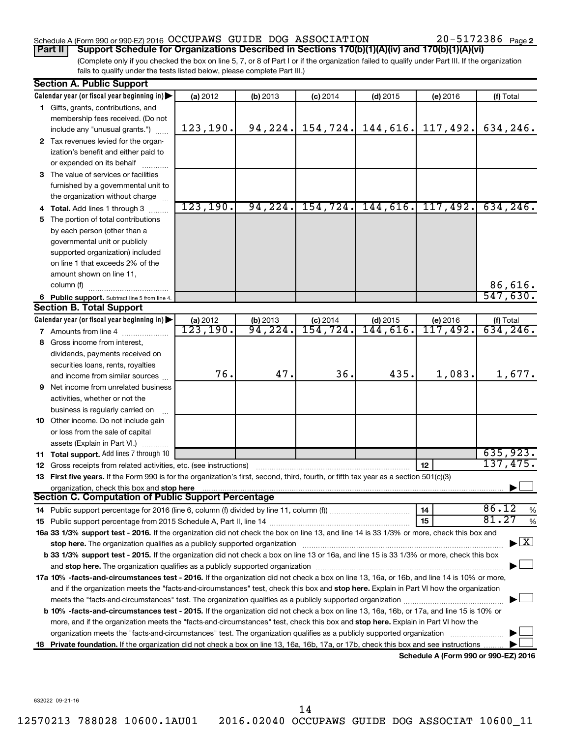## Schedule A (Form 990 or 990-EZ) 2016  $\rm OCCUPANS$  GUIDE DOG  $\rm ASSOCIATION$   $20-5172386$   $_{\rm Page}$

20-5172386 Page 2

(Complete only if you checked the box on line 5, 7, or 8 of Part I or if the organization failed to qualify under Part III. If the organization fails to qualify under the tests listed below, please complete Part III.) **Part II Support Schedule for Organizations Described in Sections 170(b)(1)(A)(iv) and 170(b)(1)(A)(vi)**

| <b>Section A. Public Support</b>                                                                                                                                                                                              |           |          |                        |                        |                                      |                                          |
|-------------------------------------------------------------------------------------------------------------------------------------------------------------------------------------------------------------------------------|-----------|----------|------------------------|------------------------|--------------------------------------|------------------------------------------|
| Calendar year (or fiscal year beginning in)                                                                                                                                                                                   | (a) 2012  | (b) 2013 | $(c)$ 2014             | $(d)$ 2015             | (e) 2016                             | (f) Total                                |
| 1 Gifts, grants, contributions, and                                                                                                                                                                                           |           |          |                        |                        |                                      |                                          |
| membership fees received. (Do not                                                                                                                                                                                             |           |          |                        |                        |                                      |                                          |
| include any "unusual grants.")                                                                                                                                                                                                | 123, 190. | 94, 224. | 154, 724.              | 144,616.               | 117,492.                             | 634,246.                                 |
| 2 Tax revenues levied for the organ-                                                                                                                                                                                          |           |          |                        |                        |                                      |                                          |
| ization's benefit and either paid to                                                                                                                                                                                          |           |          |                        |                        |                                      |                                          |
| or expended on its behalf                                                                                                                                                                                                     |           |          |                        |                        |                                      |                                          |
| 3 The value of services or facilities                                                                                                                                                                                         |           |          |                        |                        |                                      |                                          |
| furnished by a governmental unit to                                                                                                                                                                                           |           |          |                        |                        |                                      |                                          |
| the organization without charge                                                                                                                                                                                               |           |          |                        |                        |                                      |                                          |
| 4 Total. Add lines 1 through 3                                                                                                                                                                                                | 123, 190. | 94, 224. | 154, 724.              | 144,616.               | 117,492.                             | 634, 246.                                |
| 5 The portion of total contributions                                                                                                                                                                                          |           |          |                        |                        |                                      |                                          |
| by each person (other than a                                                                                                                                                                                                  |           |          |                        |                        |                                      |                                          |
| governmental unit or publicly                                                                                                                                                                                                 |           |          |                        |                        |                                      |                                          |
| supported organization) included                                                                                                                                                                                              |           |          |                        |                        |                                      |                                          |
| on line 1 that exceeds 2% of the                                                                                                                                                                                              |           |          |                        |                        |                                      |                                          |
| amount shown on line 11,                                                                                                                                                                                                      |           |          |                        |                        |                                      |                                          |
| column (f)                                                                                                                                                                                                                    |           |          |                        |                        |                                      | 86,616.                                  |
| 6 Public support. Subtract line 5 from line 4.                                                                                                                                                                                |           |          |                        |                        |                                      | 547,630.                                 |
| <b>Section B. Total Support</b>                                                                                                                                                                                               |           |          |                        |                        |                                      |                                          |
| Calendar year (or fiscal year beginning in)                                                                                                                                                                                   | (a) 2012  | (b) 2013 | $(c)$ 2014<br>154,724. | $(d)$ 2015<br>144,616. | (e) 2016                             | $(f)$ Total 634, 246.                    |
| <b>7</b> Amounts from line 4                                                                                                                                                                                                  | 123, 190. | 94,224.  |                        |                        | 117,492.                             |                                          |
| 8 Gross income from interest,                                                                                                                                                                                                 |           |          |                        |                        |                                      |                                          |
| dividends, payments received on                                                                                                                                                                                               |           |          |                        |                        |                                      |                                          |
| securities loans, rents, royalties                                                                                                                                                                                            | 76.       | 47.      | 36.                    | 435.                   |                                      |                                          |
| and income from similar sources                                                                                                                                                                                               |           |          |                        |                        | 1,083.                               | 1,677.                                   |
| <b>9</b> Net income from unrelated business                                                                                                                                                                                   |           |          |                        |                        |                                      |                                          |
| activities, whether or not the                                                                                                                                                                                                |           |          |                        |                        |                                      |                                          |
| business is regularly carried on                                                                                                                                                                                              |           |          |                        |                        |                                      |                                          |
| 10 Other income. Do not include gain                                                                                                                                                                                          |           |          |                        |                        |                                      |                                          |
| or loss from the sale of capital                                                                                                                                                                                              |           |          |                        |                        |                                      |                                          |
| assets (Explain in Part VI.)                                                                                                                                                                                                  |           |          |                        |                        |                                      | 635,923.                                 |
| 11 Total support. Add lines 7 through 10<br><b>12</b> Gross receipts from related activities, etc. (see instructions)                                                                                                         |           |          |                        |                        | 12                                   | 137,475.                                 |
| 13 First five years. If the Form 990 is for the organization's first, second, third, fourth, or fifth tax year as a section 501(c)(3)                                                                                         |           |          |                        |                        |                                      |                                          |
| organization, check this box and stop here                                                                                                                                                                                    |           |          |                        |                        |                                      |                                          |
| Section C. Computation of Public Support Percentage                                                                                                                                                                           |           |          |                        |                        |                                      |                                          |
|                                                                                                                                                                                                                               |           |          |                        |                        | 14                                   | 86.12<br>$\%$                            |
|                                                                                                                                                                                                                               |           |          |                        |                        | 15                                   | 81.27<br>$\%$                            |
| 16a 33 1/3% support test - 2016. If the organization did not check the box on line 13, and line 14 is 33 1/3% or more, check this box and                                                                                     |           |          |                        |                        |                                      |                                          |
| stop here. The organization qualifies as a publicly supported organization manufaction manufacture or the organization manufacture or the organization manufacture or the organization of the state of the state of the state |           |          |                        |                        |                                      | $\blacktriangleright$ $\boxed{\text{X}}$ |
| b 33 1/3% support test - 2015. If the organization did not check a box on line 13 or 16a, and line 15 is 33 1/3% or more, check this box                                                                                      |           |          |                        |                        |                                      |                                          |
|                                                                                                                                                                                                                               |           |          |                        |                        |                                      |                                          |
| 17a 10% -facts-and-circumstances test - 2016. If the organization did not check a box on line 13, 16a, or 16b, and line 14 is 10% or more,                                                                                    |           |          |                        |                        |                                      |                                          |
| and if the organization meets the "facts-and-circumstances" test, check this box and stop here. Explain in Part VI how the organization                                                                                       |           |          |                        |                        |                                      |                                          |
|                                                                                                                                                                                                                               |           |          |                        |                        |                                      |                                          |
| <b>b 10%</b> -facts-and-circumstances test - 2015. If the organization did not check a box on line 13, 16a, 16b, or 17a, and line 15 is 10% or                                                                                |           |          |                        |                        |                                      |                                          |
| more, and if the organization meets the "facts-and-circumstances" test, check this box and stop here. Explain in Part VI how the                                                                                              |           |          |                        |                        |                                      |                                          |
| organization meets the "facts-and-circumstances" test. The organization qualifies as a publicly supported organization                                                                                                        |           |          |                        |                        |                                      |                                          |
| 18 Private foundation. If the organization did not check a box on line 13, 16a, 16b, 17a, or 17b, check this box and see instructions.                                                                                        |           |          |                        |                        |                                      |                                          |
|                                                                                                                                                                                                                               |           |          |                        |                        | Schedule A (Form 990 or 990-EZ) 2016 |                                          |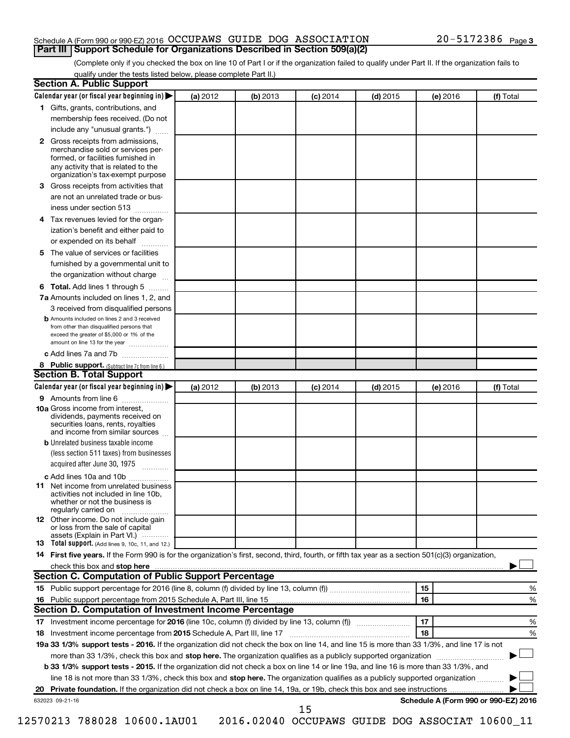## Schedule A (Form 990 or 990-EZ) 2016  $\rm OCCUPANS$  GUIDE DOG  $\rm ASSOCIATION$   $20-5172386$   $_{\rm Page}$ **Part III Support Schedule for Organizations Described in Section 509(a)(2)**

(Complete only if you checked the box on line 10 of Part I or if the organization failed to qualify under Part II. If the organization fails to qualify under the tests listed below, please complete Part II.)

| <b>Section A. Public Support</b>                                                                                                                                                         |          |          |            |            |          |                                      |
|------------------------------------------------------------------------------------------------------------------------------------------------------------------------------------------|----------|----------|------------|------------|----------|--------------------------------------|
| Calendar year (or fiscal year beginning in)                                                                                                                                              | (a) 2012 | (b) 2013 | $(c)$ 2014 | $(d)$ 2015 | (e) 2016 | (f) Total                            |
| 1 Gifts, grants, contributions, and                                                                                                                                                      |          |          |            |            |          |                                      |
| membership fees received. (Do not                                                                                                                                                        |          |          |            |            |          |                                      |
| include any "unusual grants.")                                                                                                                                                           |          |          |            |            |          |                                      |
| 2 Gross receipts from admissions,<br>merchandise sold or services per-<br>formed, or facilities furnished in<br>any activity that is related to the<br>organization's tax-exempt purpose |          |          |            |            |          |                                      |
| 3 Gross receipts from activities that                                                                                                                                                    |          |          |            |            |          |                                      |
| are not an unrelated trade or bus-                                                                                                                                                       |          |          |            |            |          |                                      |
| iness under section 513                                                                                                                                                                  |          |          |            |            |          |                                      |
| 4 Tax revenues levied for the organ-                                                                                                                                                     |          |          |            |            |          |                                      |
| ization's benefit and either paid to                                                                                                                                                     |          |          |            |            |          |                                      |
| or expended on its behalf                                                                                                                                                                |          |          |            |            |          |                                      |
| 5 The value of services or facilities                                                                                                                                                    |          |          |            |            |          |                                      |
| furnished by a governmental unit to                                                                                                                                                      |          |          |            |            |          |                                      |
| the organization without charge                                                                                                                                                          |          |          |            |            |          |                                      |
| 6 Total. Add lines 1 through 5                                                                                                                                                           |          |          |            |            |          |                                      |
| 7a Amounts included on lines 1, 2, and                                                                                                                                                   |          |          |            |            |          |                                      |
| 3 received from disqualified persons                                                                                                                                                     |          |          |            |            |          |                                      |
| <b>b</b> Amounts included on lines 2 and 3 received<br>from other than disqualified persons that<br>exceed the greater of \$5,000 or 1% of the<br>amount on line 13 for the year         |          |          |            |            |          |                                      |
| c Add lines 7a and 7b                                                                                                                                                                    |          |          |            |            |          |                                      |
| 8 Public support. (Subtract line 7c from line 6.)                                                                                                                                        |          |          |            |            |          |                                      |
| <b>Section B. Total Support</b>                                                                                                                                                          |          |          |            |            |          |                                      |
| Calendar year (or fiscal year beginning in)                                                                                                                                              | (a) 2012 | (b) 2013 | $(c)$ 2014 | $(d)$ 2015 | (e) 2016 | (f) Total                            |
| <b>9</b> Amounts from line 6                                                                                                                                                             |          |          |            |            |          |                                      |
| <b>10a</b> Gross income from interest,<br>dividends, payments received on<br>securities loans, rents, royalties<br>and income from similar sources                                       |          |          |            |            |          |                                      |
| <b>b</b> Unrelated business taxable income                                                                                                                                               |          |          |            |            |          |                                      |
| (less section 511 taxes) from businesses                                                                                                                                                 |          |          |            |            |          |                                      |
| acquired after June 30, 1975                                                                                                                                                             |          |          |            |            |          |                                      |
| c Add lines 10a and 10b                                                                                                                                                                  |          |          |            |            |          |                                      |
| 11 Net income from unrelated business<br>activities not included in line 10b.<br>whether or not the business is<br>regularly carried on                                                  |          |          |            |            |          |                                      |
| <b>12</b> Other income. Do not include gain<br>or loss from the sale of capital<br>assets (Explain in Part VI.)                                                                          |          |          |            |            |          |                                      |
| <b>13</b> Total support. (Add lines 9, 10c, 11, and 12.)                                                                                                                                 |          |          |            |            |          |                                      |
| 14 First five years. If the Form 990 is for the organization's first, second, third, fourth, or fifth tax year as a section 501(c)(3) organization,                                      |          |          |            |            |          |                                      |
|                                                                                                                                                                                          |          |          |            |            |          |                                      |
| Section C. Computation of Public Support Percentage                                                                                                                                      |          |          |            |            |          |                                      |
|                                                                                                                                                                                          |          |          |            |            | 15       | ℅                                    |
| 16 Public support percentage from 2015 Schedule A, Part III, line 15                                                                                                                     |          |          |            |            | 16       | %                                    |
| Section D. Computation of Investment Income Percentage                                                                                                                                   |          |          |            |            |          |                                      |
|                                                                                                                                                                                          |          |          |            |            | 17       | %                                    |
| 18 Investment income percentage from 2015 Schedule A, Part III, line 17                                                                                                                  |          |          |            |            | 18       | %                                    |
| 19a 33 1/3% support tests - 2016. If the organization did not check the box on line 14, and line 15 is more than 33 1/3%, and line 17 is not                                             |          |          |            |            |          |                                      |
| more than 33 1/3%, check this box and stop here. The organization qualifies as a publicly supported organization                                                                         |          |          |            |            |          |                                      |
| b 33 1/3% support tests - 2015. If the organization did not check a box on line 14 or line 19a, and line 16 is more than 33 1/3%, and                                                    |          |          |            |            |          |                                      |
| line 18 is not more than 33 1/3%, check this box and stop here. The organization qualifies as a publicly supported organization                                                          |          |          |            |            |          |                                      |
|                                                                                                                                                                                          |          |          |            |            |          |                                      |
| 632023 09-21-16                                                                                                                                                                          |          |          |            |            |          | Schedule A (Form 990 or 990-EZ) 2016 |
|                                                                                                                                                                                          |          |          | 15         |            |          |                                      |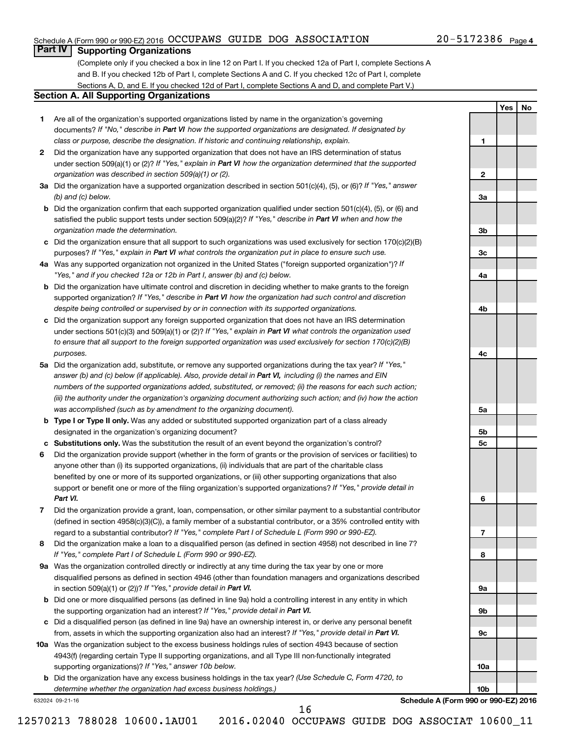## Schedule A (Form 990 or 990-EZ) 2016  $\rm OCCUPANS$  GUIDE DOG  $\rm ASSOCIATION$   $20-5172386$   $_{\rm Page}$

## **Part IV Supporting Organizations**

(Complete only if you checked a box in line 12 on Part I. If you checked 12a of Part I, complete Sections A and B. If you checked 12b of Part I, complete Sections A and C. If you checked 12c of Part I, complete Sections A, D, and E. If you checked 12d of Part I, complete Sections A and D, and complete Part V.)

### **Section A. All Supporting Organizations**

- **1** Are all of the organization's supported organizations listed by name in the organization's governing documents? If "No," describe in Part VI how the supported organizations are designated. If designated by *class or purpose, describe the designation. If historic and continuing relationship, explain.*
- **2** Did the organization have any supported organization that does not have an IRS determination of status under section 509(a)(1) or (2)? If "Yes," explain in Part VI how the organization determined that the supported *organization was described in section 509(a)(1) or (2).*
- **3a** Did the organization have a supported organization described in section 501(c)(4), (5), or (6)? If "Yes," answer *(b) and (c) below.*
- **b** Did the organization confirm that each supported organization qualified under section 501(c)(4), (5), or (6) and satisfied the public support tests under section 509(a)(2)? If "Yes," describe in Part VI when and how the *organization made the determination.*
- **c** Did the organization ensure that all support to such organizations was used exclusively for section 170(c)(2)(B) purposes? If "Yes," explain in Part VI what controls the organization put in place to ensure such use.
- **4 a** *If* Was any supported organization not organized in the United States ("foreign supported organization")? *"Yes," and if you checked 12a or 12b in Part I, answer (b) and (c) below.*
- **b** Did the organization have ultimate control and discretion in deciding whether to make grants to the foreign supported organization? If "Yes," describe in Part VI how the organization had such control and discretion *despite being controlled or supervised by or in connection with its supported organizations.*
- **c** Did the organization support any foreign supported organization that does not have an IRS determination under sections 501(c)(3) and 509(a)(1) or (2)? If "Yes," explain in Part VI what controls the organization used *to ensure that all support to the foreign supported organization was used exclusively for section 170(c)(2)(B) purposes.*
- **5a** Did the organization add, substitute, or remove any supported organizations during the tax year? If "Yes," answer (b) and (c) below (if applicable). Also, provide detail in Part VI, including (i) the names and EIN *numbers of the supported organizations added, substituted, or removed; (ii) the reasons for each such action; (iii) the authority under the organization's organizing document authorizing such action; and (iv) how the action was accomplished (such as by amendment to the organizing document).*
- **b** Type I or Type II only. Was any added or substituted supported organization part of a class already designated in the organization's organizing document?
- **c Substitutions only.**  Was the substitution the result of an event beyond the organization's control?
- **6** Did the organization provide support (whether in the form of grants or the provision of services or facilities) to support or benefit one or more of the filing organization's supported organizations? If "Yes," provide detail in anyone other than (i) its supported organizations, (ii) individuals that are part of the charitable class benefited by one or more of its supported organizations, or (iii) other supporting organizations that also *Part VI.*
- **7** Did the organization provide a grant, loan, compensation, or other similar payment to a substantial contributor regard to a substantial contributor? If "Yes," complete Part I of Schedule L (Form 990 or 990-EZ). (defined in section 4958(c)(3)(C)), a family member of a substantial contributor, or a 35% controlled entity with
- **8** Did the organization make a loan to a disqualified person (as defined in section 4958) not described in line 7? *If "Yes," complete Part I of Schedule L (Form 990 or 990-EZ).*
- **9 a** Was the organization controlled directly or indirectly at any time during the tax year by one or more in section 509(a)(1) or (2))? If "Yes," provide detail in Part VI. disqualified persons as defined in section 4946 (other than foundation managers and organizations described
- **b** Did one or more disqualified persons (as defined in line 9a) hold a controlling interest in any entity in which the supporting organization had an interest? If "Yes," provide detail in Part VI.
- **c** Did a disqualified person (as defined in line 9a) have an ownership interest in, or derive any personal benefit from, assets in which the supporting organization also had an interest? If "Yes," provide detail in Part VI.
- **10 a** Was the organization subject to the excess business holdings rules of section 4943 because of section supporting organizations)? If "Yes," answer 10b below. 4943(f) (regarding certain Type II supporting organizations, and all Type III non-functionally integrated
	- **b** Did the organization have any excess business holdings in the tax year? (Use Schedule C, Form 4720, to *determine whether the organization had excess business holdings.)*

632024 09-21-16

**Schedule A (Form 990 or 990-EZ) 2016**

**1**

**2**

**3a**

**3b**

**3c**

**4a**

**4b**

**4c**

**5a**

**5b 5c**

**6**

**7**

**8**

**9a**

**9b**

**9c**

**10a**

**10b**

**Yes No**

16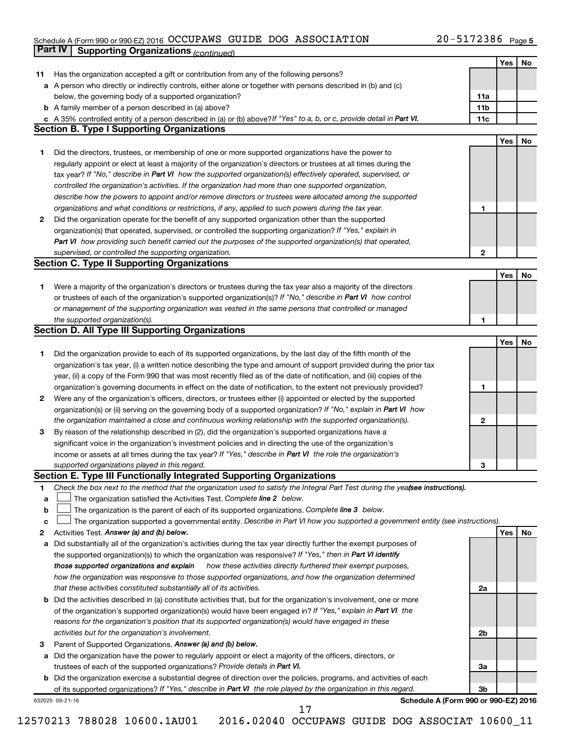#### Schedule A (Form 990 or 990-EZ) 2016 Page OCCUPAWS GUIDE DOG ASSOCIATION 20-5172386

|    | Part IV<br><b>Supporting Organizations (continued)</b>                                                                          |                 |     |    |
|----|---------------------------------------------------------------------------------------------------------------------------------|-----------------|-----|----|
|    |                                                                                                                                 |                 | Yes | No |
| 11 | Has the organization accepted a gift or contribution from any of the following persons?                                         |                 |     |    |
|    | a A person who directly or indirectly controls, either alone or together with persons described in (b) and (c)                  |                 |     |    |
|    | below, the governing body of a supported organization?                                                                          | 11a             |     |    |
|    | <b>b</b> A family member of a person described in (a) above?                                                                    | 11 <sub>b</sub> |     |    |
|    | c A 35% controlled entity of a person described in (a) or (b) above? If "Yes" to a, b, or c, provide detail in Part VI.         | 11c             |     |    |
|    | <b>Section B. Type I Supporting Organizations</b>                                                                               |                 |     |    |
|    |                                                                                                                                 |                 | Yes | No |
| 1  | Did the directors, trustees, or membership of one or more supported organizations have the power to                             |                 |     |    |
|    | regularly appoint or elect at least a majority of the organization's directors or trustees at all times during the              |                 |     |    |
|    | tax year? If "No," describe in Part VI how the supported organization(s) effectively operated, supervised, or                   |                 |     |    |
|    | controlled the organization's activities. If the organization had more than one supported organization,                         |                 |     |    |
|    | describe how the powers to appoint and/or remove directors or trustees were allocated among the supported                       |                 |     |    |
|    |                                                                                                                                 |                 |     |    |
|    | organizations and what conditions or restrictions, if any, applied to such powers during the tax year.                          | 1               |     |    |
| 2  | Did the organization operate for the benefit of any supported organization other than the supported                             |                 |     |    |
|    | organization(s) that operated, supervised, or controlled the supporting organization? If "Yes," explain in                      |                 |     |    |
|    | Part VI how providing such benefit carried out the purposes of the supported organization(s) that operated,                     |                 |     |    |
|    | supervised, or controlled the supporting organization.                                                                          | 2               |     |    |
|    | <b>Section C. Type II Supporting Organizations</b>                                                                              |                 |     |    |
|    |                                                                                                                                 |                 | Yes | No |
| 1. | Were a majority of the organization's directors or trustees during the tax year also a majority of the directors                |                 |     |    |
|    | or trustees of each of the organization's supported organization(s)? If "No," describe in Part VI how control                   |                 |     |    |
|    | or management of the supporting organization was vested in the same persons that controlled or managed                          |                 |     |    |
|    | the supported organization(s).                                                                                                  | 1               |     |    |
|    | <b>Section D. All Type III Supporting Organizations</b>                                                                         |                 |     |    |
|    |                                                                                                                                 |                 | Yes | No |
| 1  | Did the organization provide to each of its supported organizations, by the last day of the fifth month of the                  |                 |     |    |
|    | organization's tax year, (i) a written notice describing the type and amount of support provided during the prior tax           |                 |     |    |
|    | year, (ii) a copy of the Form 990 that was most recently filed as of the date of notification, and (iii) copies of the          |                 |     |    |
|    | organization's governing documents in effect on the date of notification, to the extent not previously provided?                | 1               |     |    |
| 2  | Were any of the organization's officers, directors, or trustees either (i) appointed or elected by the supported                |                 |     |    |
|    | organization(s) or (ii) serving on the governing body of a supported organization? If "No," explain in Part VI how              |                 |     |    |
|    | the organization maintained a close and continuous working relationship with the supported organization(s).                     | 2               |     |    |
| 3  | By reason of the relationship described in (2), did the organization's supported organizations have a                           |                 |     |    |
|    | significant voice in the organization's investment policies and in directing the use of the organization's                      |                 |     |    |
|    | income or assets at all times during the tax year? If "Yes," describe in Part VI the role the organization's                    |                 |     |    |
|    | supported organizations played in this regard.                                                                                  | з               |     |    |
|    | Section E. Type III Functionally Integrated Supporting Organizations                                                            |                 |     |    |
| 1  | Check the box next to the method that the organization used to satisfy the Integral Part Test during the yea(see instructions). |                 |     |    |
| a  | The organization satisfied the Activities Test. Complete line 2 below.                                                          |                 |     |    |
| b  | The organization is the parent of each of its supported organizations. Complete line 3 below.                                   |                 |     |    |
| с  | The organization supported a governmental entity. Describe in Part VI how you supported a government entity (see instructions). |                 |     |    |
| 2  | Activities Test. Answer (a) and (b) below.                                                                                      |                 | Yes | No |
| а  | Did substantially all of the organization's activities during the tax year directly further the exempt purposes of              |                 |     |    |
|    | the supported organization(s) to which the organization was responsive? If "Yes," then in Part VI identify                      |                 |     |    |
|    | those supported organizations and explain<br>how these activities directly furthered their exempt purposes,                     |                 |     |    |
|    | how the organization was responsive to those supported organizations, and how the organization determined                       |                 |     |    |
|    | that these activities constituted substantially all of its activities.                                                          | 2a              |     |    |
| b  | Did the activities described in (a) constitute activities that, but for the organization's involvement, one or more             |                 |     |    |
|    | of the organization's supported organization(s) would have been engaged in? If "Yes," explain in Part VI the                    |                 |     |    |
|    | reasons for the organization's position that its supported organization(s) would have engaged in these                          |                 |     |    |
|    | activities but for the organization's involvement.                                                                              | 2b              |     |    |
|    |                                                                                                                                 |                 |     |    |
| 3  | Parent of Supported Organizations. Answer (a) and (b) below.                                                                    |                 |     |    |
| а  | Did the organization have the power to regularly appoint or elect a majority of the officers, directors, or                     |                 |     |    |
|    | trustees of each of the supported organizations? Provide details in Part VI.                                                    | За              |     |    |
|    | <b>b</b> Did the organization exercise a substantial degree of direction over the policies, programs, and activities of each    |                 |     |    |
|    | of its supported organizations? If "Yes," describe in Part VI the role played by the organization in this regard.               | 3b              |     |    |
|    | Schedule A (Form 990 or 990-EZ) 2016<br>632025 09-21-16<br>17                                                                   |                 |     |    |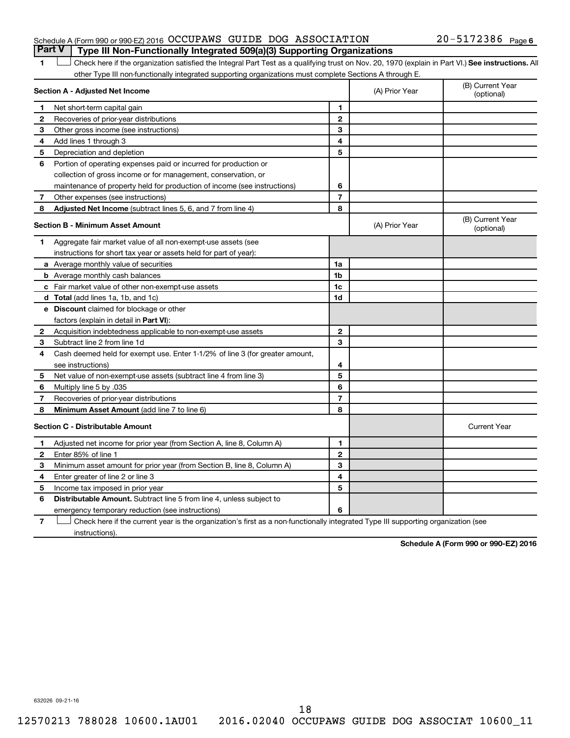## Schedule A (Form 990 or 990-EZ) 2016  $\rm OCCUPANS$  GUIDE DOG  $\rm ASSOCIATION$   $20-5172386$   $_{\rm Page}$ **Part V Type III Non-Functionally Integrated 509(a)(3) Supporting Organizations**

## 20-5172386 Page 6

1 **Letter See instructions.** All Check here if the organization satisfied the Integral Part Test as a qualifying trust on Nov. 20, 1970 (explain in Part VI.) See instructions. All other Type III non-functionally integrated supporting organizations must complete Sections A through E.

| Section A - Adjusted Net Income |                                                                              |                | (A) Prior Year | (B) Current Year<br>(optional) |
|---------------------------------|------------------------------------------------------------------------------|----------------|----------------|--------------------------------|
| 1                               | Net short-term capital gain                                                  | 1              |                |                                |
| $\mathbf{2}$                    | Recoveries of prior-year distributions                                       | $\mathbf{2}$   |                |                                |
| З                               | Other gross income (see instructions)                                        | 3              |                |                                |
| 4                               | Add lines 1 through 3                                                        | 4              |                |                                |
| 5                               | Depreciation and depletion                                                   | 5              |                |                                |
| 6                               | Portion of operating expenses paid or incurred for production or             |                |                |                                |
|                                 | collection of gross income or for management, conservation, or               |                |                |                                |
|                                 | maintenance of property held for production of income (see instructions)     | 6              |                |                                |
| 7                               | Other expenses (see instructions)                                            | $\overline{7}$ |                |                                |
| 8                               | Adjusted Net Income (subtract lines 5, 6, and 7 from line 4)                 | 8              |                |                                |
|                                 | <b>Section B - Minimum Asset Amount</b>                                      |                | (A) Prior Year | (B) Current Year<br>(optional) |
| 1.                              | Aggregate fair market value of all non-exempt-use assets (see                |                |                |                                |
|                                 | instructions for short tax year or assets held for part of year):            |                |                |                                |
|                                 | <b>a</b> Average monthly value of securities                                 | 1a             |                |                                |
|                                 | <b>b</b> Average monthly cash balances                                       | 1 <sub>b</sub> |                |                                |
|                                 | <b>c</b> Fair market value of other non-exempt-use assets                    | 1c             |                |                                |
|                                 | <b>d</b> Total (add lines 1a, 1b, and 1c)                                    | 1d             |                |                                |
|                                 | e Discount claimed for blockage or other                                     |                |                |                                |
|                                 | factors (explain in detail in <b>Part VI</b> ):                              |                |                |                                |
| 2                               | Acquisition indebtedness applicable to non-exempt-use assets                 | $\mathbf{2}$   |                |                                |
| З                               | Subtract line 2 from line 1d                                                 | 3              |                |                                |
| 4                               | Cash deemed held for exempt use. Enter 1-1/2% of line 3 (for greater amount, |                |                |                                |
|                                 | see instructions)                                                            | 4              |                |                                |
| 5                               | Net value of non-exempt-use assets (subtract line 4 from line 3)             | 5              |                |                                |
| 6                               | Multiply line 5 by .035                                                      | 6              |                |                                |
| 7                               | Recoveries of prior-year distributions                                       | $\overline{7}$ |                |                                |
| 8                               | <b>Minimum Asset Amount (add line 7 to line 6)</b>                           | 8              |                |                                |
|                                 | <b>Section C - Distributable Amount</b>                                      |                |                | <b>Current Year</b>            |
| 1                               | Adjusted net income for prior year (from Section A, line 8, Column A)        | 1              |                |                                |
| $\mathbf{2}$                    | Enter 85% of line 1                                                          | $\mathbf{2}$   |                |                                |
| З                               | Minimum asset amount for prior year (from Section B, line 8, Column A)       | 3              |                |                                |
| 4                               | Enter greater of line 2 or line 3                                            | 4              |                |                                |
| 5                               | Income tax imposed in prior year                                             | 5              |                |                                |
| 6                               | <b>Distributable Amount.</b> Subtract line 5 from line 4, unless subject to  |                |                |                                |
|                                 | emergency temporary reduction (see instructions)                             | 6              |                |                                |
|                                 |                                                                              |                |                |                                |

**7** Check here if the current year is the organization's first as a non-functionally integrated Type III supporting organization (see † instructions).

**Schedule A (Form 990 or 990-EZ) 2016**

632026 09-21-16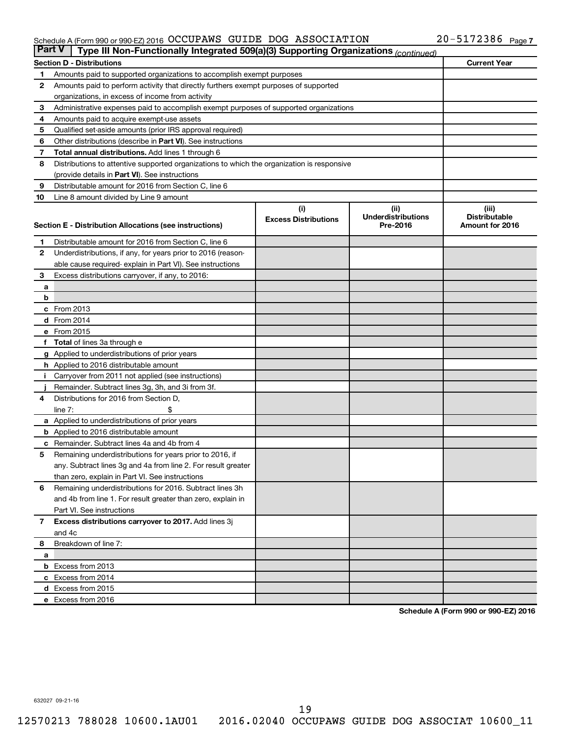#### Schedule A (Form 990 or 990-EZ) 2016 Page OCCUPAWS GUIDE DOG ASSOCIATION 20-5172386

| <b>Part V</b>  | Type III Non-Functionally Integrated 509(a)(3) Supporting Organizations (continued)                 |                             |                                       |                                         |
|----------------|-----------------------------------------------------------------------------------------------------|-----------------------------|---------------------------------------|-----------------------------------------|
|                | <b>Section D - Distributions</b>                                                                    |                             |                                       | <b>Current Year</b>                     |
| 1              | Amounts paid to supported organizations to accomplish exempt purposes                               |                             |                                       |                                         |
| 2              | Amounts paid to perform activity that directly furthers exempt purposes of supported                |                             |                                       |                                         |
|                | organizations, in excess of income from activity                                                    |                             |                                       |                                         |
| 3              | Administrative expenses paid to accomplish exempt purposes of supported organizations               |                             |                                       |                                         |
| 4              | Amounts paid to acquire exempt-use assets                                                           |                             |                                       |                                         |
| 5              | Qualified set-aside amounts (prior IRS approval required)                                           |                             |                                       |                                         |
| 6              | Other distributions (describe in Part VI). See instructions                                         |                             |                                       |                                         |
| 7              | <b>Total annual distributions.</b> Add lines 1 through 6                                            |                             |                                       |                                         |
| 8              | Distributions to attentive supported organizations to which the organization is responsive          |                             |                                       |                                         |
|                | (provide details in Part VI). See instructions                                                      |                             |                                       |                                         |
| 9              | Distributable amount for 2016 from Section C, line 6                                                |                             |                                       |                                         |
| 10             | Line 8 amount divided by Line 9 amount                                                              |                             |                                       |                                         |
|                |                                                                                                     | (i)                         | (ii)                                  | (iii)                                   |
|                | Section E - Distribution Allocations (see instructions)                                             | <b>Excess Distributions</b> | <b>Underdistributions</b><br>Pre-2016 | <b>Distributable</b><br>Amount for 2016 |
|                |                                                                                                     |                             |                                       |                                         |
| 1              | Distributable amount for 2016 from Section C, line 6                                                |                             |                                       |                                         |
| $\mathbf{2}$   | Underdistributions, if any, for years prior to 2016 (reason-                                        |                             |                                       |                                         |
|                | able cause required- explain in Part VI). See instructions                                          |                             |                                       |                                         |
| 3              | Excess distributions carryover, if any, to 2016:                                                    |                             |                                       |                                         |
| а              |                                                                                                     |                             |                                       |                                         |
| b              |                                                                                                     |                             |                                       |                                         |
|                | c From 2013                                                                                         |                             |                                       |                                         |
|                | <b>d</b> From 2014                                                                                  |                             |                                       |                                         |
|                | e From 2015                                                                                         |                             |                                       |                                         |
|                | f Total of lines 3a through e                                                                       |                             |                                       |                                         |
|                | <b>g</b> Applied to underdistributions of prior years                                               |                             |                                       |                                         |
|                | <b>h</b> Applied to 2016 distributable amount<br>Carryover from 2011 not applied (see instructions) |                             |                                       |                                         |
|                | Remainder. Subtract lines 3g, 3h, and 3i from 3f.                                                   |                             |                                       |                                         |
| 4              | Distributions for 2016 from Section D,                                                              |                             |                                       |                                         |
|                | $line 7$ :                                                                                          |                             |                                       |                                         |
|                | a Applied to underdistributions of prior years                                                      |                             |                                       |                                         |
|                | <b>b</b> Applied to 2016 distributable amount                                                       |                             |                                       |                                         |
| с              | Remainder. Subtract lines 4a and 4b from 4                                                          |                             |                                       |                                         |
| 5              | Remaining underdistributions for years prior to 2016, if                                            |                             |                                       |                                         |
|                | any. Subtract lines 3g and 4a from line 2. For result greater                                       |                             |                                       |                                         |
|                | than zero, explain in Part VI. See instructions                                                     |                             |                                       |                                         |
| 6              | Remaining underdistributions for 2016. Subtract lines 3h                                            |                             |                                       |                                         |
|                | and 4b from line 1. For result greater than zero, explain in                                        |                             |                                       |                                         |
|                | Part VI. See instructions                                                                           |                             |                                       |                                         |
| $\overline{7}$ | Excess distributions carryover to 2017. Add lines 3j                                                |                             |                                       |                                         |
|                | and 4c                                                                                              |                             |                                       |                                         |
| 8              | Breakdown of line 7:                                                                                |                             |                                       |                                         |
| a              |                                                                                                     |                             |                                       |                                         |
|                | <b>b</b> Excess from 2013                                                                           |                             |                                       |                                         |
|                | c Excess from 2014                                                                                  |                             |                                       |                                         |
|                | d Excess from 2015                                                                                  |                             |                                       |                                         |
|                | e Excess from 2016                                                                                  |                             |                                       |                                         |

**Schedule A (Form 990 or 990-EZ) 2016**

632027 09-21-16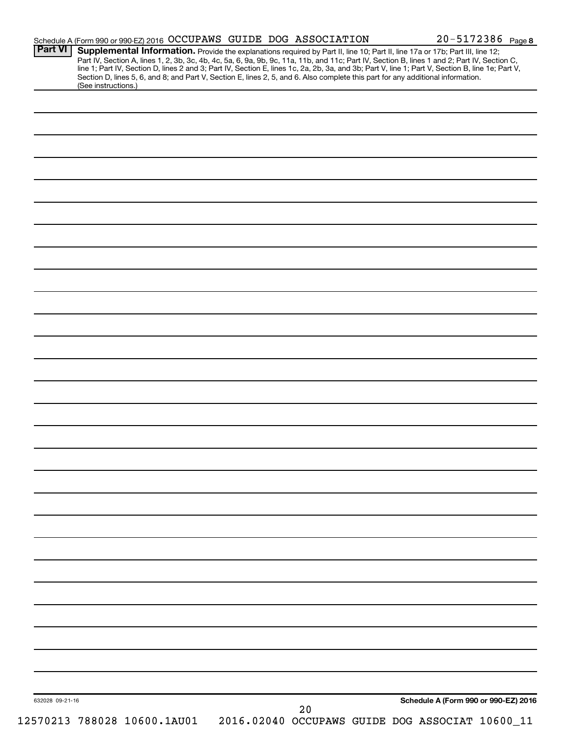| <b>Part VI</b>  | Schedule A (Form 990 or 990-EZ) 2016 OCCUPAWS GUIDE DOG ASSOCIATION<br>Supplemental Information. Provide the explanations required by Part II, line 10; Part II, line 17a or 17b; Part III, line 12;                                                                                |    | 20-5172386 Page 8                    |
|-----------------|-------------------------------------------------------------------------------------------------------------------------------------------------------------------------------------------------------------------------------------------------------------------------------------|----|--------------------------------------|
|                 | Part IV, Section A, lines 1, 2, 3b, 3c, 4b, 4c, 5a, 6, 9a, 9b, 9c, 11a, 11b, and 11c; Part IV, Section B, lines 1 and 2; Part IV, Section C,                                                                                                                                        |    |                                      |
|                 | line 1; Part IV, Section D, lines 2 and 3; Part IV, Section E, lines 1c, 2a, 2b, 3a, and 3b; Part V, line 1; Part V, Section B, line 1e; Part V,<br>Section D, lines 5, 6, and 8; and Part V, Section E, lines 2, 5, and 6. Also complete this part for any additional information. |    |                                      |
|                 | (See instructions.)                                                                                                                                                                                                                                                                 |    |                                      |
|                 |                                                                                                                                                                                                                                                                                     |    |                                      |
|                 |                                                                                                                                                                                                                                                                                     |    |                                      |
|                 |                                                                                                                                                                                                                                                                                     |    |                                      |
|                 |                                                                                                                                                                                                                                                                                     |    |                                      |
|                 |                                                                                                                                                                                                                                                                                     |    |                                      |
|                 |                                                                                                                                                                                                                                                                                     |    |                                      |
|                 |                                                                                                                                                                                                                                                                                     |    |                                      |
|                 |                                                                                                                                                                                                                                                                                     |    |                                      |
|                 |                                                                                                                                                                                                                                                                                     |    |                                      |
|                 |                                                                                                                                                                                                                                                                                     |    |                                      |
|                 |                                                                                                                                                                                                                                                                                     |    |                                      |
|                 |                                                                                                                                                                                                                                                                                     |    |                                      |
|                 |                                                                                                                                                                                                                                                                                     |    |                                      |
|                 |                                                                                                                                                                                                                                                                                     |    |                                      |
|                 |                                                                                                                                                                                                                                                                                     |    |                                      |
|                 |                                                                                                                                                                                                                                                                                     |    |                                      |
|                 |                                                                                                                                                                                                                                                                                     |    |                                      |
|                 |                                                                                                                                                                                                                                                                                     |    |                                      |
|                 |                                                                                                                                                                                                                                                                                     |    |                                      |
|                 |                                                                                                                                                                                                                                                                                     |    |                                      |
|                 |                                                                                                                                                                                                                                                                                     |    |                                      |
|                 |                                                                                                                                                                                                                                                                                     |    |                                      |
|                 |                                                                                                                                                                                                                                                                                     |    |                                      |
|                 |                                                                                                                                                                                                                                                                                     |    |                                      |
|                 |                                                                                                                                                                                                                                                                                     |    |                                      |
|                 |                                                                                                                                                                                                                                                                                     |    |                                      |
|                 |                                                                                                                                                                                                                                                                                     |    |                                      |
|                 |                                                                                                                                                                                                                                                                                     |    |                                      |
|                 |                                                                                                                                                                                                                                                                                     |    |                                      |
|                 |                                                                                                                                                                                                                                                                                     |    |                                      |
|                 |                                                                                                                                                                                                                                                                                     |    |                                      |
|                 |                                                                                                                                                                                                                                                                                     |    |                                      |
|                 |                                                                                                                                                                                                                                                                                     |    |                                      |
|                 |                                                                                                                                                                                                                                                                                     |    |                                      |
|                 |                                                                                                                                                                                                                                                                                     |    |                                      |
|                 |                                                                                                                                                                                                                                                                                     |    |                                      |
|                 |                                                                                                                                                                                                                                                                                     |    |                                      |
|                 |                                                                                                                                                                                                                                                                                     |    |                                      |
|                 |                                                                                                                                                                                                                                                                                     |    |                                      |
|                 |                                                                                                                                                                                                                                                                                     |    |                                      |
|                 |                                                                                                                                                                                                                                                                                     |    |                                      |
|                 |                                                                                                                                                                                                                                                                                     |    |                                      |
|                 |                                                                                                                                                                                                                                                                                     |    |                                      |
|                 |                                                                                                                                                                                                                                                                                     |    |                                      |
|                 |                                                                                                                                                                                                                                                                                     |    |                                      |
|                 |                                                                                                                                                                                                                                                                                     |    |                                      |
|                 |                                                                                                                                                                                                                                                                                     |    |                                      |
|                 |                                                                                                                                                                                                                                                                                     |    |                                      |
|                 |                                                                                                                                                                                                                                                                                     |    |                                      |
| 632028 09-21-16 |                                                                                                                                                                                                                                                                                     |    | Schedule A (Form 990 or 990-EZ) 2016 |
|                 |                                                                                                                                                                                                                                                                                     | 20 |                                      |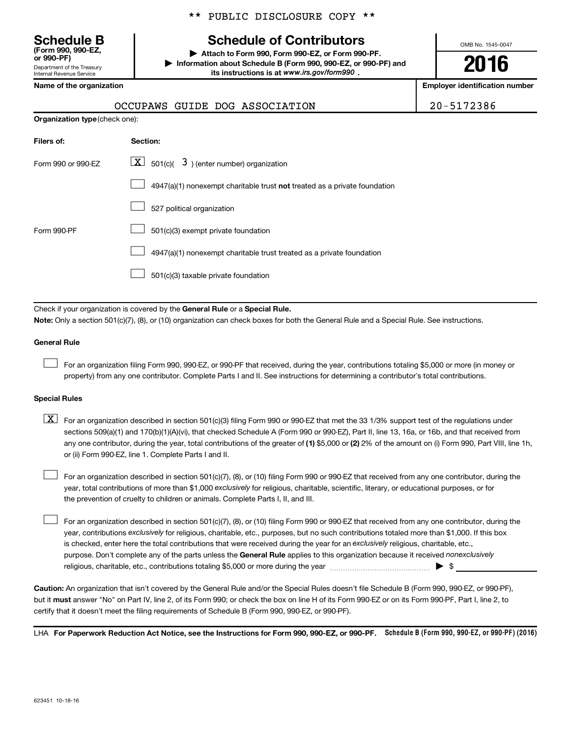Department of the Treasury Internal Revenue Service **(Form 990, 990-EZ,**

|  |  | ** PUBLIC DISCLOSURE COPY ** |  |  |
|--|--|------------------------------|--|--|
|--|--|------------------------------|--|--|

## **Schedule B Schedule of Contributors**

**or 990-PF) | Attach to Form 990, Form 990-EZ, or Form 990-PF. | Information about Schedule B (Form 990, 990-EZ, or 990-PF) and** its instructions is at www.irs.gov/form990.

OMB No. 1545-0047

**2016**

**Name of the organization Employer identification number**

| 20-5172386 |  |
|------------|--|
|------------|--|

| OCCUPAWS GUIDE DOG ASSOCIATION | 20-5172386 |
|--------------------------------|------------|
|--------------------------------|------------|

| <b>Organization type (check one):</b> |                                                                           |  |
|---------------------------------------|---------------------------------------------------------------------------|--|
| Filers of:                            | <b>Section:</b>                                                           |  |
| Form 990 or 990-EZ                    | $\boxed{\textbf{X}}$ 501(c)( 3) (enter number) organization               |  |
|                                       | 4947(a)(1) nonexempt charitable trust not treated as a private foundation |  |
|                                       | 527 political organization                                                |  |
| Form 990-PF                           | 501(c)(3) exempt private foundation                                       |  |
|                                       | 4947(a)(1) nonexempt charitable trust treated as a private foundation     |  |
|                                       | 501(c)(3) taxable private foundation                                      |  |

Check if your organization is covered by the General Rule or a Special Rule.

**Note:**  Only a section 501(c)(7), (8), or (10) organization can check boxes for both the General Rule and a Special Rule. See instructions.

### **General Rule**

 $\Box$ 

For an organization filing Form 990, 990-EZ, or 990-PF that received, during the year, contributions totaling \$5,000 or more (in money or property) from any one contributor. Complete Parts I and II. See instructions for determining a contributor's total contributions.

### **Special Rules**

any one contributor, during the year, total contributions of the greater of **(1)** \$5,000 or **(2)** 2% of the amount on (i) Form 990, Part VIII, line 1h,  $\boxed{\text{X}}$  For an organization described in section 501(c)(3) filing Form 990 or 990-EZ that met the 33 1/3% support test of the regulations under sections 509(a)(1) and 170(b)(1)(A)(vi), that checked Schedule A (Form 990 or 990-EZ), Part II, line 13, 16a, or 16b, and that received from or (ii) Form 990-EZ, line 1. Complete Parts I and II.

year, total contributions of more than \$1,000 *exclusively* for religious, charitable, scientific, literary, or educational purposes, or for For an organization described in section 501(c)(7), (8), or (10) filing Form 990 or 990-EZ that received from any one contributor, during the the prevention of cruelty to children or animals. Complete Parts I, II, and III.  $\Box$ 

purpose. Don't complete any of the parts unless the General Rule applies to this organization because it received nonexclusively year, contributions exclusively for religious, charitable, etc., purposes, but no such contributions totaled more than \$1,000. If this box is checked, enter here the total contributions that were received during the year for an exclusively religious, charitable, etc., For an organization described in section 501(c)(7), (8), or (10) filing Form 990 or 990-EZ that received from any one contributor, during the religious, charitable, etc., contributions totaling \$5,000 or more during the year  $\ldots$  $\ldots$  $\ldots$  $\ldots$  $\ldots$  $\ldots$  $\Box$ 

**Caution:**  An organization that isn't covered by the General Rule and/or the Special Rules doesn't file Schedule B (Form 990, 990-EZ, or 990-PF),  **must** but it answer "No" on Part IV, line 2, of its Form 990; or check the box on line H of its Form 990-EZ or on its Form 990-PF, Part I, line 2, to certify that it doesn't meet the filing requirements of Schedule B (Form 990, 990-EZ, or 990-PF).

LHA For Paperwork Reduction Act Notice, see the Instructions for Form 990, 990-EZ, or 990-PF. Schedule B (Form 990, 990-EZ, or 990-PF) (2016)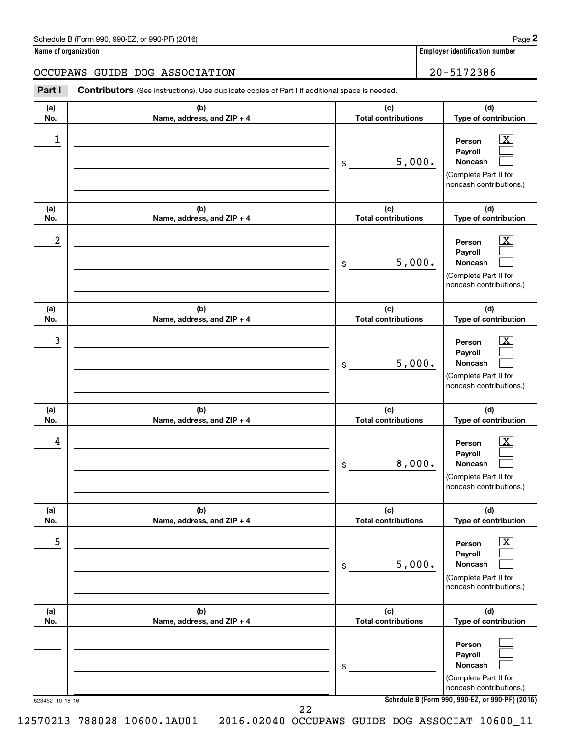| Schedule B (Form 990, 990-EZ, or 990-PF) (2016) | Page |
|-------------------------------------------------|------|
|-------------------------------------------------|------|

| Name of organization |  |  |
|----------------------|--|--|
|----------------------|--|--|

| Name of organization |                                                                                                |                                   |        | <b>Employer identification number</b>                                                        |
|----------------------|------------------------------------------------------------------------------------------------|-----------------------------------|--------|----------------------------------------------------------------------------------------------|
|                      | OCCUPAWS GUIDE DOG ASSOCIATION                                                                 |                                   |        | 20-5172386                                                                                   |
| Part I               | Contributors (See instructions). Use duplicate copies of Part I if additional space is needed. |                                   |        |                                                                                              |
| (a)<br>No.           | (b)<br>Name, address, and ZIP + 4                                                              | (c)<br><b>Total contributions</b> |        | (d)<br>Type of contribution                                                                  |
| $\mathbf 1$          |                                                                                                | \$                                | 5,000. | х<br>Person<br>Payroll<br><b>Noncash</b><br>(Complete Part II for<br>noncash contributions.) |
| (a)<br>No.           | (b)<br>Name, address, and ZIP + 4                                                              | (c)<br><b>Total contributions</b> |        | (d)<br>Type of contribution                                                                  |
| 2                    |                                                                                                | \$                                | 5,000. | х<br>Person<br>Payroll<br><b>Noncash</b><br>(Complete Part II for<br>noncash contributions.) |
| (a)<br>No.           | (b)<br>Name, address, and ZIP + 4                                                              | (c)<br><b>Total contributions</b> |        | (d)<br>Type of contribution                                                                  |
| 3                    |                                                                                                | 5,000.<br>\$                      |        | х<br>Person<br>Payroll<br><b>Noncash</b><br>Complete Part II for                             |

|                 |                                   | 5,000.<br>\$                      | Payroll<br><b>Noncash</b><br>(Complete Part II for<br>noncash contributions.)                |
|-----------------|-----------------------------------|-----------------------------------|----------------------------------------------------------------------------------------------|
| (a)<br>No.      | (b)<br>Name, address, and ZIP + 4 | (c)<br><b>Total contributions</b> | (d)<br>Type of contribution                                                                  |
| 4               |                                   | 8,000.<br>\$                      | x<br>Person<br>Payroll<br><b>Noncash</b><br>(Complete Part II for<br>noncash contributions.) |
| (a)<br>No.      | (b)<br>Name, address, and ZIP + 4 | (c)<br><b>Total contributions</b> | (d)<br>Type of contribution                                                                  |
| 5               |                                   | 5,000.<br>\$                      | X<br>Person<br>Payroll<br><b>Noncash</b><br>(Complete Part II for<br>noncash contributions.) |
| (a)<br>No.      | (b)<br>Name, address, and ZIP + 4 | (c)<br><b>Total contributions</b> | (d)<br>Type of contribution                                                                  |
|                 |                                   | \$                                | Person<br>Payroll<br><b>Noncash</b><br>(Complete Part II for<br>noncash contributions.)      |
| 623452 10-18-16 | 22                                |                                   | Schedule B (Form 990, 990-EZ, or 990-PF) (2016)                                              |

12570213 788028 10600.1AU01 2016.02040 OCCUPAWS GUIDE DOG ASSOCIAT 10600\_11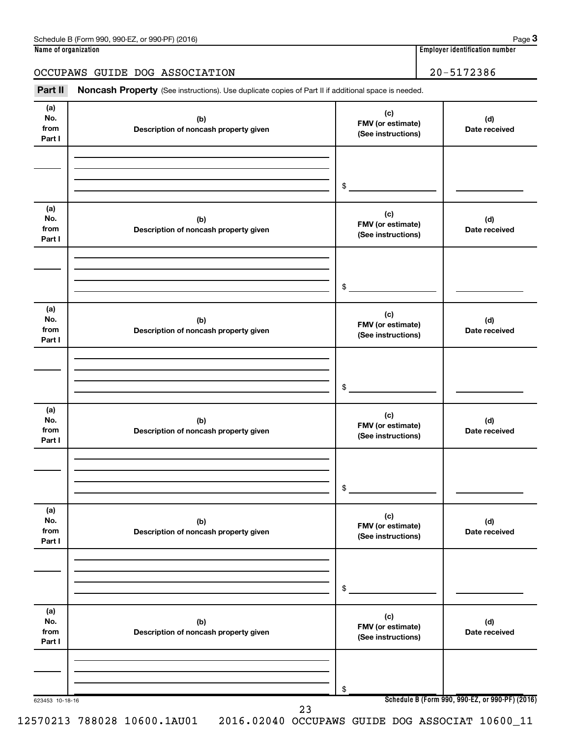## OCCUPAWS GUIDE DOG ASSOCIATION 20-5172386

Part II Noncash Property (See instructions). Use duplicate copies of Part II if additional space is needed.

| (a)<br>No.<br>from<br>Part I | (b)<br>Description of noncash property given | (c)<br>FMV (or estimate)<br>(See instructions) | (d)<br>Date received                         |
|------------------------------|----------------------------------------------|------------------------------------------------|----------------------------------------------|
|                              |                                              | \$                                             |                                              |
| (a)<br>No.<br>from<br>Part I | (b)<br>Description of noncash property given | (c)<br>FMV (or estimate)<br>(See instructions) | (d)<br>Date received                         |
|                              |                                              | \$                                             |                                              |
| (a)<br>No.<br>from<br>Part I | (b)<br>Description of noncash property given | (c)<br>FMV (or estimate)<br>(See instructions) | (d)<br>Date received                         |
|                              |                                              | \$                                             |                                              |
| (a)<br>No.<br>from<br>Part I | (b)<br>Description of noncash property given | (c)<br>FMV (or estimate)<br>(See instructions) | (d)<br>Date received<br>(d)<br>Date received |
|                              |                                              | \$                                             |                                              |
| (a)<br>No.<br>from<br>Part I | (b)<br>Description of noncash property given | (c)<br>FMV (or estimate)<br>(See instructions) |                                              |
|                              |                                              | \$                                             |                                              |
| (a)<br>No.<br>from<br>Part I | (b)<br>Description of noncash property given | (c)<br>FMV (or estimate)<br>(See instructions) | (d)<br>Date received                         |
|                              |                                              | \$                                             |                                              |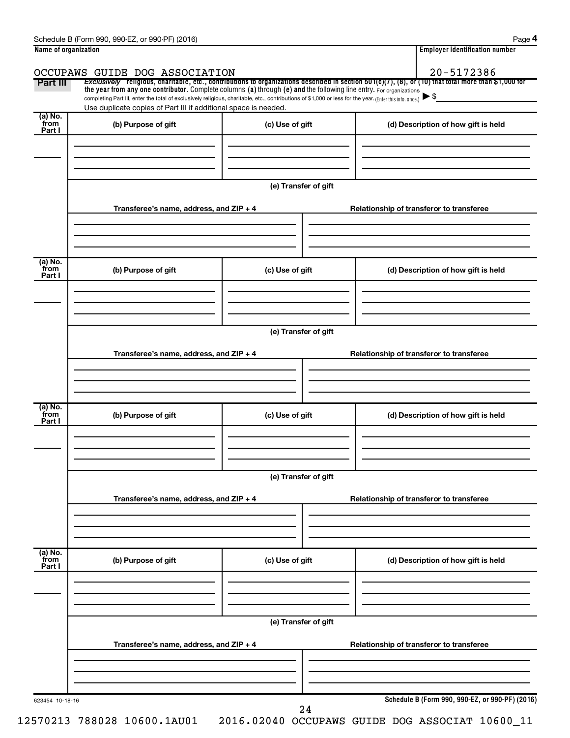|                      | Schedule B (Form 990, 990-EZ, or 990-PF) (2016)                                                                                                                                                                                                                                 |                      |                                          | Page 4                                          |
|----------------------|---------------------------------------------------------------------------------------------------------------------------------------------------------------------------------------------------------------------------------------------------------------------------------|----------------------|------------------------------------------|-------------------------------------------------|
| Name of organization |                                                                                                                                                                                                                                                                                 |                      |                                          | <b>Employer identification number</b>           |
|                      | OCCUPAWS GUIDE DOG ASSOCIATION                                                                                                                                                                                                                                                  |                      |                                          | 20-5172386                                      |
| Part III             | Exclusively religious, charitable, etc., contributions to organizations described in section $501(c)(7)$ , (8), or (10) that total more than \$1,000 for<br>the year from any one contributor. Complete columns (a) through (e) and the following line entry. For organizations |                      |                                          |                                                 |
|                      | completing Part III, enter the total of exclusively religious, charitable, etc., contributions of \$1,000 or less for the year. (Enter this info. once.)<br>Use duplicate copies of Part III if additional space is needed.                                                     |                      |                                          |                                                 |
| (a) No.              |                                                                                                                                                                                                                                                                                 |                      |                                          |                                                 |
| from<br>Part I       | (b) Purpose of gift                                                                                                                                                                                                                                                             | (c) Use of gift      | (d) Description of how gift is held      |                                                 |
|                      |                                                                                                                                                                                                                                                                                 |                      |                                          |                                                 |
|                      |                                                                                                                                                                                                                                                                                 |                      |                                          |                                                 |
|                      |                                                                                                                                                                                                                                                                                 |                      |                                          |                                                 |
|                      |                                                                                                                                                                                                                                                                                 | (e) Transfer of gift |                                          |                                                 |
|                      | Transferee's name, address, and ZIP + 4                                                                                                                                                                                                                                         |                      | Relationship of transferor to transferee |                                                 |
|                      |                                                                                                                                                                                                                                                                                 |                      |                                          |                                                 |
|                      |                                                                                                                                                                                                                                                                                 |                      |                                          |                                                 |
| (a) No.              |                                                                                                                                                                                                                                                                                 |                      |                                          |                                                 |
| from<br>Part I       | (b) Purpose of gift                                                                                                                                                                                                                                                             | (c) Use of gift      | (d) Description of how gift is held      |                                                 |
|                      |                                                                                                                                                                                                                                                                                 |                      |                                          |                                                 |
|                      |                                                                                                                                                                                                                                                                                 |                      |                                          |                                                 |
|                      |                                                                                                                                                                                                                                                                                 |                      |                                          |                                                 |
|                      |                                                                                                                                                                                                                                                                                 | (e) Transfer of gift |                                          |                                                 |
|                      | Transferee's name, address, and ZIP + 4                                                                                                                                                                                                                                         |                      | Relationship of transferor to transferee |                                                 |
|                      |                                                                                                                                                                                                                                                                                 |                      |                                          |                                                 |
|                      |                                                                                                                                                                                                                                                                                 |                      |                                          |                                                 |
|                      |                                                                                                                                                                                                                                                                                 |                      |                                          |                                                 |
| (a) No.<br>from      | (b) Purpose of gift                                                                                                                                                                                                                                                             | (c) Use of gift      | (d) Description of how gift is held      |                                                 |
| Part I               |                                                                                                                                                                                                                                                                                 |                      |                                          |                                                 |
|                      |                                                                                                                                                                                                                                                                                 |                      |                                          |                                                 |
|                      |                                                                                                                                                                                                                                                                                 |                      |                                          |                                                 |
|                      |                                                                                                                                                                                                                                                                                 | (e) Transfer of gift |                                          |                                                 |
|                      | Transferee's name, address, and ZIP + 4                                                                                                                                                                                                                                         |                      | Relationship of transferor to transferee |                                                 |
|                      |                                                                                                                                                                                                                                                                                 |                      |                                          |                                                 |
|                      |                                                                                                                                                                                                                                                                                 |                      |                                          |                                                 |
|                      |                                                                                                                                                                                                                                                                                 |                      |                                          |                                                 |
| (a) No.<br>from      | (b) Purpose of gift                                                                                                                                                                                                                                                             | (c) Use of gift      | (d) Description of how gift is held      |                                                 |
| Part I               |                                                                                                                                                                                                                                                                                 |                      |                                          |                                                 |
|                      |                                                                                                                                                                                                                                                                                 |                      |                                          |                                                 |
|                      |                                                                                                                                                                                                                                                                                 |                      |                                          |                                                 |
|                      |                                                                                                                                                                                                                                                                                 | (e) Transfer of gift |                                          |                                                 |
|                      |                                                                                                                                                                                                                                                                                 |                      |                                          |                                                 |
|                      | Transferee's name, address, and ZIP + 4                                                                                                                                                                                                                                         |                      | Relationship of transferor to transferee |                                                 |
|                      |                                                                                                                                                                                                                                                                                 |                      |                                          |                                                 |
|                      |                                                                                                                                                                                                                                                                                 |                      |                                          |                                                 |
| 623454 10-18-16      |                                                                                                                                                                                                                                                                                 |                      |                                          | Schedule B (Form 990, 990-EZ, or 990-PF) (2016) |
|                      |                                                                                                                                                                                                                                                                                 | 24                   |                                          |                                                 |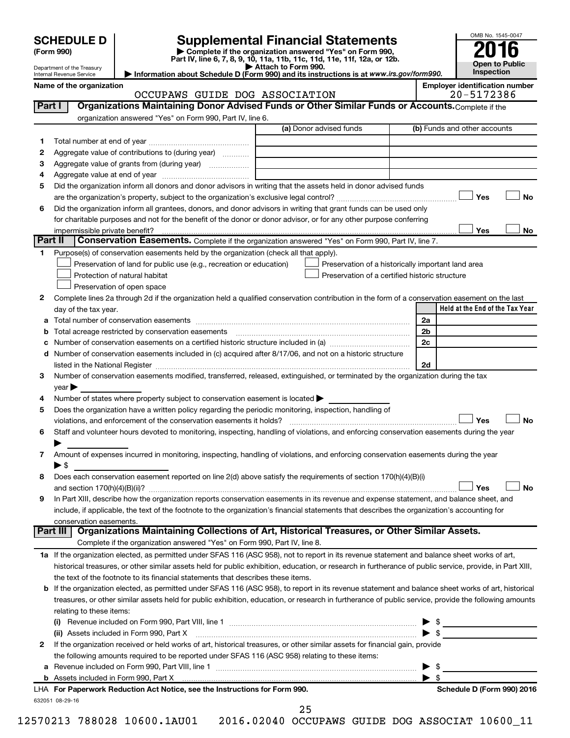# **SCHEDULE D Supplemental Financial Statements**<br> **Form 990 2016**<br> **Part IV** line 6.7.8.9.10, 11a, 11b, 11d, 11d, 11d, 11d, 11d, 12a, 0r, 12b

**(Form 990) | Complete if the organization answered "Yes" on Form 990, Part IV, line 6, 7, 8, 9, 10, 11a, 11b, 11c, 11d, 11e, 11f, 12a, or 12b.**

**| Attach to Form 990. | Information about Schedule D (Form 990) and its instructions is at**  *www.irs.gov/form990.*



|                 | Department of the Treasury<br>Internal Revenue Service |                                                                                                                                                                                                                                                                                                                                                                   | ▶ Attach to Form 990.<br>Information about Schedule D (Form 990) and its instructions is at www.irs.gov/form990. |         | Inspection                            |
|-----------------|--------------------------------------------------------|-------------------------------------------------------------------------------------------------------------------------------------------------------------------------------------------------------------------------------------------------------------------------------------------------------------------------------------------------------------------|------------------------------------------------------------------------------------------------------------------|---------|---------------------------------------|
|                 | Name of the organization                               |                                                                                                                                                                                                                                                                                                                                                                   |                                                                                                                  |         | <b>Employer identification number</b> |
|                 |                                                        | OCCUPAWS GUIDE DOG ASSOCIATION                                                                                                                                                                                                                                                                                                                                    |                                                                                                                  |         | 20-5172386                            |
| <b>Part I</b>   |                                                        | Organizations Maintaining Donor Advised Funds or Other Similar Funds or Accounts. Complete if the                                                                                                                                                                                                                                                                 |                                                                                                                  |         |                                       |
|                 |                                                        | organization answered "Yes" on Form 990, Part IV, line 6.                                                                                                                                                                                                                                                                                                         |                                                                                                                  |         |                                       |
|                 |                                                        |                                                                                                                                                                                                                                                                                                                                                                   | (a) Donor advised funds                                                                                          |         | (b) Funds and other accounts          |
| 1               |                                                        |                                                                                                                                                                                                                                                                                                                                                                   |                                                                                                                  |         |                                       |
| 2               |                                                        | Aggregate value of contributions to (during year)                                                                                                                                                                                                                                                                                                                 |                                                                                                                  |         |                                       |
| з               |                                                        | Aggregate value of grants from (during year)                                                                                                                                                                                                                                                                                                                      |                                                                                                                  |         |                                       |
| 4               |                                                        |                                                                                                                                                                                                                                                                                                                                                                   |                                                                                                                  |         |                                       |
| 5               |                                                        | Did the organization inform all donors and donor advisors in writing that the assets held in donor advised funds                                                                                                                                                                                                                                                  |                                                                                                                  |         |                                       |
|                 |                                                        |                                                                                                                                                                                                                                                                                                                                                                   |                                                                                                                  |         | Yes<br>No                             |
| 6               |                                                        | Did the organization inform all grantees, donors, and donor advisors in writing that grant funds can be used only                                                                                                                                                                                                                                                 |                                                                                                                  |         |                                       |
|                 |                                                        | for charitable purposes and not for the benefit of the donor or donor advisor, or for any other purpose conferring                                                                                                                                                                                                                                                |                                                                                                                  |         |                                       |
| <b>Part II</b>  | impermissible private benefit?                         |                                                                                                                                                                                                                                                                                                                                                                   |                                                                                                                  |         | Yes<br>No                             |
|                 |                                                        | Conservation Easements. Complete if the organization answered "Yes" on Form 990, Part IV, line 7.                                                                                                                                                                                                                                                                 |                                                                                                                  |         |                                       |
| 1.              |                                                        | Purpose(s) of conservation easements held by the organization (check all that apply).                                                                                                                                                                                                                                                                             |                                                                                                                  |         |                                       |
|                 |                                                        | Preservation of land for public use (e.g., recreation or education)                                                                                                                                                                                                                                                                                               | Preservation of a historically important land area                                                               |         |                                       |
|                 |                                                        | Protection of natural habitat                                                                                                                                                                                                                                                                                                                                     | Preservation of a certified historic structure                                                                   |         |                                       |
|                 |                                                        | Preservation of open space                                                                                                                                                                                                                                                                                                                                        |                                                                                                                  |         |                                       |
| 2               |                                                        | Complete lines 2a through 2d if the organization held a qualified conservation contribution in the form of a conservation easement on the last                                                                                                                                                                                                                    |                                                                                                                  |         | Held at the End of the Tax Year       |
|                 | day of the tax year.                                   |                                                                                                                                                                                                                                                                                                                                                                   |                                                                                                                  | 2a      |                                       |
| а               |                                                        | Total acreage restricted by conservation easements                                                                                                                                                                                                                                                                                                                |                                                                                                                  | 2b      |                                       |
| b<br>c          |                                                        |                                                                                                                                                                                                                                                                                                                                                                   |                                                                                                                  | 2c      |                                       |
| d               |                                                        | Number of conservation easements included in (c) acquired after 8/17/06, and not on a historic structure                                                                                                                                                                                                                                                          |                                                                                                                  |         |                                       |
|                 |                                                        |                                                                                                                                                                                                                                                                                                                                                                   |                                                                                                                  | 2d      |                                       |
| З               |                                                        | listed in the National Register [111] Marshall Register [11] Marshall Register [11] Marshall Register [11] Marshall Register [11] Marshall Register [11] Marshall Register [11] Marshall Register [11] Marshall Register [11]<br>Number of conservation easements modified, transferred, released, extinguished, or terminated by the organization during the tax |                                                                                                                  |         |                                       |
|                 | $year \triangleright$                                  |                                                                                                                                                                                                                                                                                                                                                                   |                                                                                                                  |         |                                       |
| 4               |                                                        | Number of states where property subject to conservation easement is located >                                                                                                                                                                                                                                                                                     |                                                                                                                  |         |                                       |
| 5               |                                                        | Does the organization have a written policy regarding the periodic monitoring, inspection, handling of                                                                                                                                                                                                                                                            |                                                                                                                  |         |                                       |
|                 |                                                        | violations, and enforcement of the conservation easements it holds?                                                                                                                                                                                                                                                                                               |                                                                                                                  |         | Yes<br><b>No</b>                      |
| 6               |                                                        | Staff and volunteer hours devoted to monitoring, inspecting, handling of violations, and enforcing conservation easements during the year                                                                                                                                                                                                                         |                                                                                                                  |         |                                       |
|                 |                                                        |                                                                                                                                                                                                                                                                                                                                                                   |                                                                                                                  |         |                                       |
| 7               |                                                        | Amount of expenses incurred in monitoring, inspecting, handling of violations, and enforcing conservation easements during the year                                                                                                                                                                                                                               |                                                                                                                  |         |                                       |
|                 | ► \$                                                   |                                                                                                                                                                                                                                                                                                                                                                   |                                                                                                                  |         |                                       |
|                 |                                                        | Does each conservation easement reported on line 2(d) above satisfy the requirements of section 170(h)(4)(B)(i)                                                                                                                                                                                                                                                   |                                                                                                                  |         |                                       |
|                 |                                                        |                                                                                                                                                                                                                                                                                                                                                                   |                                                                                                                  |         | J No<br>J Yes                         |
| 9               |                                                        | In Part XIII, describe how the organization reports conservation easements in its revenue and expense statement, and balance sheet, and                                                                                                                                                                                                                           |                                                                                                                  |         |                                       |
|                 |                                                        | include, if applicable, the text of the footnote to the organization's financial statements that describes the organization's accounting for                                                                                                                                                                                                                      |                                                                                                                  |         |                                       |
|                 | conservation easements.                                |                                                                                                                                                                                                                                                                                                                                                                   |                                                                                                                  |         |                                       |
| <b>Part III</b> |                                                        | Organizations Maintaining Collections of Art, Historical Treasures, or Other Similar Assets.                                                                                                                                                                                                                                                                      |                                                                                                                  |         |                                       |
|                 |                                                        | Complete if the organization answered "Yes" on Form 990, Part IV, line 8.                                                                                                                                                                                                                                                                                         |                                                                                                                  |         |                                       |
|                 |                                                        | 1a If the organization elected, as permitted under SFAS 116 (ASC 958), not to report in its revenue statement and balance sheet works of art,                                                                                                                                                                                                                     |                                                                                                                  |         |                                       |
|                 |                                                        | historical treasures, or other similar assets held for public exhibition, education, or research in furtherance of public service, provide, in Part XIII,                                                                                                                                                                                                         |                                                                                                                  |         |                                       |
|                 |                                                        | the text of the footnote to its financial statements that describes these items.                                                                                                                                                                                                                                                                                  |                                                                                                                  |         |                                       |
| b               |                                                        | If the organization elected, as permitted under SFAS 116 (ASC 958), to report in its revenue statement and balance sheet works of art, historical                                                                                                                                                                                                                 |                                                                                                                  |         |                                       |
|                 |                                                        | treasures, or other similar assets held for public exhibition, education, or research in furtherance of public service, provide the following amounts                                                                                                                                                                                                             |                                                                                                                  |         |                                       |
|                 | relating to these items:                               |                                                                                                                                                                                                                                                                                                                                                                   |                                                                                                                  |         |                                       |
|                 |                                                        |                                                                                                                                                                                                                                                                                                                                                                   |                                                                                                                  |         |                                       |
|                 |                                                        | (ii) Assets included in Form 990, Part X                                                                                                                                                                                                                                                                                                                          |                                                                                                                  |         | $\blacktriangleright$ \$              |
| 2               |                                                        | If the organization received or held works of art, historical treasures, or other similar assets for financial gain, provide                                                                                                                                                                                                                                      |                                                                                                                  |         |                                       |
|                 |                                                        | the following amounts required to be reported under SFAS 116 (ASC 958) relating to these items:                                                                                                                                                                                                                                                                   |                                                                                                                  |         |                                       |
| а               |                                                        |                                                                                                                                                                                                                                                                                                                                                                   |                                                                                                                  | - \$    |                                       |
| b               |                                                        |                                                                                                                                                                                                                                                                                                                                                                   |                                                                                                                  | \$<br>► |                                       |
|                 |                                                        | LHA For Paperwork Reduction Act Notice, see the Instructions for Form 990.                                                                                                                                                                                                                                                                                        |                                                                                                                  |         | Schedule D (Form 990) 2016            |

25

632051 08-29-16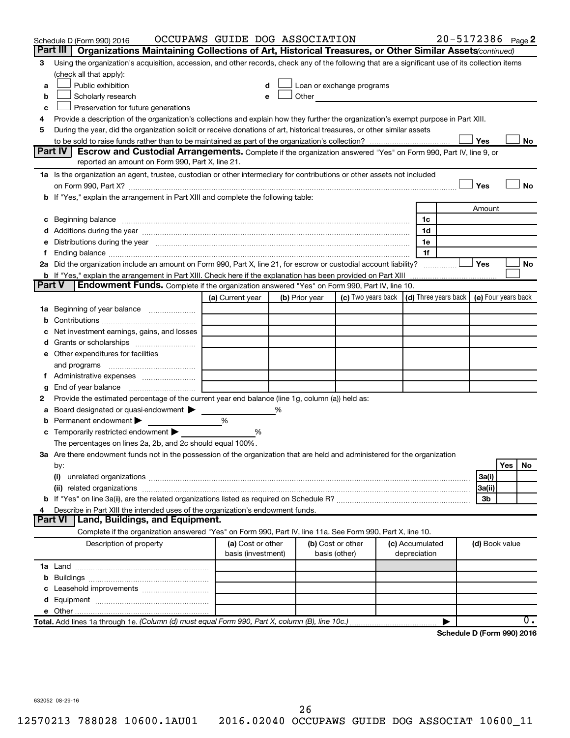|               | Schedule D (Form 990) 2016                                                                                                                                                                                                     | OCCUPAWS GUIDE DOG ASSOCIATION |   |                |                                                                                                                                                                                                                               |                 | 20-5172386 Page 2          |                |     |           |
|---------------|--------------------------------------------------------------------------------------------------------------------------------------------------------------------------------------------------------------------------------|--------------------------------|---|----------------|-------------------------------------------------------------------------------------------------------------------------------------------------------------------------------------------------------------------------------|-----------------|----------------------------|----------------|-----|-----------|
|               | Part III<br>Organizations Maintaining Collections of Art, Historical Treasures, or Other Similar Assets (continued)                                                                                                            |                                |   |                |                                                                                                                                                                                                                               |                 |                            |                |     |           |
| 3             | Using the organization's acquisition, accession, and other records, check any of the following that are a significant use of its collection items                                                                              |                                |   |                |                                                                                                                                                                                                                               |                 |                            |                |     |           |
|               | (check all that apply):                                                                                                                                                                                                        |                                |   |                |                                                                                                                                                                                                                               |                 |                            |                |     |           |
| a             | Public exhibition                                                                                                                                                                                                              |                                |   |                | Loan or exchange programs                                                                                                                                                                                                     |                 |                            |                |     |           |
| b             | Scholarly research                                                                                                                                                                                                             |                                |   |                | Other and the contract of the contract of the contract of the contract of the contract of the contract of the contract of the contract of the contract of the contract of the contract of the contract of the contract of the |                 |                            |                |     |           |
| с             | Preservation for future generations                                                                                                                                                                                            |                                |   |                |                                                                                                                                                                                                                               |                 |                            |                |     |           |
| 4             | Provide a description of the organization's collections and explain how they further the organization's exempt purpose in Part XIII.                                                                                           |                                |   |                |                                                                                                                                                                                                                               |                 |                            |                |     |           |
| 5             | During the year, did the organization solicit or receive donations of art, historical treasures, or other similar assets                                                                                                       |                                |   |                |                                                                                                                                                                                                                               |                 |                            |                |     |           |
|               |                                                                                                                                                                                                                                |                                |   |                |                                                                                                                                                                                                                               |                 |                            | Yes            |     | No        |
|               | Part IV I<br><b>Escrow and Custodial Arrangements.</b> Complete if the organization answered "Yes" on Form 990, Part IV, line 9, or<br>reported an amount on Form 990, Part X, line 21.                                        |                                |   |                |                                                                                                                                                                                                                               |                 |                            |                |     |           |
|               | 1a Is the organization an agent, trustee, custodian or other intermediary for contributions or other assets not included                                                                                                       |                                |   |                |                                                                                                                                                                                                                               |                 |                            |                |     |           |
|               |                                                                                                                                                                                                                                |                                |   |                |                                                                                                                                                                                                                               |                 |                            | Yes            |     | <b>No</b> |
|               | b If "Yes," explain the arrangement in Part XIII and complete the following table:                                                                                                                                             |                                |   |                |                                                                                                                                                                                                                               |                 |                            |                |     |           |
|               |                                                                                                                                                                                                                                |                                |   |                |                                                                                                                                                                                                                               |                 |                            | Amount         |     |           |
|               |                                                                                                                                                                                                                                |                                |   |                |                                                                                                                                                                                                                               | 1c              |                            |                |     |           |
|               |                                                                                                                                                                                                                                |                                |   |                |                                                                                                                                                                                                                               | 1d              |                            |                |     |           |
|               | e Distributions during the year measurement contained and all the control of the set of the set of the set of the set of the set of the set of the set of the set of the set of the set of the set of the set of the set of th |                                |   |                |                                                                                                                                                                                                                               | 1e              |                            |                |     |           |
|               |                                                                                                                                                                                                                                |                                |   |                |                                                                                                                                                                                                                               | 1f              |                            |                |     |           |
|               | 2a Did the organization include an amount on Form 990, Part X, line 21, for escrow or custodial account liability?                                                                                                             |                                |   |                |                                                                                                                                                                                                                               |                 |                            | Yes            |     | No        |
|               | <b>b</b> If "Yes," explain the arrangement in Part XIII. Check here if the explanation has been provided on Part XIII                                                                                                          |                                |   |                |                                                                                                                                                                                                                               |                 |                            |                |     |           |
| <b>Part V</b> | <b>Endowment Funds.</b> Complete if the organization answered "Yes" on Form 990, Part IV, line 10.                                                                                                                             |                                |   |                |                                                                                                                                                                                                                               |                 |                            |                |     |           |
|               |                                                                                                                                                                                                                                | (a) Current year               |   | (b) Prior year | (c) Two years back $\vert$ (d) Three years back $\vert$ (e) Four years back                                                                                                                                                   |                 |                            |                |     |           |
|               | 1a Beginning of year balance                                                                                                                                                                                                   |                                |   |                |                                                                                                                                                                                                                               |                 |                            |                |     |           |
| b             |                                                                                                                                                                                                                                |                                |   |                |                                                                                                                                                                                                                               |                 |                            |                |     |           |
| с             | Net investment earnings, gains, and losses                                                                                                                                                                                     |                                |   |                |                                                                                                                                                                                                                               |                 |                            |                |     |           |
|               |                                                                                                                                                                                                                                |                                |   |                |                                                                                                                                                                                                                               |                 |                            |                |     |           |
|               | e Other expenditures for facilities                                                                                                                                                                                            |                                |   |                |                                                                                                                                                                                                                               |                 |                            |                |     |           |
|               | and programs                                                                                                                                                                                                                   |                                |   |                |                                                                                                                                                                                                                               |                 |                            |                |     |           |
|               |                                                                                                                                                                                                                                |                                |   |                |                                                                                                                                                                                                                               |                 |                            |                |     |           |
| g             |                                                                                                                                                                                                                                |                                |   |                |                                                                                                                                                                                                                               |                 |                            |                |     |           |
| 2             | Provide the estimated percentage of the current year end balance (line 1g, column (a)) held as:                                                                                                                                |                                |   |                |                                                                                                                                                                                                                               |                 |                            |                |     |           |
| а             | Board designated or quasi-endowment >                                                                                                                                                                                          |                                | % |                |                                                                                                                                                                                                                               |                 |                            |                |     |           |
| b             | Permanent endowment                                                                                                                                                                                                            | %                              |   |                |                                                                                                                                                                                                                               |                 |                            |                |     |           |
|               | <b>c</b> Temporarily restricted endowment $\blacktriangleright$                                                                                                                                                                | %                              |   |                |                                                                                                                                                                                                                               |                 |                            |                |     |           |
|               | The percentages on lines 2a, 2b, and 2c should equal 100%.                                                                                                                                                                     |                                |   |                |                                                                                                                                                                                                                               |                 |                            |                |     |           |
|               | 3a Are there endowment funds not in the possession of the organization that are held and administered for the organization                                                                                                     |                                |   |                |                                                                                                                                                                                                                               |                 |                            |                |     |           |
|               | by:                                                                                                                                                                                                                            |                                |   |                |                                                                                                                                                                                                                               |                 |                            |                | Yes | No        |
|               |                                                                                                                                                                                                                                |                                |   |                |                                                                                                                                                                                                                               |                 |                            | 3a(i)          |     |           |
|               |                                                                                                                                                                                                                                |                                |   |                |                                                                                                                                                                                                                               |                 |                            | 3a(ii)         |     |           |
|               |                                                                                                                                                                                                                                |                                |   |                |                                                                                                                                                                                                                               |                 |                            | 3b             |     |           |
| 4             | Describe in Part XIII the intended uses of the organization's endowment funds.                                                                                                                                                 |                                |   |                |                                                                                                                                                                                                                               |                 |                            |                |     |           |
|               | Land, Buildings, and Equipment.<br><b>Part VI</b>                                                                                                                                                                              |                                |   |                |                                                                                                                                                                                                                               |                 |                            |                |     |           |
|               | Complete if the organization answered "Yes" on Form 990, Part IV, line 11a. See Form 990, Part X, line 10.                                                                                                                     |                                |   |                |                                                                                                                                                                                                                               |                 |                            |                |     |           |
|               | Description of property                                                                                                                                                                                                        | (a) Cost or other              |   |                | (b) Cost or other                                                                                                                                                                                                             | (c) Accumulated |                            | (d) Book value |     |           |
|               |                                                                                                                                                                                                                                | basis (investment)             |   |                | basis (other)                                                                                                                                                                                                                 | depreciation    |                            |                |     |           |
|               |                                                                                                                                                                                                                                |                                |   |                |                                                                                                                                                                                                                               |                 |                            |                |     |           |
| b             |                                                                                                                                                                                                                                |                                |   |                |                                                                                                                                                                                                                               |                 |                            |                |     |           |
|               |                                                                                                                                                                                                                                |                                |   |                |                                                                                                                                                                                                                               |                 |                            |                |     |           |
|               |                                                                                                                                                                                                                                |                                |   |                |                                                                                                                                                                                                                               |                 |                            |                |     |           |
|               | Total. Add lines 1a through 1e. (Column (d) must equal Form 990, Part X, column (B), line 10c.)                                                                                                                                |                                |   |                |                                                                                                                                                                                                                               |                 |                            |                |     | 0.        |
|               |                                                                                                                                                                                                                                |                                |   |                |                                                                                                                                                                                                                               |                 |                            |                |     |           |
|               |                                                                                                                                                                                                                                |                                |   |                |                                                                                                                                                                                                                               |                 | Schedule D (Form 990) 2016 |                |     |           |

632052 08-29-16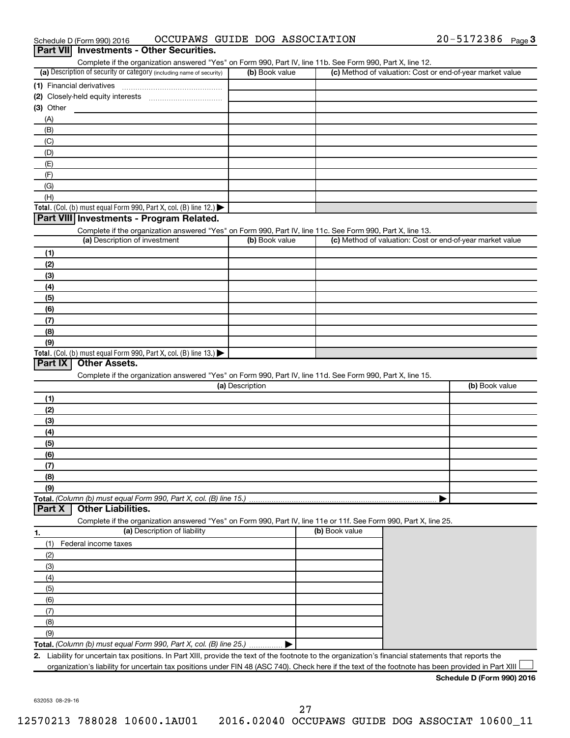| Part VII Investments - Other Securities.                                                                          |                 |                |                                                           |
|-------------------------------------------------------------------------------------------------------------------|-----------------|----------------|-----------------------------------------------------------|
| Complete if the organization answered "Yes" on Form 990, Part IV, line 11b. See Form 990, Part X, line 12.        |                 |                |                                                           |
| (a) Description of security or category (including name of security)                                              | (b) Book value  |                | (c) Method of valuation: Cost or end-of-year market value |
| (1) Financial derivatives                                                                                         |                 |                |                                                           |
|                                                                                                                   |                 |                |                                                           |
| (3) Other                                                                                                         |                 |                |                                                           |
| (A)                                                                                                               |                 |                |                                                           |
| (B)                                                                                                               |                 |                |                                                           |
| (C)                                                                                                               |                 |                |                                                           |
| (D)                                                                                                               |                 |                |                                                           |
| (E)                                                                                                               |                 |                |                                                           |
| (F)                                                                                                               |                 |                |                                                           |
| (G)                                                                                                               |                 |                |                                                           |
| (H)                                                                                                               |                 |                |                                                           |
| Total. (Col. (b) must equal Form 990, Part X, col. (B) line 12.)                                                  |                 |                |                                                           |
| Part VIII Investments - Program Related.                                                                          |                 |                |                                                           |
| Complete if the organization answered "Yes" on Form 990, Part IV, line 11c. See Form 990, Part X, line 13.        |                 |                |                                                           |
| (a) Description of investment                                                                                     | (b) Book value  |                | (c) Method of valuation: Cost or end-of-year market value |
| (1)                                                                                                               |                 |                |                                                           |
| (2)                                                                                                               |                 |                |                                                           |
| (3)                                                                                                               |                 |                |                                                           |
| (4)                                                                                                               |                 |                |                                                           |
| (5)                                                                                                               |                 |                |                                                           |
| (6)                                                                                                               |                 |                |                                                           |
| (7)                                                                                                               |                 |                |                                                           |
| (8)                                                                                                               |                 |                |                                                           |
| (9)                                                                                                               |                 |                |                                                           |
| <b>Total.</b> (Col. (b) must equal Form 990, Part X, col. (B) line 13.)<br>Other Assets.<br>Part IX               |                 |                |                                                           |
| Complete if the organization answered "Yes" on Form 990, Part IV, line 11d. See Form 990, Part X, line 15.        |                 |                |                                                           |
|                                                                                                                   | (a) Description |                | (b) Book value                                            |
| (1)                                                                                                               |                 |                |                                                           |
| (2)                                                                                                               |                 |                |                                                           |
| (3)                                                                                                               |                 |                |                                                           |
| (4)                                                                                                               |                 |                |                                                           |
| (5)                                                                                                               |                 |                |                                                           |
| (6)                                                                                                               |                 |                |                                                           |
| (7)                                                                                                               |                 |                |                                                           |
| (8)                                                                                                               |                 |                |                                                           |
| (9)                                                                                                               |                 |                |                                                           |
| Total. (Column (b) must equal Form 990, Part X, col. (B) line 15.)                                                |                 |                |                                                           |
| <b>Other Liabilities.</b><br>Part X                                                                               |                 |                |                                                           |
| Complete if the organization answered "Yes" on Form 990, Part IV, line 11e or 11f. See Form 990, Part X, line 25. |                 |                |                                                           |
| (a) Description of liability<br>1.                                                                                |                 | (b) Book value |                                                           |
| Federal income taxes<br>(1)                                                                                       |                 |                |                                                           |
| (2)                                                                                                               |                 |                |                                                           |
| (3)                                                                                                               |                 |                |                                                           |
| (4)                                                                                                               |                 |                |                                                           |
| (5)                                                                                                               |                 |                |                                                           |
| (6)                                                                                                               |                 |                |                                                           |
| (7)                                                                                                               |                 |                |                                                           |
| (8)                                                                                                               |                 |                |                                                           |

**Total.**  *(Column (b) must equal Form 990, Part X, col. (B) line 25.)*

**2.** Liability for uncertain tax positions. In Part XIII, provide the text of the footnote to the organization's financial statements that reports the organization's liability for uncertain tax positions under FIN 48 (ASC 740). Check here if the text of the footnote has been provided in Part XIII

 $\blacktriangleright$ 

632053 08-29-16

(9)

## Schedule D (Form 990) 2016 OCCUPAWS GUIDE DOG ASSOCIATION 20-5172386 Page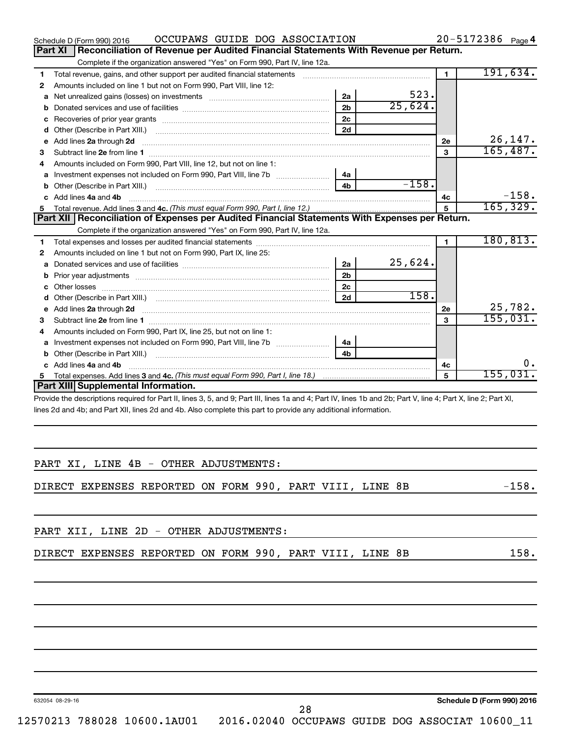| OCCUPAWS GUIDE DOG ASSOCIATION<br>Schedule D (Form 990) 2016                                                                                                   |                |         |                | 20-5172386 Page 4 |
|----------------------------------------------------------------------------------------------------------------------------------------------------------------|----------------|---------|----------------|-------------------|
| Reconciliation of Revenue per Audited Financial Statements With Revenue per Return.<br><b>Part XI</b>                                                          |                |         |                |                   |
| Complete if the organization answered "Yes" on Form 990, Part IV, line 12a.                                                                                    |                |         |                |                   |
| Total revenue, gains, and other support per audited financial statements<br>1                                                                                  |                |         | $\blacksquare$ | 191,634.          |
| Amounts included on line 1 but not on Form 990, Part VIII, line 12:<br>2                                                                                       |                |         |                |                   |
| a                                                                                                                                                              | 2a             | 523.    |                |                   |
| b                                                                                                                                                              | 2 <sub>b</sub> | 25,624. |                |                   |
| с                                                                                                                                                              | 2 <sub>c</sub> |         |                |                   |
| d                                                                                                                                                              | 2d             |         |                |                   |
| Add lines 2a through 2d<br>е                                                                                                                                   |                |         | 2e             | 26, 147.          |
| з                                                                                                                                                              |                |         | 3              | 165,487.          |
| Amounts included on Form 990, Part VIII, line 12, but not on line 1:<br>4                                                                                      |                |         |                |                   |
| Investment expenses not included on Form 990, Part VIII, line 7b<br>a                                                                                          | 4a             |         |                |                   |
| b                                                                                                                                                              | 4 <sub>b</sub> | $-158.$ |                |                   |
| Add lines 4a and 4b<br>C                                                                                                                                       |                |         | 4c             | $-158.$           |
| 5.                                                                                                                                                             |                |         | 5              | 165, 329.         |
| Part XII Reconciliation of Expenses per Audited Financial Statements With Expenses per Return.                                                                 |                |         |                |                   |
| Complete if the organization answered "Yes" on Form 990, Part IV, line 12a.                                                                                    |                |         |                |                   |
| 1                                                                                                                                                              |                |         | $\mathbf{1}$   | 180, 813.         |
| Amounts included on line 1 but not on Form 990, Part IX, line 25:<br>2                                                                                         |                |         |                |                   |
| a                                                                                                                                                              | 2a             | 25,624. |                |                   |
| b                                                                                                                                                              | 2 <sub>b</sub> |         |                |                   |
|                                                                                                                                                                | 2 <sub>c</sub> |         |                |                   |
| d                                                                                                                                                              | 2d             | 158.    |                |                   |
| е                                                                                                                                                              |                |         | 2e             | 25,782.           |
| 3                                                                                                                                                              |                |         | 3              | 155,031.          |
| Amounts included on Form 990, Part IX, line 25, but not on line 1:<br>4                                                                                        |                |         |                |                   |
| a                                                                                                                                                              | 4a             |         |                |                   |
| b                                                                                                                                                              |                |         |                |                   |
| Add lines 4a and 4b                                                                                                                                            |                |         | 4с             | Ο.                |
| 5.                                                                                                                                                             |                |         | 5              | 155,031.          |
| Part XIII Supplemental Information.                                                                                                                            |                |         |                |                   |
| Provide the descriptions required for Part II, lines 3, 5, and 9; Part III, lines 1a and 4; Part IV, lines 1b and 2b; Part V, line 4; Part X, line 2; Part XI, |                |         |                |                   |
| lines 2d and 4b; and Part XII, lines 2d and 4b. Also complete this part to provide any additional information.                                                 |                |         |                |                   |

|  |  |  | PART XI, LINE 4B - OTHER ADJUSTMENTS: |
|--|--|--|---------------------------------------|

DIRECT EXPENSES REPORTED ON FORM 990, PART VIII, LINE 8B -158.

28

PART XII, LINE 2D - OTHER ADJUSTMENTS:

|  | DIRECT EXPENSES REPORTED ON FORM 990, PART VIII, LINE 8B |  |  |  |  |  |
|--|----------------------------------------------------------|--|--|--|--|--|
|  |                                                          |  |  |  |  |  |

632054 08-29-16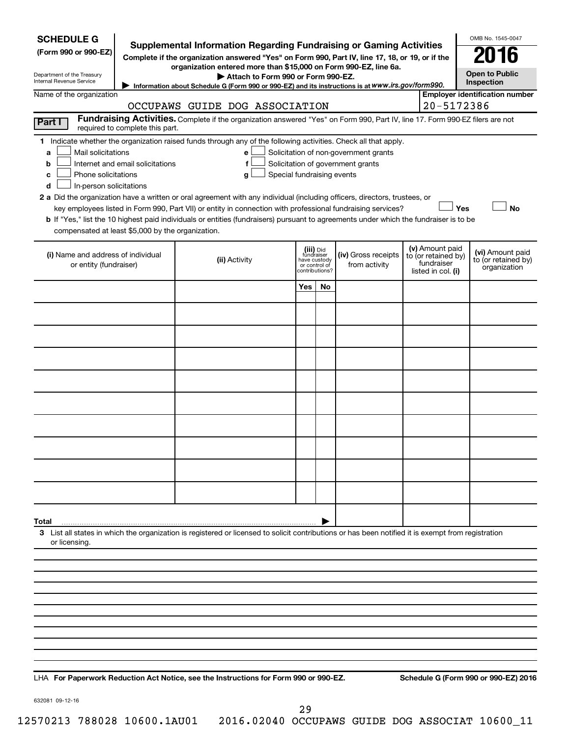| <b>SCHEDULE G</b><br>(Form 990 or 990-EZ)<br>Department of the Treasury<br>Internal Revenue Service                                           |                                  | <b>Supplemental Information Regarding Fundraising or Gaming Activities</b><br>Complete if the organization answered "Yes" on Form 990, Part IV, line 17, 18, or 19, or if the<br>organization entered more than \$15,000 on Form 990-EZ, line 6a.<br>Attach to Form 990 or Form 990-EZ.<br>Information about Schedule G (Form 990 or 990-EZ) and its instructions is at www.irs.gov/form990.                                                                                                                                                       |                                                          |                |                                                                            |  |                                                                            | OMB No. 1545-0047<br><b>Open to Public</b><br>Inspection |
|-----------------------------------------------------------------------------------------------------------------------------------------------|----------------------------------|----------------------------------------------------------------------------------------------------------------------------------------------------------------------------------------------------------------------------------------------------------------------------------------------------------------------------------------------------------------------------------------------------------------------------------------------------------------------------------------------------------------------------------------------------|----------------------------------------------------------|----------------|----------------------------------------------------------------------------|--|----------------------------------------------------------------------------|----------------------------------------------------------|
| Name of the organization                                                                                                                      | 20-5172386                       | <b>Employer identification number</b>                                                                                                                                                                                                                                                                                                                                                                                                                                                                                                              |                                                          |                |                                                                            |  |                                                                            |                                                          |
| Part I                                                                                                                                        | required to complete this part.  | OCCUPAWS GUIDE DOG ASSOCIATION<br>Fundraising Activities. Complete if the organization answered "Yes" on Form 990, Part IV, line 17. Form 990-EZ filers are not                                                                                                                                                                                                                                                                                                                                                                                    |                                                          |                |                                                                            |  |                                                                            |                                                          |
| Mail solicitations<br>a<br>b<br>Phone solicitations<br>c<br>In-person solicitations<br>d<br>compensated at least \$5,000 by the organization. | Internet and email solicitations | 1 Indicate whether the organization raised funds through any of the following activities. Check all that apply.<br>е<br>f<br>Special fundraising events<br>g<br>2 a Did the organization have a written or oral agreement with any individual (including officers, directors, trustees, or<br>key employees listed in Form 990, Part VII) or entity in connection with professional fundraising services?<br>b If "Yes," list the 10 highest paid individuals or entities (fundraisers) pursuant to agreements under which the fundraiser is to be |                                                          |                | Solicitation of non-government grants<br>Solicitation of government grants |  | Yes                                                                        | <b>No</b>                                                |
| (i) Name and address of individual<br>or entity (fundraiser)                                                                                  |                                  | (ii) Activity                                                                                                                                                                                                                                                                                                                                                                                                                                                                                                                                      | (iii) Did<br>fundraiser<br>have custody<br>or control of | contributions? | (iv) Gross receipts<br>from activity                                       |  | (v) Amount paid<br>to (or retained by)<br>fundraiser<br>listed in col. (i) | (vi) Amount paid<br>to (or retained by)<br>organization  |
|                                                                                                                                               |                                  |                                                                                                                                                                                                                                                                                                                                                                                                                                                                                                                                                    | Yes                                                      | No             |                                                                            |  |                                                                            |                                                          |
|                                                                                                                                               |                                  |                                                                                                                                                                                                                                                                                                                                                                                                                                                                                                                                                    |                                                          |                |                                                                            |  |                                                                            |                                                          |
|                                                                                                                                               |                                  |                                                                                                                                                                                                                                                                                                                                                                                                                                                                                                                                                    |                                                          |                |                                                                            |  |                                                                            |                                                          |
|                                                                                                                                               |                                  |                                                                                                                                                                                                                                                                                                                                                                                                                                                                                                                                                    |                                                          |                |                                                                            |  |                                                                            |                                                          |
|                                                                                                                                               |                                  |                                                                                                                                                                                                                                                                                                                                                                                                                                                                                                                                                    |                                                          |                |                                                                            |  |                                                                            |                                                          |
|                                                                                                                                               |                                  |                                                                                                                                                                                                                                                                                                                                                                                                                                                                                                                                                    |                                                          |                |                                                                            |  |                                                                            |                                                          |
|                                                                                                                                               |                                  |                                                                                                                                                                                                                                                                                                                                                                                                                                                                                                                                                    |                                                          |                |                                                                            |  |                                                                            |                                                          |
|                                                                                                                                               |                                  |                                                                                                                                                                                                                                                                                                                                                                                                                                                                                                                                                    |                                                          |                |                                                                            |  |                                                                            |                                                          |
|                                                                                                                                               |                                  |                                                                                                                                                                                                                                                                                                                                                                                                                                                                                                                                                    |                                                          |                |                                                                            |  |                                                                            |                                                          |
|                                                                                                                                               |                                  |                                                                                                                                                                                                                                                                                                                                                                                                                                                                                                                                                    |                                                          |                |                                                                            |  |                                                                            |                                                          |
| Total                                                                                                                                         |                                  |                                                                                                                                                                                                                                                                                                                                                                                                                                                                                                                                                    |                                                          |                |                                                                            |  |                                                                            |                                                          |
| or licensing.                                                                                                                                 |                                  | 3 List all states in which the organization is registered or licensed to solicit contributions or has been notified it is exempt from registration                                                                                                                                                                                                                                                                                                                                                                                                 |                                                          |                |                                                                            |  |                                                                            |                                                          |
|                                                                                                                                               |                                  |                                                                                                                                                                                                                                                                                                                                                                                                                                                                                                                                                    |                                                          |                |                                                                            |  |                                                                            |                                                          |
|                                                                                                                                               |                                  |                                                                                                                                                                                                                                                                                                                                                                                                                                                                                                                                                    |                                                          |                |                                                                            |  |                                                                            |                                                          |
|                                                                                                                                               |                                  |                                                                                                                                                                                                                                                                                                                                                                                                                                                                                                                                                    |                                                          |                |                                                                            |  |                                                                            |                                                          |
|                                                                                                                                               |                                  |                                                                                                                                                                                                                                                                                                                                                                                                                                                                                                                                                    |                                                          |                |                                                                            |  |                                                                            |                                                          |
|                                                                                                                                               |                                  |                                                                                                                                                                                                                                                                                                                                                                                                                                                                                                                                                    |                                                          |                |                                                                            |  |                                                                            |                                                          |

**For Paperwork Reduction Act Notice, see the Instructions for Form 990 or 990-EZ. Schedule G (Form 990 or 990-EZ) 2016** LHA

632081 09-12-16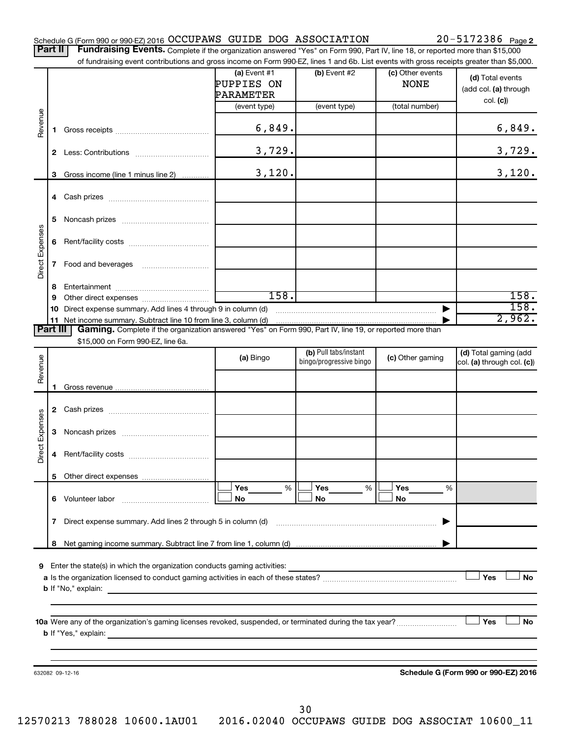| $20 - 5172386$ Page 2<br>Schedule G (Form 990 or 990-EZ) 2016 OCCUPAWS GUIDE DOG ASSOCIATION |  |
|----------------------------------------------------------------------------------------------|--|
|----------------------------------------------------------------------------------------------|--|

Part II | Fundraising Events. Complete if the organization answered "Yes" on Form 990, Part IV, line 18, or reported more than \$15,000 of fundraising event contributions and gross income on Form 990-EZ, lines 1 and 6b. List events with gross receipts greater than \$5,000.

|                 |    | of fundraising event contributions and gross income on Form 990-EZ, lines 1 and 6b. List events with gross receipts greater than \$5,000.                                                                                                 | (a) Event $#1$          | $(b)$ Event #2          | (c) Other events | (d) Total events                     |
|-----------------|----|-------------------------------------------------------------------------------------------------------------------------------------------------------------------------------------------------------------------------------------------|-------------------------|-------------------------|------------------|--------------------------------------|
|                 |    |                                                                                                                                                                                                                                           | PUPPIES ON<br>PARAMETER |                         | <b>NONE</b>      | (add col. (a) through                |
|                 |    |                                                                                                                                                                                                                                           | (event type)            | (event type)            | (total number)   | col. (c)                             |
| Revenue         | 1. |                                                                                                                                                                                                                                           | 6,849.                  |                         |                  | 6,849.                               |
|                 |    |                                                                                                                                                                                                                                           | 3,729.                  |                         |                  | 3,729.                               |
|                 | 3  | Gross income (line 1 minus line 2)                                                                                                                                                                                                        | 3,120.                  |                         |                  | 3,120.                               |
|                 |    |                                                                                                                                                                                                                                           |                         |                         |                  |                                      |
|                 | 5  |                                                                                                                                                                                                                                           |                         |                         |                  |                                      |
| Direct Expenses | 6  |                                                                                                                                                                                                                                           |                         |                         |                  |                                      |
|                 | 7  | Food and beverages                                                                                                                                                                                                                        |                         |                         |                  |                                      |
|                 | 8  |                                                                                                                                                                                                                                           |                         |                         |                  |                                      |
|                 | 9  |                                                                                                                                                                                                                                           | 158.                    |                         |                  | 158.                                 |
|                 | 10 | Direct expense summary. Add lines 4 through 9 in column (d)                                                                                                                                                                               |                         |                         |                  | 158.                                 |
|                 |    | 11 Net income summary. Subtract line 10 from line 3, column (d)                                                                                                                                                                           |                         |                         |                  | 2,962.                               |
| <b>Part III</b> |    | Gaming. Complete if the organization answered "Yes" on Form 990, Part IV, line 19, or reported more than<br>\$15,000 on Form 990-EZ, line 6a.                                                                                             |                         |                         |                  |                                      |
|                 |    |                                                                                                                                                                                                                                           |                         | (b) Pull tabs/instant   |                  | (d) Total gaming (add                |
| Revenue         |    |                                                                                                                                                                                                                                           | (a) Bingo               | bingo/progressive bingo | (c) Other gaming | col. (a) through col. (c))           |
|                 | 1  |                                                                                                                                                                                                                                           |                         |                         |                  |                                      |
|                 |    |                                                                                                                                                                                                                                           |                         |                         |                  |                                      |
|                 |    |                                                                                                                                                                                                                                           |                         |                         |                  |                                      |
|                 | 3  |                                                                                                                                                                                                                                           |                         |                         |                  |                                      |
| Direct Expenses | 4  |                                                                                                                                                                                                                                           |                         |                         |                  |                                      |
|                 |    | 5 Other direct expenses                                                                                                                                                                                                                   |                         |                         |                  |                                      |
|                 |    |                                                                                                                                                                                                                                           | %<br><b>Yes</b>         | Yes<br>%                | Yes<br>%         |                                      |
|                 |    | 6 Volunteer labor                                                                                                                                                                                                                         | No                      | No                      | No               |                                      |
|                 | 7  | Direct expense summary. Add lines 2 through 5 in column (d)                                                                                                                                                                               |                         |                         |                  |                                      |
|                 |    |                                                                                                                                                                                                                                           |                         |                         |                  |                                      |
|                 |    |                                                                                                                                                                                                                                           |                         |                         |                  |                                      |
|                 |    | <b>9</b> Enter the state(s) in which the organization conducts gaming activities:                                                                                                                                                         |                         |                         |                  |                                      |
|                 |    | <b>b</b> If "No," explain: <u>And a set of the set of the set of the set of the set of the set of the set of the set of the set of the set of the set of the set of the set of the set of the set of the set of the set of the set of</u> |                         |                         |                  | Yes<br><b>No</b>                     |
|                 |    |                                                                                                                                                                                                                                           |                         |                         |                  |                                      |
|                 |    | <b>b</b> If "Yes," explain: <u>And a set of the set of the set of the set of the set of the set of the set of the set of the set of the set of the set of the set of the set of the set of the set of the set of the set of the set o</u> |                         |                         |                  | <b>」Yes</b><br>No                    |
|                 |    |                                                                                                                                                                                                                                           |                         |                         |                  |                                      |
|                 |    |                                                                                                                                                                                                                                           |                         |                         |                  |                                      |
|                 |    | 632082 09-12-16                                                                                                                                                                                                                           |                         |                         |                  | Schedule G (Form 990 or 990-EZ) 2016 |
|                 |    |                                                                                                                                                                                                                                           |                         |                         |                  |                                      |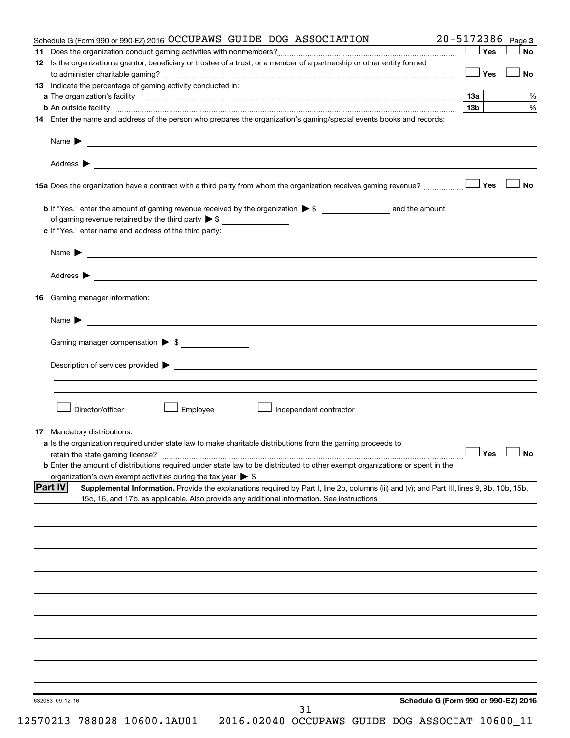| Schedule G (Form 990 or 990-EZ) 2016 OCCUPAWS GUIDE DOG ASSOCIATION<br>12 Is the organization a grantor, beneficiary or trustee of a trust, or a member of a partnership or other entity formed<br>13 Indicate the percentage of gaming activity conducted in:                                                                                                                                                        | 20-5172386 Page 3                    |
|-----------------------------------------------------------------------------------------------------------------------------------------------------------------------------------------------------------------------------------------------------------------------------------------------------------------------------------------------------------------------------------------------------------------------|--------------------------------------|
|                                                                                                                                                                                                                                                                                                                                                                                                                       | Yes<br>No                            |
|                                                                                                                                                                                                                                                                                                                                                                                                                       |                                      |
|                                                                                                                                                                                                                                                                                                                                                                                                                       | Yes<br>No                            |
|                                                                                                                                                                                                                                                                                                                                                                                                                       |                                      |
|                                                                                                                                                                                                                                                                                                                                                                                                                       | <b>13a</b>                           |
| <b>b</b> An outside facility <i>www.communicality.communicality.communicality www.communicality.communicality.communicality</i>                                                                                                                                                                                                                                                                                       | 13b                                  |
| 14 Enter the name and address of the person who prepares the organization's gaming/special events books and records:                                                                                                                                                                                                                                                                                                  |                                      |
|                                                                                                                                                                                                                                                                                                                                                                                                                       |                                      |
| Name $\triangleright$                                                                                                                                                                                                                                                                                                                                                                                                 |                                      |
|                                                                                                                                                                                                                                                                                                                                                                                                                       |                                      |
|                                                                                                                                                                                                                                                                                                                                                                                                                       |                                      |
|                                                                                                                                                                                                                                                                                                                                                                                                                       | Yes<br><b>No</b>                     |
|                                                                                                                                                                                                                                                                                                                                                                                                                       |                                      |
|                                                                                                                                                                                                                                                                                                                                                                                                                       |                                      |
| of gaming revenue retained by the third party $\triangleright$ \$                                                                                                                                                                                                                                                                                                                                                     |                                      |
| c If "Yes," enter name and address of the third party:                                                                                                                                                                                                                                                                                                                                                                |                                      |
| Name $\blacktriangleright$ $\frac{1}{\sqrt{1-\frac{1}{2}}\sqrt{1-\frac{1}{2}}\sqrt{1-\frac{1}{2}}\sqrt{1-\frac{1}{2}}\sqrt{1-\frac{1}{2}}\sqrt{1-\frac{1}{2}}\sqrt{1-\frac{1}{2}}\sqrt{1-\frac{1}{2}}\sqrt{1-\frac{1}{2}}\sqrt{1-\frac{1}{2}}\sqrt{1-\frac{1}{2}}\sqrt{1-\frac{1}{2}}\sqrt{1-\frac{1}{2}}\sqrt{1-\frac{1}{2}}\sqrt{1-\frac{1}{2}}\sqrt{1-\frac{1}{2}}\sqrt{1-\frac{1}{2}}\sqrt{1-\frac{1}{2}}\sqrt{1$ |                                      |
|                                                                                                                                                                                                                                                                                                                                                                                                                       |                                      |
| Address > 2008 - 2008 - 2009 - 2009 - 2009 - 2009 - 2009 - 2009 - 2009 - 2009 - 2009 - 2009 - 2009 - 2009 - 2009 - 2009 - 2009 - 2009 - 2009 - 2009 - 2009 - 2009 - 2009 - 2009 - 2009 - 2009 - 2009 - 2009 - 2009 - 2009 - 20                                                                                                                                                                                        |                                      |
| Gaming manager information:<br>16                                                                                                                                                                                                                                                                                                                                                                                     |                                      |
| Name $\blacktriangleright$ $\blacksquare$                                                                                                                                                                                                                                                                                                                                                                             |                                      |
| Gaming manager compensation $\triangleright$ \$                                                                                                                                                                                                                                                                                                                                                                       |                                      |
|                                                                                                                                                                                                                                                                                                                                                                                                                       |                                      |
| Description of services provided states and the contract of the contract of the contract of the contract of the contract of the contract of the contract of the contract of the contract of the contract of the contract of th                                                                                                                                                                                        |                                      |
|                                                                                                                                                                                                                                                                                                                                                                                                                       |                                      |
|                                                                                                                                                                                                                                                                                                                                                                                                                       |                                      |
|                                                                                                                                                                                                                                                                                                                                                                                                                       |                                      |
| Director/officer<br>Employee<br>Independent contractor                                                                                                                                                                                                                                                                                                                                                                |                                      |
|                                                                                                                                                                                                                                                                                                                                                                                                                       |                                      |
| <b>17</b> Mandatory distributions:                                                                                                                                                                                                                                                                                                                                                                                    |                                      |
| <b>a</b> Is the organization required under state law to make charitable distributions from the gaming proceeds to                                                                                                                                                                                                                                                                                                    |                                      |
| retain the state gaming license? $\Box$ No                                                                                                                                                                                                                                                                                                                                                                            |                                      |
| <b>b</b> Enter the amount of distributions required under state law to be distributed to other exempt organizations or spent in the                                                                                                                                                                                                                                                                                   |                                      |
| organization's own exempt activities during the tax year > \$                                                                                                                                                                                                                                                                                                                                                         |                                      |
| <b>Part IV</b><br>Supplemental Information. Provide the explanations required by Part I, line 2b, columns (iii) and (v); and Part III, lines 9, 9b, 10b, 15b,                                                                                                                                                                                                                                                         |                                      |
| 15c, 16, and 17b, as applicable. Also provide any additional information. See instructions                                                                                                                                                                                                                                                                                                                            |                                      |
|                                                                                                                                                                                                                                                                                                                                                                                                                       |                                      |
|                                                                                                                                                                                                                                                                                                                                                                                                                       |                                      |
|                                                                                                                                                                                                                                                                                                                                                                                                                       |                                      |
|                                                                                                                                                                                                                                                                                                                                                                                                                       |                                      |
|                                                                                                                                                                                                                                                                                                                                                                                                                       |                                      |
|                                                                                                                                                                                                                                                                                                                                                                                                                       |                                      |
|                                                                                                                                                                                                                                                                                                                                                                                                                       |                                      |
|                                                                                                                                                                                                                                                                                                                                                                                                                       |                                      |
|                                                                                                                                                                                                                                                                                                                                                                                                                       |                                      |
|                                                                                                                                                                                                                                                                                                                                                                                                                       |                                      |
|                                                                                                                                                                                                                                                                                                                                                                                                                       |                                      |
|                                                                                                                                                                                                                                                                                                                                                                                                                       |                                      |
|                                                                                                                                                                                                                                                                                                                                                                                                                       |                                      |
|                                                                                                                                                                                                                                                                                                                                                                                                                       |                                      |
|                                                                                                                                                                                                                                                                                                                                                                                                                       |                                      |
|                                                                                                                                                                                                                                                                                                                                                                                                                       |                                      |
|                                                                                                                                                                                                                                                                                                                                                                                                                       |                                      |
| 632083 09-12-16<br>31                                                                                                                                                                                                                                                                                                                                                                                                 | Schedule G (Form 990 or 990-EZ) 2016 |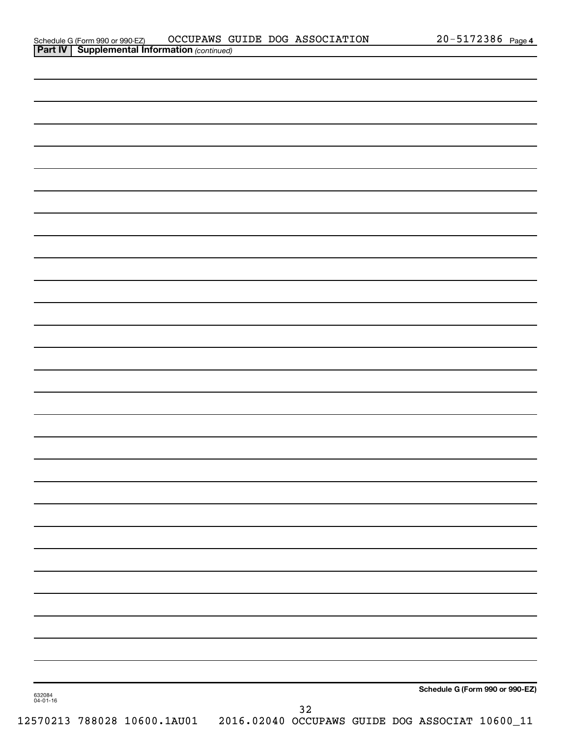| 632084<br>04-01-16 |    | Schedule G (Form 990 or 990-EZ) |
|--------------------|----|---------------------------------|
|                    | 32 |                                 |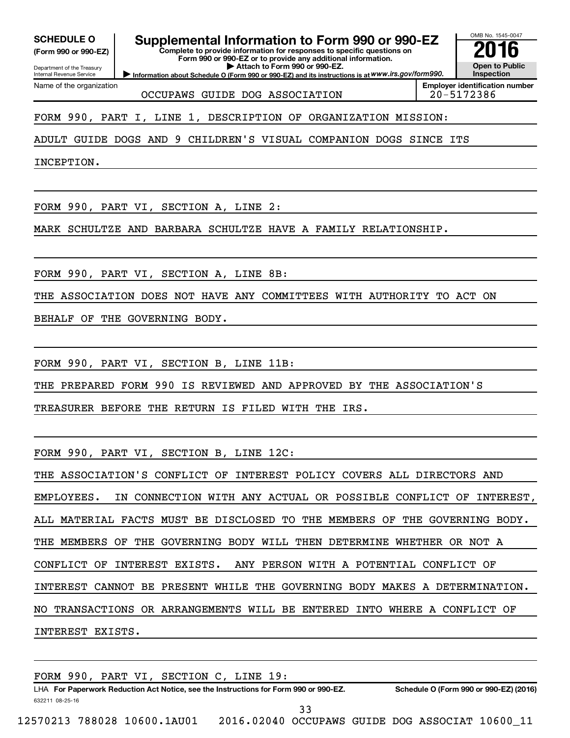**(Form 990 or 990-EZ)**

Department of the Treasury Internal Revenue Service

Name of the organization

# **SCHEDULE O Supplemental Information to Form 990 or 990-EZ 2016**

**Complete to provide information for responses to specific questions on Form 990 or 990-EZ or to provide any additional information. | Attach to Form 990 or 990-EZ.**

**Information about Schedule O (Form 990 or 990-EZ) and its instructions is at WWW.irs.gov/form990.** 

OMB No. 1545-0047 **Open to Public Inspection**

OCCUPAWS GUIDE DOG ASSOCIATION | 20-5172386

**Employer identification number**

FORM 990, PART I, LINE 1, DESCRIPTION OF ORGANIZATION MISSION:

ADULT GUIDE DOGS AND 9 CHILDREN'S VISUAL COMPANION DOGS SINCE ITS

INCEPTION.

FORM 990, PART VI, SECTION A, LINE 2:

MARK SCHULTZE AND BARBARA SCHULTZE HAVE A FAMILY RELATIONSHIP.

FORM 990, PART VI, SECTION A, LINE 8B:

THE ASSOCIATION DOES NOT HAVE ANY COMMITTEES WITH AUTHORITY TO ACT ON

BEHALF OF THE GOVERNING BODY.

FORM 990, PART VI, SECTION B, LINE 11B:

THE PREPARED FORM 990 IS REVIEWED AND APPROVED BY THE ASSOCIATION'S

TREASURER BEFORE THE RETURN IS FILED WITH THE IRS.

FORM 990, PART VI, SECTION B, LINE 12C:

THE ASSOCIATION'S CONFLICT OF INTEREST POLICY COVERS ALL DIRECTORS AND EMPLOYEES. IN CONNECTION WITH ANY ACTUAL OR POSSIBLE CONFLICT OF INTEREST, ALL MATERIAL FACTS MUST BE DISCLOSED TO THE MEMBERS OF THE GOVERNING BODY. THE MEMBERS OF THE GOVERNING BODY WILL THEN DETERMINE WHETHER OR NOT A CONFLICT OF INTEREST EXISTS. ANY PERSON WITH A POTENTIAL CONFLICT OF INTEREST CANNOT BE PRESENT WHILE THE GOVERNING BODY MAKES A DETERMINATION. NO TRANSACTIONS OR ARRANGEMENTS WILL BE ENTERED INTO WHERE A CONFLICT OF INTEREST EXISTS.

632211 08-25-16 LHA For Paperwork Reduction Act Notice, see the Instructions for Form 990 or 990-EZ. Schedule O (Form 990 or 990-EZ) (2016) FORM 990, PART VI, SECTION C, LINE 19: 33